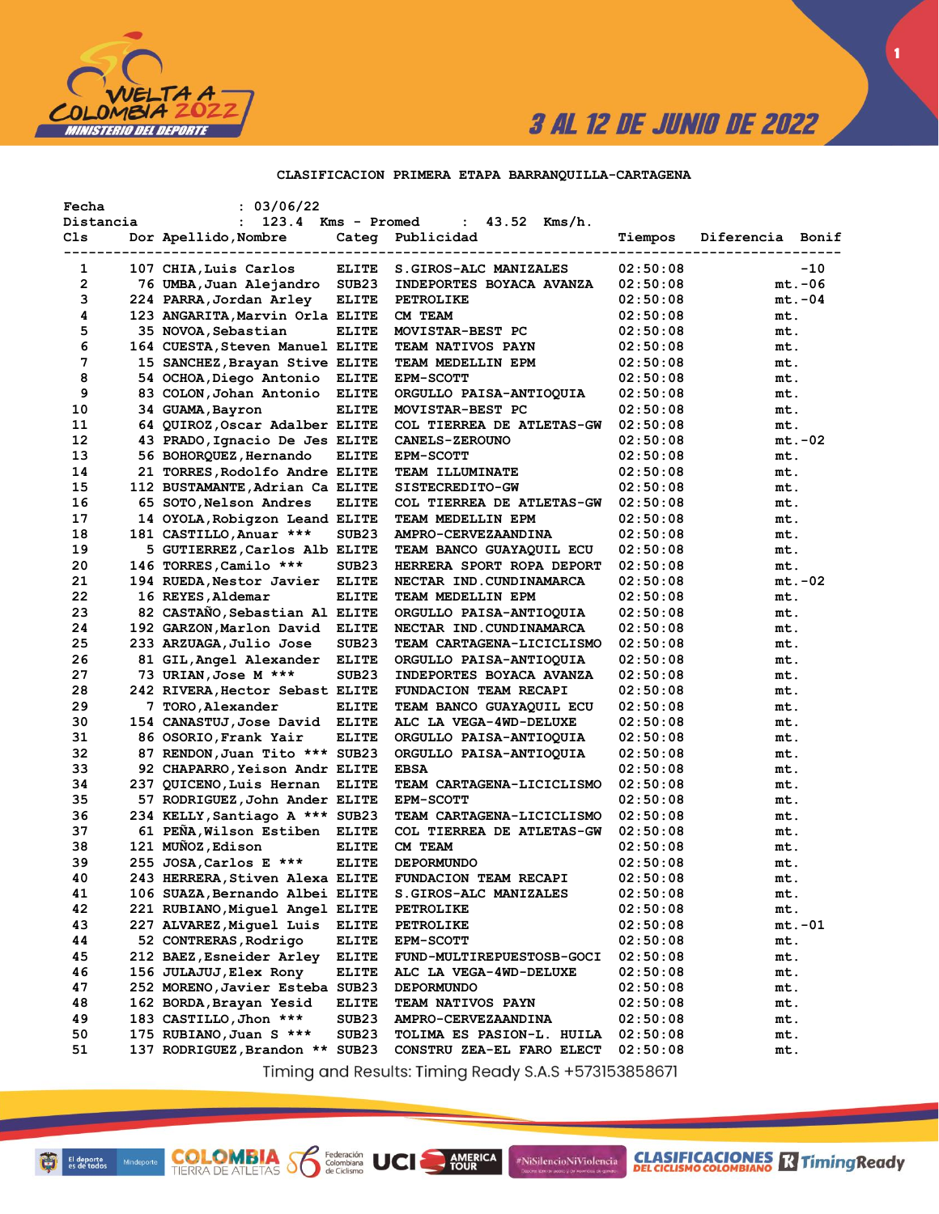

#### CLASIFICACION PRIMERA ETAPA BARRANQUILLA-CARTAGENA

| Fecha<br>Distancia | : 03/06/22<br>123.4<br>$\mathbf{L}$ | Kms - Promed      | 43.52<br>$Kms/h$ .<br>$\mathbf{L}$        |          |                  |
|--------------------|-------------------------------------|-------------------|-------------------------------------------|----------|------------------|
| Cls                | Dor Apellido, Nombre                |                   | Categ Publicidad                          | Tiempos  | Diferencia Bonif |
| 1                  | 107 CHIA, Luis Carlos               | <b>ELITE</b>      | ----------------<br>S.GIROS-ALC MANIZALES | 02:50:08 | $-10$            |
| 2                  | 76 UMBA, Juan Alejandro             | SUB <sub>23</sub> | INDEPORTES BOYACA AVANZA                  | 02:50:08 | $mt.-06$         |
| з                  | 224 PARRA, Jordan Arley             | <b>ELITE</b>      | PETROLIKE                                 | 02:50:08 | $mt.-04$         |
| 4                  | 123 ANGARITA, Marvin Orla ELITE     |                   | CM TEAM                                   | 02:50:08 | mt.              |
| 5                  | 35 NOVOA, Sebastian                 | <b>ELITE</b>      | MOVISTAR-BEST PC                          | 02:50:08 | mt.              |
| 6                  | 164 CUESTA, Steven Manuel ELITE     |                   | TEAM NATIVOS PAYN                         | 02:50:08 | mt.              |
| 7                  | 15 SANCHEZ, Brayan Stive ELITE      |                   | TEAM MEDELLIN EPM                         | 02:50:08 | mt.              |
| 8                  | 54 OCHOA, Diego Antonio             | ELITE             | <b>EPM-SCOTT</b>                          | 02:50:08 | mt.              |
| 9                  | 83 COLON, Johan Antonio ELITE       |                   | ORGULLO PAISA-ANTIOQUIA                   | 02:50:08 | mt.              |
| 10                 | 34 GUAMA, Bayron                    | <b>ELITE</b>      | MOVISTAR-BEST PC                          | 02:50:08 | mt.              |
| 11                 | 64 QUIROZ, Oscar Adalber ELITE      |                   | COL TIERREA DE ATLETAS-GW                 | 02:50:08 | mt.              |
| 12                 | 43 PRADO, Ignacio De Jes ELITE      |                   | <b>CANELS-ZEROUNO</b>                     | 02:50:08 | $mt.-02$         |
| 13                 | 56 BOHORQUEZ, Hernando              | <b>ELITE</b>      | <b>EPM-SCOTT</b>                          | 02:50:08 | mt.              |
| 14                 | 21 TORRES, Rodolfo Andre ELITE      |                   | <b>TEAM ILLUMINATE</b>                    | 02:50:08 | mt.              |
| 15                 | 112 BUSTAMANTE, Adrian Ca ELITE     |                   | SISTECREDITO-GW                           | 02:50:08 | mt.              |
| 16                 | 65 SOTO, Nelson Andres              | <b>ELITE</b>      | COL TIERREA DE ATLETAS-GW                 | 02:50:08 | mt.              |
| 17                 | 14 OYOLA, Robigzon Leand ELITE      |                   | TEAM MEDELLIN EPM                         | 02:50:08 | mt.              |
| 18                 | 181 CASTILLO, Anuar ***             | SUB <sub>23</sub> | <b>AMPRO-CERVEZAANDINA</b>                | 02:50:08 | mt.              |
| 19                 | 5 GUTIERREZ, Carlos Alb ELITE       |                   | TEAM BANCO GUAYAQUIL ECU                  | 02:50:08 | mt.              |
| 20                 | 146 TORRES, Camilo ***              | SUB <sub>23</sub> | HERRERA SPORT ROPA DEPORT                 | 02:50:08 | mt.              |
| 21                 | 194 RUEDA, Nestor Javier            | <b>ELITE</b>      | NECTAR IND.CUNDINAMARCA                   | 02:50:08 | $mt.-02$         |
| 22                 | 16 REYES, Aldemar                   | <b>ELITE</b>      | TEAM MEDELLIN EPM                         | 02:50:08 | mt.              |
| 23                 | 82 CASTANO, Sebastian Al ELITE      |                   | ORGULLO PAISA-ANTIOQUIA                   | 02:50:08 | mt.              |
| 24                 | 192 GARZON, Marlon David            | ELITE             | NECTAR IND.CUNDINAMARCA                   | 02:50:08 | mt.              |
| 25                 | 233 ARZUAGA, Julio Jose             | SUB <sub>23</sub> | TEAM CARTAGENA-LICICLISMO                 | 02:50:08 | mt.              |
| 26                 | 81 GIL, Angel Alexander             | ELITE             | ORGULLO PAISA-ANTIOQUIA                   | 02:50:08 | mt.              |
| 27                 | 73 URIAN, Jose M ***                | SUB <sub>23</sub> | INDEPORTES BOYACA AVANZA                  | 02:50:08 | mt.              |
| 28                 | 242 RIVERA, Hector Sebast ELITE     |                   | FUNDACION TEAM RECAPI                     | 02:50:08 | mt.              |
| 29                 | 7 TORO, Alexander                   | <b>ELITE</b>      | <b>TEAM BANCO GUAYAQUIL ECU</b>           | 02:50:08 | mt.              |
| 30                 | 154 CANASTUJ, Jose David ELITE      |                   | ALC LA VEGA-4WD-DELUXE                    | 02:50:08 | mt.              |
| 31                 | 86 OSORIO, Frank Yair               | <b>ELITE</b>      | ORGULLO PAISA-ANTIOQUIA                   | 02:50:08 | mt.              |
| 32                 | 87 RENDON, Juan Tito *** SUB23      |                   | ORGULLO PAISA-ANTIOQUIA                   | 02:50:08 | mt.              |
| 33                 | 92 CHAPARRO, Yeison Andr ELITE      |                   | <b>EBSA</b>                               | 02:50:08 | mt.              |
| 34                 | 237 QUICENO, Luis Hernan            | <b>ELITE</b>      | TEAM CARTAGENA-LICICLISMO                 | 02:50:08 | mt.              |
| 35                 | 57 RODRIGUEZ, John Ander ELITE      |                   | <b>EPM-SCOTT</b>                          | 02:50:08 | mt.              |
| 36                 | 234 KELLY, Santiago A *** SUB23     |                   | TEAM CARTAGENA-LICICLISMO                 | 02:50:08 | mt.              |
| 37                 | 61 PEÑA, Wilson Estiben             | <b>ELITE</b>      | COL TIERREA DE ATLETAS-GW                 | 02:50:08 | mt.              |
| 38                 | 121 MUÑOZ, Edison                   | <b>ELITE</b>      | CM TEAM                                   | 02:50:08 | mt.              |
| 39                 | 255 JOSA, Carlos E ***              | <b>ELITE</b>      | <b>DEPORMUNDO</b>                         | 02:50:08 | mt.              |
| 40                 | 243 HERRERA, Stiven Alexa ELITE     |                   | FUNDACION TEAM RECAPI                     | 02:50:08 | mt.              |
| 41                 | 106 SUAZA, Bernando Albei ELITE     |                   | S.GIROS-ALC MANIZALES                     | 02:50:08 | mt.              |
| 42                 | 221 RUBIANO, Miquel Angel ELITE     |                   | <b>PETROLIKE</b>                          | 02:50:08 | mt.              |
| 43                 | 227 ALVAREZ, Miguel Luis            | <b>ELITE</b>      | <b>PETROLIKE</b>                          | 02:50:08 | $mt.-01$         |
| 44                 | 52 CONTRERAS, Rodrigo               | <b>ELITE</b>      | <b>EPM-SCOTT</b>                          | 02:50:08 | mt.              |
| 45                 | 212 BAEZ, Esneider Arley            | <b>ELITE</b>      | <b>FUND-MULTIREPUESTOSB-GOCI</b>          | 02:50:08 | mt.              |
| 46                 | 156 JULAJUJ, Elex Rony              | <b>ELITE</b>      | ALC LA VEGA-4WD-DELUXE                    | 02:50:08 | mt.              |
| 47                 | 252 MORENO, Javier Esteba SUB23     |                   | <b>DEPORMUNDO</b>                         | 02:50:08 | mt.              |
| 48                 | 162 BORDA, Brayan Yesid             | <b>ELITE</b>      | <b>TEAM NATIVOS PAYN</b>                  | 02:50:08 | mt.              |
| 49                 | 183 CASTILLO, Jhon ***              | SUB <sub>23</sub> | <b>AMPRO-CERVEZAANDINA</b>                | 02:50:08 | mt.              |
| 50                 | 175 RUBIANO, Juan S ***             | SUB <sub>23</sub> | TOLIMA ES PASION-L. HUILA                 | 02:50:08 | mt.              |
| 51                 | 137 RODRIGUEZ, Brandon ** SUB23     |                   | CONSTRU ZEA-EL FARO ELECT                 | 02:50:08 | mt.              |

Timing and Results: Timing Ready S.A.S +573153858671

AMERICA

#NiSilencioNiViolencia

**COLOMBIA Solutions UCI**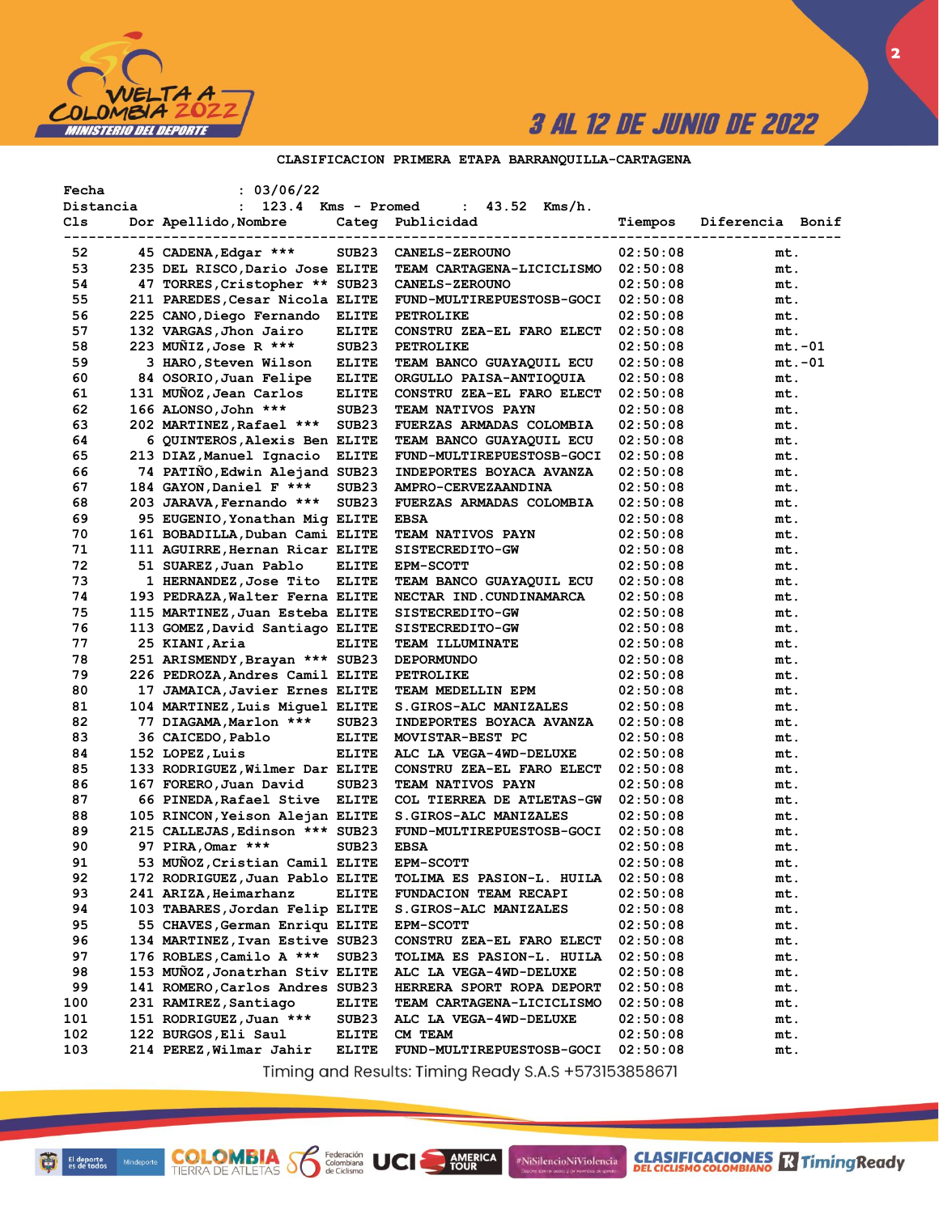

 $\overline{\mathbf{2}}$ 

### CLASIFICACION PRIMERA ETAPA BARRANQUILLA-CARTAGENA

| Fecha<br>Distancia | : 03/06/22<br>123.4 Kms - Promed<br>$\mathbf{L}$ |                   | $43.52$ Kms/h.<br>$2.0\%$        |          |                  |
|--------------------|--------------------------------------------------|-------------------|----------------------------------|----------|------------------|
| Cls.               | Dor Apellido, Nombre                             |                   | Categ Publicidad                 | Tiempos  | Diferencia Bonif |
| 52                 | 45 CADENA, Edgar ***                             | SUB23             | <b>CANELS-ZEROUNO</b>            | 02:50:08 | mt.              |
| 53                 | 235 DEL RISCO, Dario Jose ELITE                  |                   | <b>TEAM CARTAGENA-LICICLISMO</b> | 02:50:08 | mt.              |
| 54                 | 47 TORRES, Cristopher ** SUB23                   |                   | <b>CANELS-ZEROUNO</b>            | 02:50:08 | mt.              |
| 55                 | 211 PAREDES, Cesar Nicola ELITE                  |                   | FUND-MULTIREPUESTOSB-GOCI        | 02:50:08 | mt.              |
| 56                 | 225 CANO, Diego Fernando ELITE                   |                   | PETROLIKE                        | 02:50:08 | mt.              |
| 57                 | 132 VARGAS, Jhon Jairo                           | <b>ELITE</b>      | CONSTRU ZEA-EL FARO ELECT        | 02:50:08 | mt.              |
| 58                 | 223 MUÑIZ, Jose R ***                            | SUB <sub>23</sub> | PETROLIKE                        | 02:50:08 | $mt.-01$         |
| 59                 | 3 HARO, Steven Wilson                            | <b>ELITE</b>      | TEAM BANCO GUAYAQUIL ECU         | 02:50:08 | $mt.-01$         |
| 60                 | 84 OSORIO, Juan Felipe                           | ELITE             | ORGULLO PAISA-ANTIOQUIA          | 02:50:08 | mt.              |
| 61                 | 131 MUÑOZ, Jean Carlos                           | <b>ELITE</b>      | CONSTRU ZEA-EL FARO ELECT        | 02:50:08 | mt.              |
| 62                 | 166 ALONSO, John ***                             | SUB23             | TEAM NATIVOS PAYN                | 02:50:08 | mt.              |
| 63                 | 202 MARTINEZ, Rafael ***                         | SUB23             | FUERZAS ARMADAS COLOMBIA         | 02:50:08 | mt.              |
| 64                 | 6 QUINTEROS, Alexis Ben ELITE                    |                   | TEAM BANCO GUAYAQUIL ECU         | 02:50:08 | mt.              |
| 65                 | 213 DIAZ, Manuel Ignacio                         | <b>ELITE</b>      | FUND-MULTIREPUESTOSB-GOCI        | 02:50:08 | mt.              |
| 66                 | 74 PATIÑO, Edwin Alejand SUB23                   |                   | INDEPORTES BOYACA AVANZA         | 02:50:08 | mt.              |
| 67                 | 184 GAYON, Daniel F ***                          | SUB <sub>23</sub> | AMPRO-CERVEZAANDINA              | 02:50:08 | mt.              |
| 68                 | 203 JARAVA, Fernando ***                         | SUB <sub>23</sub> | FUERZAS ARMADAS COLOMBIA         | 02:50:08 | mt.              |
| 69                 | 95 EUGENIO, Yonathan Mig ELITE                   |                   | <b>EBSA</b>                      | 02:50:08 | mt.              |
| 70                 | 161 BOBADILLA, Duban Cami ELITE                  |                   | TEAM NATIVOS PAYN                | 02:50:08 | mt.              |
| 71                 | 111 AGUIRRE, Hernan Ricar ELITE                  |                   | SISTECREDITO-GW                  | 02:50:08 | mt.              |
| 72                 | 51 SUAREZ,Juan Pablo                             | <b>ELITE</b>      | <b>EPM-SCOTT</b>                 | 02:50:08 | mt.              |
| 73                 | 1 HERNANDEZ, Jose Tito ELITE                     |                   | TEAM BANCO GUAYAQUIL ECU         | 02:50:08 | mt.              |
| 74                 | 193 PEDRAZA, Walter Ferna ELITE                  |                   | NECTAR IND. CUNDINAMARCA         | 02:50:08 | mt.              |
| 75                 | 115 MARTINEZ, Juan Esteba ELITE                  |                   | SISTECREDITO-GW                  | 02:50:08 | mt.              |
| 76                 | 113 GOMEZ, David Santiago ELITE                  |                   | SISTECREDITO-GW                  | 02:50:08 | mt.              |
| 77                 | 25 KIANI, Aria                                   | <b>ELITE</b>      | <b>TEAM ILLUMINATE</b>           | 02:50:08 | mt.              |
| 78                 | 251 ARISMENDY, Brayan *** SUB23                  |                   | <b>DEPORMUNDO</b>                | 02:50:08 | mt.              |
| 79                 | 226 PEDROZA, Andres Camil ELITE                  |                   | <b>PETROLIKE</b>                 | 02:50:08 | mt.              |
| 80                 | 17 JAMAICA, Javier Ernes ELITE                   |                   | TEAM MEDELLIN EPM                | 02:50:08 | mt.              |
| 81                 | 104 MARTINEZ, Luis Miguel ELITE                  |                   | S.GIROS-ALC MANIZALES            | 02:50:08 | mt.              |
| 82                 | 77 DIAGAMA, Marlon ***                           | SUB <sub>23</sub> | INDEPORTES BOYACA AVANZA         | 02:50:08 | mt.              |
| 83                 | 36 CAICEDO, Pablo                                | <b>ELITE</b>      | MOVISTAR-BEST PC                 | 02:50:08 | mt.              |
| 84                 | 152 LOPEZ, Luis                                  | <b>ELITE</b>      | ALC LA VEGA-4WD-DELUXE           | 02:50:08 | mt.              |
| 85                 | 133 RODRIGUEZ, Wilmer Dar ELITE                  |                   | CONSTRU ZEA-EL FARO ELECT        | 02:50:08 | mt.              |
| 86                 | 167 FORERO, Juan David                           | SUB <sub>23</sub> | TEAM NATIVOS PAYN                | 02:50:08 | mt.              |
| 87                 | 66 PINEDA, Rafael Stive ELITE                    |                   | COL TIERREA DE ATLETAS-GW        | 02:50:08 | mt.              |
| 88                 | 105 RINCON, Yeison Alejan ELITE                  |                   | S.GIROS-ALC MANIZALES            | 02:50:08 | mt.              |
| 89                 | 215 CALLEJAS, Edinson *** SUB23                  |                   | FUND-MULTIREPUESTOSB-GOCI        | 02:50:08 | mt.              |
| 90                 | 97 PIRA, Omar ***                                | SUB <sub>23</sub> | <b>EBSA</b>                      | 02:50:08 | mt.              |
| 91                 | 53 MUÑOZ, Cristian Camil ELITE                   |                   | EPM-SCOTT                        | 02:50:08 | mt.              |
| 92                 | 172 RODRIGUEZ, Juan Pablo ELITE                  |                   | TOLIMA ES PASION-L. HUILA        | 02:50:08 | mt.              |
| 93                 | 241 ARIZA, Heimarhanz                            | <b>ELITE</b>      | FUNDACION TEAM RECAPI            | 02:50:08 | mt.              |
| 94                 | 103 TABARES, Jordan Felip ELITE                  |                   | S.GIROS-ALC MANIZALES            | 02:50:08 | mt.              |
| 95                 | 55 CHAVES, German Enriqu ELITE                   |                   | <b>EPM-SCOTT</b>                 | 02:50:08 | mt.              |
| 96                 | 134 MARTINEZ, Ivan Estive SUB23                  |                   | CONSTRU ZEA-EL FARO ELECT        | 02:50:08 | mt.              |
| 97                 | 176 ROBLES, Camilo A ***                         | SUB <sub>23</sub> | TOLIMA ES PASION-L. HUILA        | 02:50:08 | mt.              |
| 98                 | 153 MUÑOZ, Jonatrhan Stiv ELITE                  |                   | ALC LA VEGA-4WD-DELUXE           | 02:50:08 | mt.              |
| 99                 | 141 ROMERO, Carlos Andres SUB23                  |                   | HERRERA SPORT ROPA DEPORT        | 02:50:08 | mt.              |
| 100                | 231 RAMIREZ, Santiago                            | <b>ELITE</b>      | TEAM CARTAGENA-LICICLISMO        | 02:50:08 | mt.              |
| 101                | 151 RODRIGUEZ, Juan ***                          | SUB <sub>23</sub> | ALC LA VEGA-4WD-DELUXE           | 02:50:08 | mt.              |
| 102                | 122 BURGOS, Eli Saul                             | <b>ELITE</b>      | CM TEAM                          | 02:50:08 | mt.              |
| 103                | 214 PEREZ, Wilmar Jahir                          | <b>ELITE</b>      | FUND-MULTIREPUESTOSB-GOCI        | 02:50:08 | mt.              |
|                    |                                                  |                   |                                  |          |                  |

Timing and Results: Timing Ready S.A.S +573153858671

AMERICA

#NiSilencioNiViolencia

Federación<br>Colombiana<br>de Ciclismo

**COLOMBIA SP**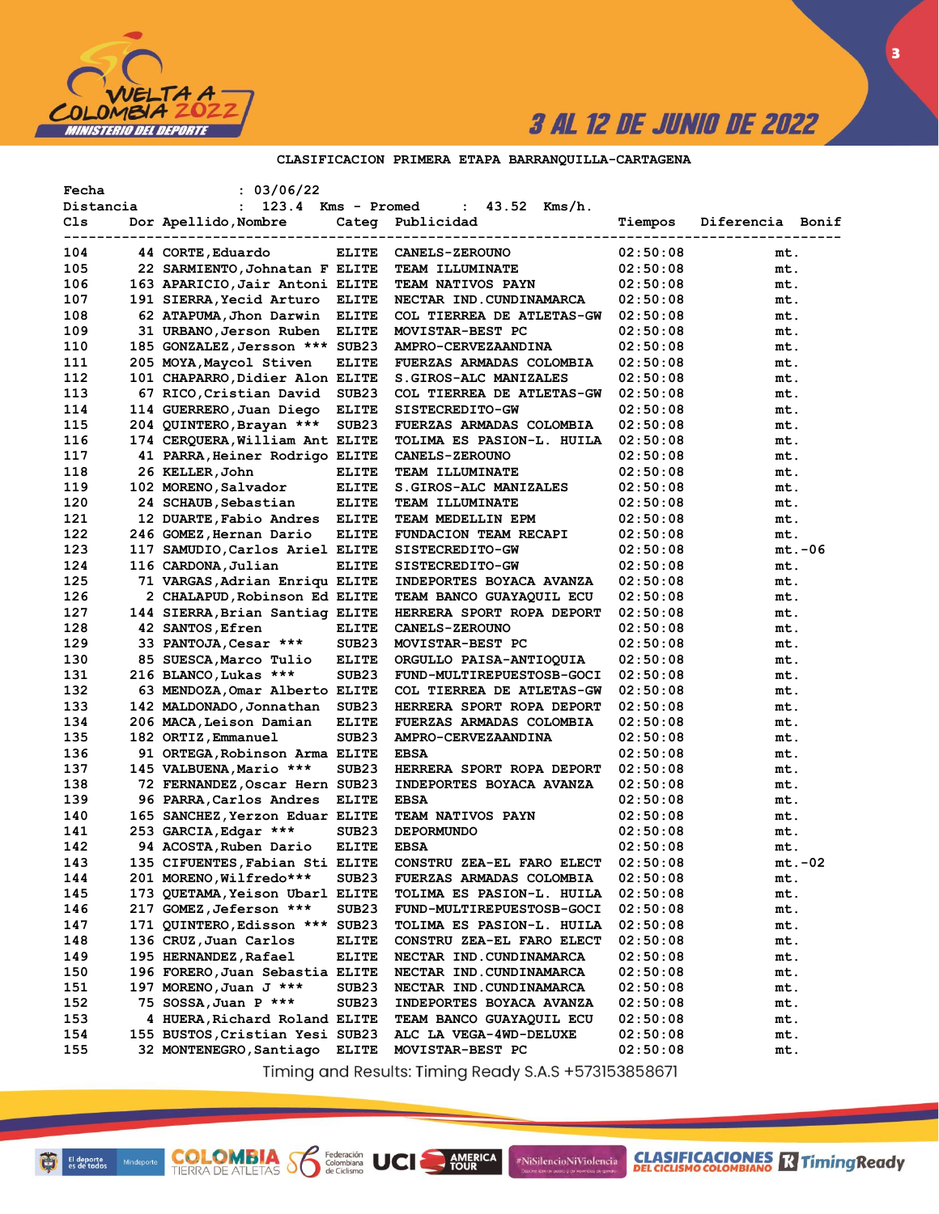

3

### CLASIFICACION PRIMERA ETAPA BARRANQUILLA-CARTAGENA

| 123.4 Kms - Promed<br>: $43.52$ Kms/h.<br>Distancia<br>$\mathbf{L}$<br>Cls<br>Dor Apellido, Nombre<br>Diferencia Bonif<br>Categ Publicidad<br>Tiempos<br>----------------------------<br>44 CORTE, Eduardo<br><b>ELITE</b><br>02:50:08<br>104<br><b>CANELS-ZEROUNO</b><br>mt.<br>105<br>22 SARMIENTO, Johnatan F ELITE<br><b>TEAM ILLUMINATE</b><br>02:50:08<br>mt.<br>106<br>163 APARICIO, Jair Antoni ELITE<br><b>TEAM NATIVOS PAYN</b><br>02:50:08<br>mt.<br>107<br>191 SIERRA, Yecid Arturo<br><b>ELITE</b><br>NECTAR IND. CUNDINAMARCA<br>02:50:08<br>mt.<br>108<br>62 ATAPUMA, Jhon Darwin ELITE<br>COL TIERREA DE ATLETAS-GW<br>02:50:08<br>mt.<br>109<br>31 URBANO, Jerson Ruben<br><b>ELITE</b><br>MOVISTAR-BEST PC<br>02:50:08<br>mt.<br>110<br>185 GONZALEZ, Jersson *** SUB23<br>AMPRO-CERVEZAANDINA<br>02:50:08<br>mt.<br>111<br>205 MOYA, Maycol Stiven<br>ELITE<br>FUERZAS ARMADAS COLOMBIA<br>02:50:08<br>mt.<br>112<br>101 CHAPARRO, Didier Alon ELITE<br>S.GIROS-ALC MANIZALES<br>02:50:08<br>mt.<br>113<br>67 RICO, Cristian David<br>SUB23<br>COL TIERREA DE ATLETAS-GW<br>02:50:08<br>mt.<br>114<br>114 GUERRERO, Juan Diego<br><b>ELITE</b><br>SISTECREDITO-GW<br>02:50:08<br>mt.<br>115<br>204 QUINTERO, Brayan ***<br>SUB <sub>23</sub><br>FUERZAS ARMADAS COLOMBIA<br>02:50:08<br>mt.<br>116<br>174 CERQUERA, William Ant ELITE<br>TOLIMA ES PASION-L. HUILA<br>02:50:08<br>mt.<br>117<br>41 PARRA, Heiner Rodrigo ELITE<br><b>CANELS-ZEROUNO</b><br>02:50:08<br>mt.<br>118<br>26 KELLER, John<br><b>ELITE</b><br>02:50:08<br><b>TEAM ILLUMINATE</b><br>mt.<br>119<br>102 MORENO, Salvador<br><b>ELITE</b><br>S.GIROS-ALC MANIZALES<br>02:50:08<br>mt.<br>120<br>24 SCHAUB, Sebastian<br><b>ELITE</b><br>TEAM ILLUMINATE<br>02:50:08<br>mt.<br>121<br>12 DUARTE, Fabio Andres ELITE<br>TEAM MEDELLIN EPM<br>02:50:08<br>mt.<br>122<br>246 GOMEZ, Hernan Dario<br><b>ELITE</b><br><b>FUNDACION TEAM RECAPI</b><br>02:50:08<br>mt.<br>123<br>117 SAMUDIO, Carlos Ariel ELITE<br>$mt.-06$<br>SISTECREDITO-GW<br>02:50:08<br>124<br>116 CARDONA, Julian<br>ELITE<br>SISTECREDITO-GW<br>02:50:08<br>mt.<br>125<br>71 VARGAS, Adrian Enriqu ELITE<br>INDEPORTES BOYACA AVANZA<br>02:50:08<br>mt.<br>126<br>2 CHALAPUD, Robinson Ed ELITE<br>TEAM BANCO GUAYAQUIL ECU<br>02:50:08<br>mt.<br>127<br>144 SIERRA, Brian Santiag ELITE<br>HERRERA SPORT ROPA DEPORT<br>02:50:08<br>mt.<br>128<br>42 SANTOS, Efren<br><b>ELITE</b><br><b>CANELS-ZEROUNO</b><br>02:50:08<br>mt.<br>129<br>33 PANTOJA, Cesar ***<br>SUB <sub>23</sub><br>MOVISTAR-BEST PC<br>02:50:08<br>mt.<br>130<br>85 SUESCA, Marco Tulio<br><b>ELITE</b><br>ORGULLO PAISA-ANTIOQUIA<br>02:50:08<br>mt.<br>131<br>216 BLANCO, Lukas ***<br>SUB <sub>23</sub><br>FUND-MULTIREPUESTOSB-GOCI<br>02:50:08<br>mt.<br>132<br>63 MENDOZA, Omar Alberto ELITE<br>COL TIERREA DE ATLETAS-GW<br>02:50:08<br>mt.<br>133<br>142 MALDONADO, Jonnathan<br>SUB <sub>23</sub><br>HERRERA SPORT ROPA DEPORT<br>02:50:08<br>mt.<br>134<br>206 MACA, Leison Damian<br><b>ELITE</b><br>FUERZAS ARMADAS COLOMBIA<br>02:50:08<br>mt.<br>135<br>182 ORTIZ, Emmanuel<br>SUB <sub>23</sub><br>AMPRO-CERVEZAANDINA<br>02:50:08<br>mt.<br>136<br>91 ORTEGA, Robinson Arma ELITE<br><b>EBSA</b><br>02:50:08<br>mt.<br>137<br>145 VALBUENA, Mario ***<br>SUB <sub>23</sub><br>HERRERA SPORT ROPA DEPORT<br>02:50:08<br>mt.<br>138<br>72 FERNANDEZ, Oscar Hern SUB23<br>INDEPORTES BOYACA AVANZA<br>02:50:08<br>mt.<br>139<br>96 PARRA, Carlos Andres<br><b>ELITE</b><br><b>EBSA</b><br>02:50:08<br>mt.<br>140<br>165 SANCHEZ, Yerzon Eduar ELITE<br><b>TEAM NATIVOS PAYN</b><br>02:50:08<br>mt.<br>253 GARCIA, Edgar ***<br>SUB <sub>23</sub><br>02:50:08<br>141<br><b>DEPORMUNDO</b><br>mt.<br>142<br>94 ACOSTA, Ruben Dario<br><b>ELITE</b><br><b>EBSA</b><br>02:50:08<br>mt.<br>143<br>135 CIFUENTES, Fabian Sti ELITE<br>CONSTRU ZEA-EL FARO ELECT<br>02:50:08<br>$mt.-02$<br>144<br>201 MORENO, Wilfredo***<br>02:50:08<br>SUB23<br><b>FUERZAS ARMADAS COLOMBIA</b><br>mt.<br>145<br>173 QUETAMA, Yeison Ubarl ELITE<br><b>TOLIMA ES PASION-L. HUILA</b><br>02:50:08<br>mt.<br>217 GOMEZ, Jeferson ***<br>146<br>SUB23<br>FUND-MULTIREPUESTOSB-GOCI<br>02:50:08<br>mt.<br>147<br>171 QUINTERO, Edisson *** SUB23<br>TOLIMA ES PASION-L. HUILA<br>02:50:08<br>mt.<br>148<br>136 CRUZ, Juan Carlos<br><b>ELITE</b><br>CONSTRU ZEA-EL FARO ELECT<br>02:50:08<br>mt.<br>149<br>195 HERNANDEZ, Rafael<br>ELITE<br>NECTAR IND. CUNDINAMARCA<br>02:50:08<br>mt. | Fecha | : 03/06/22 |  |  |
|-----------------------------------------------------------------------------------------------------------------------------------------------------------------------------------------------------------------------------------------------------------------------------------------------------------------------------------------------------------------------------------------------------------------------------------------------------------------------------------------------------------------------------------------------------------------------------------------------------------------------------------------------------------------------------------------------------------------------------------------------------------------------------------------------------------------------------------------------------------------------------------------------------------------------------------------------------------------------------------------------------------------------------------------------------------------------------------------------------------------------------------------------------------------------------------------------------------------------------------------------------------------------------------------------------------------------------------------------------------------------------------------------------------------------------------------------------------------------------------------------------------------------------------------------------------------------------------------------------------------------------------------------------------------------------------------------------------------------------------------------------------------------------------------------------------------------------------------------------------------------------------------------------------------------------------------------------------------------------------------------------------------------------------------------------------------------------------------------------------------------------------------------------------------------------------------------------------------------------------------------------------------------------------------------------------------------------------------------------------------------------------------------------------------------------------------------------------------------------------------------------------------------------------------------------------------------------------------------------------------------------------------------------------------------------------------------------------------------------------------------------------------------------------------------------------------------------------------------------------------------------------------------------------------------------------------------------------------------------------------------------------------------------------------------------------------------------------------------------------------------------------------------------------------------------------------------------------------------------------------------------------------------------------------------------------------------------------------------------------------------------------------------------------------------------------------------------------------------------------------------------------------------------------------------------------------------------------------------------------------------------------------------------------------------------------------------------------------------------------------------------------------------------------------------------------------------------------------------------------------------------------------------------------------------------------------------------------------------------------------------------------------------------------------------------------------------------------------------------------------------------------------------------------------------------------------------------------------------------------------------------------------------------------------------------------------------------------------------------------------------------------------------------------------------------------------------------------------------------------------------------------------|-------|------------|--|--|
|                                                                                                                                                                                                                                                                                                                                                                                                                                                                                                                                                                                                                                                                                                                                                                                                                                                                                                                                                                                                                                                                                                                                                                                                                                                                                                                                                                                                                                                                                                                                                                                                                                                                                                                                                                                                                                                                                                                                                                                                                                                                                                                                                                                                                                                                                                                                                                                                                                                                                                                                                                                                                                                                                                                                                                                                                                                                                                                                                                                                                                                                                                                                                                                                                                                                                                                                                                                                                                                                                                                                                                                                                                                                                                                                                                                                                                                                                                                                                                                                                                                                                                                                                                                                                                                                                                                                                                                                                                                                                                                 |       |            |  |  |
|                                                                                                                                                                                                                                                                                                                                                                                                                                                                                                                                                                                                                                                                                                                                                                                                                                                                                                                                                                                                                                                                                                                                                                                                                                                                                                                                                                                                                                                                                                                                                                                                                                                                                                                                                                                                                                                                                                                                                                                                                                                                                                                                                                                                                                                                                                                                                                                                                                                                                                                                                                                                                                                                                                                                                                                                                                                                                                                                                                                                                                                                                                                                                                                                                                                                                                                                                                                                                                                                                                                                                                                                                                                                                                                                                                                                                                                                                                                                                                                                                                                                                                                                                                                                                                                                                                                                                                                                                                                                                                                 |       |            |  |  |
|                                                                                                                                                                                                                                                                                                                                                                                                                                                                                                                                                                                                                                                                                                                                                                                                                                                                                                                                                                                                                                                                                                                                                                                                                                                                                                                                                                                                                                                                                                                                                                                                                                                                                                                                                                                                                                                                                                                                                                                                                                                                                                                                                                                                                                                                                                                                                                                                                                                                                                                                                                                                                                                                                                                                                                                                                                                                                                                                                                                                                                                                                                                                                                                                                                                                                                                                                                                                                                                                                                                                                                                                                                                                                                                                                                                                                                                                                                                                                                                                                                                                                                                                                                                                                                                                                                                                                                                                                                                                                                                 |       |            |  |  |
|                                                                                                                                                                                                                                                                                                                                                                                                                                                                                                                                                                                                                                                                                                                                                                                                                                                                                                                                                                                                                                                                                                                                                                                                                                                                                                                                                                                                                                                                                                                                                                                                                                                                                                                                                                                                                                                                                                                                                                                                                                                                                                                                                                                                                                                                                                                                                                                                                                                                                                                                                                                                                                                                                                                                                                                                                                                                                                                                                                                                                                                                                                                                                                                                                                                                                                                                                                                                                                                                                                                                                                                                                                                                                                                                                                                                                                                                                                                                                                                                                                                                                                                                                                                                                                                                                                                                                                                                                                                                                                                 |       |            |  |  |
|                                                                                                                                                                                                                                                                                                                                                                                                                                                                                                                                                                                                                                                                                                                                                                                                                                                                                                                                                                                                                                                                                                                                                                                                                                                                                                                                                                                                                                                                                                                                                                                                                                                                                                                                                                                                                                                                                                                                                                                                                                                                                                                                                                                                                                                                                                                                                                                                                                                                                                                                                                                                                                                                                                                                                                                                                                                                                                                                                                                                                                                                                                                                                                                                                                                                                                                                                                                                                                                                                                                                                                                                                                                                                                                                                                                                                                                                                                                                                                                                                                                                                                                                                                                                                                                                                                                                                                                                                                                                                                                 |       |            |  |  |
|                                                                                                                                                                                                                                                                                                                                                                                                                                                                                                                                                                                                                                                                                                                                                                                                                                                                                                                                                                                                                                                                                                                                                                                                                                                                                                                                                                                                                                                                                                                                                                                                                                                                                                                                                                                                                                                                                                                                                                                                                                                                                                                                                                                                                                                                                                                                                                                                                                                                                                                                                                                                                                                                                                                                                                                                                                                                                                                                                                                                                                                                                                                                                                                                                                                                                                                                                                                                                                                                                                                                                                                                                                                                                                                                                                                                                                                                                                                                                                                                                                                                                                                                                                                                                                                                                                                                                                                                                                                                                                                 |       |            |  |  |
|                                                                                                                                                                                                                                                                                                                                                                                                                                                                                                                                                                                                                                                                                                                                                                                                                                                                                                                                                                                                                                                                                                                                                                                                                                                                                                                                                                                                                                                                                                                                                                                                                                                                                                                                                                                                                                                                                                                                                                                                                                                                                                                                                                                                                                                                                                                                                                                                                                                                                                                                                                                                                                                                                                                                                                                                                                                                                                                                                                                                                                                                                                                                                                                                                                                                                                                                                                                                                                                                                                                                                                                                                                                                                                                                                                                                                                                                                                                                                                                                                                                                                                                                                                                                                                                                                                                                                                                                                                                                                                                 |       |            |  |  |
|                                                                                                                                                                                                                                                                                                                                                                                                                                                                                                                                                                                                                                                                                                                                                                                                                                                                                                                                                                                                                                                                                                                                                                                                                                                                                                                                                                                                                                                                                                                                                                                                                                                                                                                                                                                                                                                                                                                                                                                                                                                                                                                                                                                                                                                                                                                                                                                                                                                                                                                                                                                                                                                                                                                                                                                                                                                                                                                                                                                                                                                                                                                                                                                                                                                                                                                                                                                                                                                                                                                                                                                                                                                                                                                                                                                                                                                                                                                                                                                                                                                                                                                                                                                                                                                                                                                                                                                                                                                                                                                 |       |            |  |  |
|                                                                                                                                                                                                                                                                                                                                                                                                                                                                                                                                                                                                                                                                                                                                                                                                                                                                                                                                                                                                                                                                                                                                                                                                                                                                                                                                                                                                                                                                                                                                                                                                                                                                                                                                                                                                                                                                                                                                                                                                                                                                                                                                                                                                                                                                                                                                                                                                                                                                                                                                                                                                                                                                                                                                                                                                                                                                                                                                                                                                                                                                                                                                                                                                                                                                                                                                                                                                                                                                                                                                                                                                                                                                                                                                                                                                                                                                                                                                                                                                                                                                                                                                                                                                                                                                                                                                                                                                                                                                                                                 |       |            |  |  |
|                                                                                                                                                                                                                                                                                                                                                                                                                                                                                                                                                                                                                                                                                                                                                                                                                                                                                                                                                                                                                                                                                                                                                                                                                                                                                                                                                                                                                                                                                                                                                                                                                                                                                                                                                                                                                                                                                                                                                                                                                                                                                                                                                                                                                                                                                                                                                                                                                                                                                                                                                                                                                                                                                                                                                                                                                                                                                                                                                                                                                                                                                                                                                                                                                                                                                                                                                                                                                                                                                                                                                                                                                                                                                                                                                                                                                                                                                                                                                                                                                                                                                                                                                                                                                                                                                                                                                                                                                                                                                                                 |       |            |  |  |
|                                                                                                                                                                                                                                                                                                                                                                                                                                                                                                                                                                                                                                                                                                                                                                                                                                                                                                                                                                                                                                                                                                                                                                                                                                                                                                                                                                                                                                                                                                                                                                                                                                                                                                                                                                                                                                                                                                                                                                                                                                                                                                                                                                                                                                                                                                                                                                                                                                                                                                                                                                                                                                                                                                                                                                                                                                                                                                                                                                                                                                                                                                                                                                                                                                                                                                                                                                                                                                                                                                                                                                                                                                                                                                                                                                                                                                                                                                                                                                                                                                                                                                                                                                                                                                                                                                                                                                                                                                                                                                                 |       |            |  |  |
|                                                                                                                                                                                                                                                                                                                                                                                                                                                                                                                                                                                                                                                                                                                                                                                                                                                                                                                                                                                                                                                                                                                                                                                                                                                                                                                                                                                                                                                                                                                                                                                                                                                                                                                                                                                                                                                                                                                                                                                                                                                                                                                                                                                                                                                                                                                                                                                                                                                                                                                                                                                                                                                                                                                                                                                                                                                                                                                                                                                                                                                                                                                                                                                                                                                                                                                                                                                                                                                                                                                                                                                                                                                                                                                                                                                                                                                                                                                                                                                                                                                                                                                                                                                                                                                                                                                                                                                                                                                                                                                 |       |            |  |  |
|                                                                                                                                                                                                                                                                                                                                                                                                                                                                                                                                                                                                                                                                                                                                                                                                                                                                                                                                                                                                                                                                                                                                                                                                                                                                                                                                                                                                                                                                                                                                                                                                                                                                                                                                                                                                                                                                                                                                                                                                                                                                                                                                                                                                                                                                                                                                                                                                                                                                                                                                                                                                                                                                                                                                                                                                                                                                                                                                                                                                                                                                                                                                                                                                                                                                                                                                                                                                                                                                                                                                                                                                                                                                                                                                                                                                                                                                                                                                                                                                                                                                                                                                                                                                                                                                                                                                                                                                                                                                                                                 |       |            |  |  |
|                                                                                                                                                                                                                                                                                                                                                                                                                                                                                                                                                                                                                                                                                                                                                                                                                                                                                                                                                                                                                                                                                                                                                                                                                                                                                                                                                                                                                                                                                                                                                                                                                                                                                                                                                                                                                                                                                                                                                                                                                                                                                                                                                                                                                                                                                                                                                                                                                                                                                                                                                                                                                                                                                                                                                                                                                                                                                                                                                                                                                                                                                                                                                                                                                                                                                                                                                                                                                                                                                                                                                                                                                                                                                                                                                                                                                                                                                                                                                                                                                                                                                                                                                                                                                                                                                                                                                                                                                                                                                                                 |       |            |  |  |
|                                                                                                                                                                                                                                                                                                                                                                                                                                                                                                                                                                                                                                                                                                                                                                                                                                                                                                                                                                                                                                                                                                                                                                                                                                                                                                                                                                                                                                                                                                                                                                                                                                                                                                                                                                                                                                                                                                                                                                                                                                                                                                                                                                                                                                                                                                                                                                                                                                                                                                                                                                                                                                                                                                                                                                                                                                                                                                                                                                                                                                                                                                                                                                                                                                                                                                                                                                                                                                                                                                                                                                                                                                                                                                                                                                                                                                                                                                                                                                                                                                                                                                                                                                                                                                                                                                                                                                                                                                                                                                                 |       |            |  |  |
|                                                                                                                                                                                                                                                                                                                                                                                                                                                                                                                                                                                                                                                                                                                                                                                                                                                                                                                                                                                                                                                                                                                                                                                                                                                                                                                                                                                                                                                                                                                                                                                                                                                                                                                                                                                                                                                                                                                                                                                                                                                                                                                                                                                                                                                                                                                                                                                                                                                                                                                                                                                                                                                                                                                                                                                                                                                                                                                                                                                                                                                                                                                                                                                                                                                                                                                                                                                                                                                                                                                                                                                                                                                                                                                                                                                                                                                                                                                                                                                                                                                                                                                                                                                                                                                                                                                                                                                                                                                                                                                 |       |            |  |  |
|                                                                                                                                                                                                                                                                                                                                                                                                                                                                                                                                                                                                                                                                                                                                                                                                                                                                                                                                                                                                                                                                                                                                                                                                                                                                                                                                                                                                                                                                                                                                                                                                                                                                                                                                                                                                                                                                                                                                                                                                                                                                                                                                                                                                                                                                                                                                                                                                                                                                                                                                                                                                                                                                                                                                                                                                                                                                                                                                                                                                                                                                                                                                                                                                                                                                                                                                                                                                                                                                                                                                                                                                                                                                                                                                                                                                                                                                                                                                                                                                                                                                                                                                                                                                                                                                                                                                                                                                                                                                                                                 |       |            |  |  |
|                                                                                                                                                                                                                                                                                                                                                                                                                                                                                                                                                                                                                                                                                                                                                                                                                                                                                                                                                                                                                                                                                                                                                                                                                                                                                                                                                                                                                                                                                                                                                                                                                                                                                                                                                                                                                                                                                                                                                                                                                                                                                                                                                                                                                                                                                                                                                                                                                                                                                                                                                                                                                                                                                                                                                                                                                                                                                                                                                                                                                                                                                                                                                                                                                                                                                                                                                                                                                                                                                                                                                                                                                                                                                                                                                                                                                                                                                                                                                                                                                                                                                                                                                                                                                                                                                                                                                                                                                                                                                                                 |       |            |  |  |
|                                                                                                                                                                                                                                                                                                                                                                                                                                                                                                                                                                                                                                                                                                                                                                                                                                                                                                                                                                                                                                                                                                                                                                                                                                                                                                                                                                                                                                                                                                                                                                                                                                                                                                                                                                                                                                                                                                                                                                                                                                                                                                                                                                                                                                                                                                                                                                                                                                                                                                                                                                                                                                                                                                                                                                                                                                                                                                                                                                                                                                                                                                                                                                                                                                                                                                                                                                                                                                                                                                                                                                                                                                                                                                                                                                                                                                                                                                                                                                                                                                                                                                                                                                                                                                                                                                                                                                                                                                                                                                                 |       |            |  |  |
|                                                                                                                                                                                                                                                                                                                                                                                                                                                                                                                                                                                                                                                                                                                                                                                                                                                                                                                                                                                                                                                                                                                                                                                                                                                                                                                                                                                                                                                                                                                                                                                                                                                                                                                                                                                                                                                                                                                                                                                                                                                                                                                                                                                                                                                                                                                                                                                                                                                                                                                                                                                                                                                                                                                                                                                                                                                                                                                                                                                                                                                                                                                                                                                                                                                                                                                                                                                                                                                                                                                                                                                                                                                                                                                                                                                                                                                                                                                                                                                                                                                                                                                                                                                                                                                                                                                                                                                                                                                                                                                 |       |            |  |  |
|                                                                                                                                                                                                                                                                                                                                                                                                                                                                                                                                                                                                                                                                                                                                                                                                                                                                                                                                                                                                                                                                                                                                                                                                                                                                                                                                                                                                                                                                                                                                                                                                                                                                                                                                                                                                                                                                                                                                                                                                                                                                                                                                                                                                                                                                                                                                                                                                                                                                                                                                                                                                                                                                                                                                                                                                                                                                                                                                                                                                                                                                                                                                                                                                                                                                                                                                                                                                                                                                                                                                                                                                                                                                                                                                                                                                                                                                                                                                                                                                                                                                                                                                                                                                                                                                                                                                                                                                                                                                                                                 |       |            |  |  |
|                                                                                                                                                                                                                                                                                                                                                                                                                                                                                                                                                                                                                                                                                                                                                                                                                                                                                                                                                                                                                                                                                                                                                                                                                                                                                                                                                                                                                                                                                                                                                                                                                                                                                                                                                                                                                                                                                                                                                                                                                                                                                                                                                                                                                                                                                                                                                                                                                                                                                                                                                                                                                                                                                                                                                                                                                                                                                                                                                                                                                                                                                                                                                                                                                                                                                                                                                                                                                                                                                                                                                                                                                                                                                                                                                                                                                                                                                                                                                                                                                                                                                                                                                                                                                                                                                                                                                                                                                                                                                                                 |       |            |  |  |
|                                                                                                                                                                                                                                                                                                                                                                                                                                                                                                                                                                                                                                                                                                                                                                                                                                                                                                                                                                                                                                                                                                                                                                                                                                                                                                                                                                                                                                                                                                                                                                                                                                                                                                                                                                                                                                                                                                                                                                                                                                                                                                                                                                                                                                                                                                                                                                                                                                                                                                                                                                                                                                                                                                                                                                                                                                                                                                                                                                                                                                                                                                                                                                                                                                                                                                                                                                                                                                                                                                                                                                                                                                                                                                                                                                                                                                                                                                                                                                                                                                                                                                                                                                                                                                                                                                                                                                                                                                                                                                                 |       |            |  |  |
|                                                                                                                                                                                                                                                                                                                                                                                                                                                                                                                                                                                                                                                                                                                                                                                                                                                                                                                                                                                                                                                                                                                                                                                                                                                                                                                                                                                                                                                                                                                                                                                                                                                                                                                                                                                                                                                                                                                                                                                                                                                                                                                                                                                                                                                                                                                                                                                                                                                                                                                                                                                                                                                                                                                                                                                                                                                                                                                                                                                                                                                                                                                                                                                                                                                                                                                                                                                                                                                                                                                                                                                                                                                                                                                                                                                                                                                                                                                                                                                                                                                                                                                                                                                                                                                                                                                                                                                                                                                                                                                 |       |            |  |  |
|                                                                                                                                                                                                                                                                                                                                                                                                                                                                                                                                                                                                                                                                                                                                                                                                                                                                                                                                                                                                                                                                                                                                                                                                                                                                                                                                                                                                                                                                                                                                                                                                                                                                                                                                                                                                                                                                                                                                                                                                                                                                                                                                                                                                                                                                                                                                                                                                                                                                                                                                                                                                                                                                                                                                                                                                                                                                                                                                                                                                                                                                                                                                                                                                                                                                                                                                                                                                                                                                                                                                                                                                                                                                                                                                                                                                                                                                                                                                                                                                                                                                                                                                                                                                                                                                                                                                                                                                                                                                                                                 |       |            |  |  |
|                                                                                                                                                                                                                                                                                                                                                                                                                                                                                                                                                                                                                                                                                                                                                                                                                                                                                                                                                                                                                                                                                                                                                                                                                                                                                                                                                                                                                                                                                                                                                                                                                                                                                                                                                                                                                                                                                                                                                                                                                                                                                                                                                                                                                                                                                                                                                                                                                                                                                                                                                                                                                                                                                                                                                                                                                                                                                                                                                                                                                                                                                                                                                                                                                                                                                                                                                                                                                                                                                                                                                                                                                                                                                                                                                                                                                                                                                                                                                                                                                                                                                                                                                                                                                                                                                                                                                                                                                                                                                                                 |       |            |  |  |
|                                                                                                                                                                                                                                                                                                                                                                                                                                                                                                                                                                                                                                                                                                                                                                                                                                                                                                                                                                                                                                                                                                                                                                                                                                                                                                                                                                                                                                                                                                                                                                                                                                                                                                                                                                                                                                                                                                                                                                                                                                                                                                                                                                                                                                                                                                                                                                                                                                                                                                                                                                                                                                                                                                                                                                                                                                                                                                                                                                                                                                                                                                                                                                                                                                                                                                                                                                                                                                                                                                                                                                                                                                                                                                                                                                                                                                                                                                                                                                                                                                                                                                                                                                                                                                                                                                                                                                                                                                                                                                                 |       |            |  |  |
|                                                                                                                                                                                                                                                                                                                                                                                                                                                                                                                                                                                                                                                                                                                                                                                                                                                                                                                                                                                                                                                                                                                                                                                                                                                                                                                                                                                                                                                                                                                                                                                                                                                                                                                                                                                                                                                                                                                                                                                                                                                                                                                                                                                                                                                                                                                                                                                                                                                                                                                                                                                                                                                                                                                                                                                                                                                                                                                                                                                                                                                                                                                                                                                                                                                                                                                                                                                                                                                                                                                                                                                                                                                                                                                                                                                                                                                                                                                                                                                                                                                                                                                                                                                                                                                                                                                                                                                                                                                                                                                 |       |            |  |  |
|                                                                                                                                                                                                                                                                                                                                                                                                                                                                                                                                                                                                                                                                                                                                                                                                                                                                                                                                                                                                                                                                                                                                                                                                                                                                                                                                                                                                                                                                                                                                                                                                                                                                                                                                                                                                                                                                                                                                                                                                                                                                                                                                                                                                                                                                                                                                                                                                                                                                                                                                                                                                                                                                                                                                                                                                                                                                                                                                                                                                                                                                                                                                                                                                                                                                                                                                                                                                                                                                                                                                                                                                                                                                                                                                                                                                                                                                                                                                                                                                                                                                                                                                                                                                                                                                                                                                                                                                                                                                                                                 |       |            |  |  |
|                                                                                                                                                                                                                                                                                                                                                                                                                                                                                                                                                                                                                                                                                                                                                                                                                                                                                                                                                                                                                                                                                                                                                                                                                                                                                                                                                                                                                                                                                                                                                                                                                                                                                                                                                                                                                                                                                                                                                                                                                                                                                                                                                                                                                                                                                                                                                                                                                                                                                                                                                                                                                                                                                                                                                                                                                                                                                                                                                                                                                                                                                                                                                                                                                                                                                                                                                                                                                                                                                                                                                                                                                                                                                                                                                                                                                                                                                                                                                                                                                                                                                                                                                                                                                                                                                                                                                                                                                                                                                                                 |       |            |  |  |
|                                                                                                                                                                                                                                                                                                                                                                                                                                                                                                                                                                                                                                                                                                                                                                                                                                                                                                                                                                                                                                                                                                                                                                                                                                                                                                                                                                                                                                                                                                                                                                                                                                                                                                                                                                                                                                                                                                                                                                                                                                                                                                                                                                                                                                                                                                                                                                                                                                                                                                                                                                                                                                                                                                                                                                                                                                                                                                                                                                                                                                                                                                                                                                                                                                                                                                                                                                                                                                                                                                                                                                                                                                                                                                                                                                                                                                                                                                                                                                                                                                                                                                                                                                                                                                                                                                                                                                                                                                                                                                                 |       |            |  |  |
|                                                                                                                                                                                                                                                                                                                                                                                                                                                                                                                                                                                                                                                                                                                                                                                                                                                                                                                                                                                                                                                                                                                                                                                                                                                                                                                                                                                                                                                                                                                                                                                                                                                                                                                                                                                                                                                                                                                                                                                                                                                                                                                                                                                                                                                                                                                                                                                                                                                                                                                                                                                                                                                                                                                                                                                                                                                                                                                                                                                                                                                                                                                                                                                                                                                                                                                                                                                                                                                                                                                                                                                                                                                                                                                                                                                                                                                                                                                                                                                                                                                                                                                                                                                                                                                                                                                                                                                                                                                                                                                 |       |            |  |  |
|                                                                                                                                                                                                                                                                                                                                                                                                                                                                                                                                                                                                                                                                                                                                                                                                                                                                                                                                                                                                                                                                                                                                                                                                                                                                                                                                                                                                                                                                                                                                                                                                                                                                                                                                                                                                                                                                                                                                                                                                                                                                                                                                                                                                                                                                                                                                                                                                                                                                                                                                                                                                                                                                                                                                                                                                                                                                                                                                                                                                                                                                                                                                                                                                                                                                                                                                                                                                                                                                                                                                                                                                                                                                                                                                                                                                                                                                                                                                                                                                                                                                                                                                                                                                                                                                                                                                                                                                                                                                                                                 |       |            |  |  |
|                                                                                                                                                                                                                                                                                                                                                                                                                                                                                                                                                                                                                                                                                                                                                                                                                                                                                                                                                                                                                                                                                                                                                                                                                                                                                                                                                                                                                                                                                                                                                                                                                                                                                                                                                                                                                                                                                                                                                                                                                                                                                                                                                                                                                                                                                                                                                                                                                                                                                                                                                                                                                                                                                                                                                                                                                                                                                                                                                                                                                                                                                                                                                                                                                                                                                                                                                                                                                                                                                                                                                                                                                                                                                                                                                                                                                                                                                                                                                                                                                                                                                                                                                                                                                                                                                                                                                                                                                                                                                                                 |       |            |  |  |
|                                                                                                                                                                                                                                                                                                                                                                                                                                                                                                                                                                                                                                                                                                                                                                                                                                                                                                                                                                                                                                                                                                                                                                                                                                                                                                                                                                                                                                                                                                                                                                                                                                                                                                                                                                                                                                                                                                                                                                                                                                                                                                                                                                                                                                                                                                                                                                                                                                                                                                                                                                                                                                                                                                                                                                                                                                                                                                                                                                                                                                                                                                                                                                                                                                                                                                                                                                                                                                                                                                                                                                                                                                                                                                                                                                                                                                                                                                                                                                                                                                                                                                                                                                                                                                                                                                                                                                                                                                                                                                                 |       |            |  |  |
|                                                                                                                                                                                                                                                                                                                                                                                                                                                                                                                                                                                                                                                                                                                                                                                                                                                                                                                                                                                                                                                                                                                                                                                                                                                                                                                                                                                                                                                                                                                                                                                                                                                                                                                                                                                                                                                                                                                                                                                                                                                                                                                                                                                                                                                                                                                                                                                                                                                                                                                                                                                                                                                                                                                                                                                                                                                                                                                                                                                                                                                                                                                                                                                                                                                                                                                                                                                                                                                                                                                                                                                                                                                                                                                                                                                                                                                                                                                                                                                                                                                                                                                                                                                                                                                                                                                                                                                                                                                                                                                 |       |            |  |  |
|                                                                                                                                                                                                                                                                                                                                                                                                                                                                                                                                                                                                                                                                                                                                                                                                                                                                                                                                                                                                                                                                                                                                                                                                                                                                                                                                                                                                                                                                                                                                                                                                                                                                                                                                                                                                                                                                                                                                                                                                                                                                                                                                                                                                                                                                                                                                                                                                                                                                                                                                                                                                                                                                                                                                                                                                                                                                                                                                                                                                                                                                                                                                                                                                                                                                                                                                                                                                                                                                                                                                                                                                                                                                                                                                                                                                                                                                                                                                                                                                                                                                                                                                                                                                                                                                                                                                                                                                                                                                                                                 |       |            |  |  |
|                                                                                                                                                                                                                                                                                                                                                                                                                                                                                                                                                                                                                                                                                                                                                                                                                                                                                                                                                                                                                                                                                                                                                                                                                                                                                                                                                                                                                                                                                                                                                                                                                                                                                                                                                                                                                                                                                                                                                                                                                                                                                                                                                                                                                                                                                                                                                                                                                                                                                                                                                                                                                                                                                                                                                                                                                                                                                                                                                                                                                                                                                                                                                                                                                                                                                                                                                                                                                                                                                                                                                                                                                                                                                                                                                                                                                                                                                                                                                                                                                                                                                                                                                                                                                                                                                                                                                                                                                                                                                                                 |       |            |  |  |
|                                                                                                                                                                                                                                                                                                                                                                                                                                                                                                                                                                                                                                                                                                                                                                                                                                                                                                                                                                                                                                                                                                                                                                                                                                                                                                                                                                                                                                                                                                                                                                                                                                                                                                                                                                                                                                                                                                                                                                                                                                                                                                                                                                                                                                                                                                                                                                                                                                                                                                                                                                                                                                                                                                                                                                                                                                                                                                                                                                                                                                                                                                                                                                                                                                                                                                                                                                                                                                                                                                                                                                                                                                                                                                                                                                                                                                                                                                                                                                                                                                                                                                                                                                                                                                                                                                                                                                                                                                                                                                                 |       |            |  |  |
|                                                                                                                                                                                                                                                                                                                                                                                                                                                                                                                                                                                                                                                                                                                                                                                                                                                                                                                                                                                                                                                                                                                                                                                                                                                                                                                                                                                                                                                                                                                                                                                                                                                                                                                                                                                                                                                                                                                                                                                                                                                                                                                                                                                                                                                                                                                                                                                                                                                                                                                                                                                                                                                                                                                                                                                                                                                                                                                                                                                                                                                                                                                                                                                                                                                                                                                                                                                                                                                                                                                                                                                                                                                                                                                                                                                                                                                                                                                                                                                                                                                                                                                                                                                                                                                                                                                                                                                                                                                                                                                 |       |            |  |  |
|                                                                                                                                                                                                                                                                                                                                                                                                                                                                                                                                                                                                                                                                                                                                                                                                                                                                                                                                                                                                                                                                                                                                                                                                                                                                                                                                                                                                                                                                                                                                                                                                                                                                                                                                                                                                                                                                                                                                                                                                                                                                                                                                                                                                                                                                                                                                                                                                                                                                                                                                                                                                                                                                                                                                                                                                                                                                                                                                                                                                                                                                                                                                                                                                                                                                                                                                                                                                                                                                                                                                                                                                                                                                                                                                                                                                                                                                                                                                                                                                                                                                                                                                                                                                                                                                                                                                                                                                                                                                                                                 |       |            |  |  |
|                                                                                                                                                                                                                                                                                                                                                                                                                                                                                                                                                                                                                                                                                                                                                                                                                                                                                                                                                                                                                                                                                                                                                                                                                                                                                                                                                                                                                                                                                                                                                                                                                                                                                                                                                                                                                                                                                                                                                                                                                                                                                                                                                                                                                                                                                                                                                                                                                                                                                                                                                                                                                                                                                                                                                                                                                                                                                                                                                                                                                                                                                                                                                                                                                                                                                                                                                                                                                                                                                                                                                                                                                                                                                                                                                                                                                                                                                                                                                                                                                                                                                                                                                                                                                                                                                                                                                                                                                                                                                                                 |       |            |  |  |
|                                                                                                                                                                                                                                                                                                                                                                                                                                                                                                                                                                                                                                                                                                                                                                                                                                                                                                                                                                                                                                                                                                                                                                                                                                                                                                                                                                                                                                                                                                                                                                                                                                                                                                                                                                                                                                                                                                                                                                                                                                                                                                                                                                                                                                                                                                                                                                                                                                                                                                                                                                                                                                                                                                                                                                                                                                                                                                                                                                                                                                                                                                                                                                                                                                                                                                                                                                                                                                                                                                                                                                                                                                                                                                                                                                                                                                                                                                                                                                                                                                                                                                                                                                                                                                                                                                                                                                                                                                                                                                                 |       |            |  |  |
|                                                                                                                                                                                                                                                                                                                                                                                                                                                                                                                                                                                                                                                                                                                                                                                                                                                                                                                                                                                                                                                                                                                                                                                                                                                                                                                                                                                                                                                                                                                                                                                                                                                                                                                                                                                                                                                                                                                                                                                                                                                                                                                                                                                                                                                                                                                                                                                                                                                                                                                                                                                                                                                                                                                                                                                                                                                                                                                                                                                                                                                                                                                                                                                                                                                                                                                                                                                                                                                                                                                                                                                                                                                                                                                                                                                                                                                                                                                                                                                                                                                                                                                                                                                                                                                                                                                                                                                                                                                                                                                 |       |            |  |  |
|                                                                                                                                                                                                                                                                                                                                                                                                                                                                                                                                                                                                                                                                                                                                                                                                                                                                                                                                                                                                                                                                                                                                                                                                                                                                                                                                                                                                                                                                                                                                                                                                                                                                                                                                                                                                                                                                                                                                                                                                                                                                                                                                                                                                                                                                                                                                                                                                                                                                                                                                                                                                                                                                                                                                                                                                                                                                                                                                                                                                                                                                                                                                                                                                                                                                                                                                                                                                                                                                                                                                                                                                                                                                                                                                                                                                                                                                                                                                                                                                                                                                                                                                                                                                                                                                                                                                                                                                                                                                                                                 |       |            |  |  |
|                                                                                                                                                                                                                                                                                                                                                                                                                                                                                                                                                                                                                                                                                                                                                                                                                                                                                                                                                                                                                                                                                                                                                                                                                                                                                                                                                                                                                                                                                                                                                                                                                                                                                                                                                                                                                                                                                                                                                                                                                                                                                                                                                                                                                                                                                                                                                                                                                                                                                                                                                                                                                                                                                                                                                                                                                                                                                                                                                                                                                                                                                                                                                                                                                                                                                                                                                                                                                                                                                                                                                                                                                                                                                                                                                                                                                                                                                                                                                                                                                                                                                                                                                                                                                                                                                                                                                                                                                                                                                                                 |       |            |  |  |
|                                                                                                                                                                                                                                                                                                                                                                                                                                                                                                                                                                                                                                                                                                                                                                                                                                                                                                                                                                                                                                                                                                                                                                                                                                                                                                                                                                                                                                                                                                                                                                                                                                                                                                                                                                                                                                                                                                                                                                                                                                                                                                                                                                                                                                                                                                                                                                                                                                                                                                                                                                                                                                                                                                                                                                                                                                                                                                                                                                                                                                                                                                                                                                                                                                                                                                                                                                                                                                                                                                                                                                                                                                                                                                                                                                                                                                                                                                                                                                                                                                                                                                                                                                                                                                                                                                                                                                                                                                                                                                                 |       |            |  |  |
|                                                                                                                                                                                                                                                                                                                                                                                                                                                                                                                                                                                                                                                                                                                                                                                                                                                                                                                                                                                                                                                                                                                                                                                                                                                                                                                                                                                                                                                                                                                                                                                                                                                                                                                                                                                                                                                                                                                                                                                                                                                                                                                                                                                                                                                                                                                                                                                                                                                                                                                                                                                                                                                                                                                                                                                                                                                                                                                                                                                                                                                                                                                                                                                                                                                                                                                                                                                                                                                                                                                                                                                                                                                                                                                                                                                                                                                                                                                                                                                                                                                                                                                                                                                                                                                                                                                                                                                                                                                                                                                 |       |            |  |  |
|                                                                                                                                                                                                                                                                                                                                                                                                                                                                                                                                                                                                                                                                                                                                                                                                                                                                                                                                                                                                                                                                                                                                                                                                                                                                                                                                                                                                                                                                                                                                                                                                                                                                                                                                                                                                                                                                                                                                                                                                                                                                                                                                                                                                                                                                                                                                                                                                                                                                                                                                                                                                                                                                                                                                                                                                                                                                                                                                                                                                                                                                                                                                                                                                                                                                                                                                                                                                                                                                                                                                                                                                                                                                                                                                                                                                                                                                                                                                                                                                                                                                                                                                                                                                                                                                                                                                                                                                                                                                                                                 |       |            |  |  |
| 150<br>196 FORERO, Juan Sebastia ELITE<br>NECTAR IND. CUNDINAMARCA<br>02:50:08<br>mt.                                                                                                                                                                                                                                                                                                                                                                                                                                                                                                                                                                                                                                                                                                                                                                                                                                                                                                                                                                                                                                                                                                                                                                                                                                                                                                                                                                                                                                                                                                                                                                                                                                                                                                                                                                                                                                                                                                                                                                                                                                                                                                                                                                                                                                                                                                                                                                                                                                                                                                                                                                                                                                                                                                                                                                                                                                                                                                                                                                                                                                                                                                                                                                                                                                                                                                                                                                                                                                                                                                                                                                                                                                                                                                                                                                                                                                                                                                                                                                                                                                                                                                                                                                                                                                                                                                                                                                                                                           |       |            |  |  |
| 151<br>197 MORENO, Juan J ***<br>SUB23<br>02:50:08<br>NECTAR IND. CUNDINAMARCA<br>mt.                                                                                                                                                                                                                                                                                                                                                                                                                                                                                                                                                                                                                                                                                                                                                                                                                                                                                                                                                                                                                                                                                                                                                                                                                                                                                                                                                                                                                                                                                                                                                                                                                                                                                                                                                                                                                                                                                                                                                                                                                                                                                                                                                                                                                                                                                                                                                                                                                                                                                                                                                                                                                                                                                                                                                                                                                                                                                                                                                                                                                                                                                                                                                                                                                                                                                                                                                                                                                                                                                                                                                                                                                                                                                                                                                                                                                                                                                                                                                                                                                                                                                                                                                                                                                                                                                                                                                                                                                           |       |            |  |  |
| 152<br>75 SOSSA, Juan P ***<br>SUB <sub>23</sub><br>INDEPORTES BOYACA AVANZA<br>02:50:08<br>mt.                                                                                                                                                                                                                                                                                                                                                                                                                                                                                                                                                                                                                                                                                                                                                                                                                                                                                                                                                                                                                                                                                                                                                                                                                                                                                                                                                                                                                                                                                                                                                                                                                                                                                                                                                                                                                                                                                                                                                                                                                                                                                                                                                                                                                                                                                                                                                                                                                                                                                                                                                                                                                                                                                                                                                                                                                                                                                                                                                                                                                                                                                                                                                                                                                                                                                                                                                                                                                                                                                                                                                                                                                                                                                                                                                                                                                                                                                                                                                                                                                                                                                                                                                                                                                                                                                                                                                                                                                 |       |            |  |  |
| 153<br>4 HUERA, Richard Roland ELITE<br>TEAM BANCO GUAYAQUIL ECU<br>02:50:08<br>mt.                                                                                                                                                                                                                                                                                                                                                                                                                                                                                                                                                                                                                                                                                                                                                                                                                                                                                                                                                                                                                                                                                                                                                                                                                                                                                                                                                                                                                                                                                                                                                                                                                                                                                                                                                                                                                                                                                                                                                                                                                                                                                                                                                                                                                                                                                                                                                                                                                                                                                                                                                                                                                                                                                                                                                                                                                                                                                                                                                                                                                                                                                                                                                                                                                                                                                                                                                                                                                                                                                                                                                                                                                                                                                                                                                                                                                                                                                                                                                                                                                                                                                                                                                                                                                                                                                                                                                                                                                             |       |            |  |  |
| 154<br>155 BUSTOS, Cristian Yesi SUB23<br>ALC LA VEGA-4WD-DELUXE<br>02:50:08<br>mt.                                                                                                                                                                                                                                                                                                                                                                                                                                                                                                                                                                                                                                                                                                                                                                                                                                                                                                                                                                                                                                                                                                                                                                                                                                                                                                                                                                                                                                                                                                                                                                                                                                                                                                                                                                                                                                                                                                                                                                                                                                                                                                                                                                                                                                                                                                                                                                                                                                                                                                                                                                                                                                                                                                                                                                                                                                                                                                                                                                                                                                                                                                                                                                                                                                                                                                                                                                                                                                                                                                                                                                                                                                                                                                                                                                                                                                                                                                                                                                                                                                                                                                                                                                                                                                                                                                                                                                                                                             |       |            |  |  |
| 155<br>32 MONTENEGRO, Santiago<br>02:50:08<br><b>ELITE</b><br>MOVISTAR-BEST PC<br>mt.                                                                                                                                                                                                                                                                                                                                                                                                                                                                                                                                                                                                                                                                                                                                                                                                                                                                                                                                                                                                                                                                                                                                                                                                                                                                                                                                                                                                                                                                                                                                                                                                                                                                                                                                                                                                                                                                                                                                                                                                                                                                                                                                                                                                                                                                                                                                                                                                                                                                                                                                                                                                                                                                                                                                                                                                                                                                                                                                                                                                                                                                                                                                                                                                                                                                                                                                                                                                                                                                                                                                                                                                                                                                                                                                                                                                                                                                                                                                                                                                                                                                                                                                                                                                                                                                                                                                                                                                                           |       |            |  |  |

Timing and Results: Timing Ready S.A.S +573153858671

AMERICA

#NiSilencioNiViolencia

**COLOMBIA S** 

Federación<br>Colombiana<br>de Ciclismo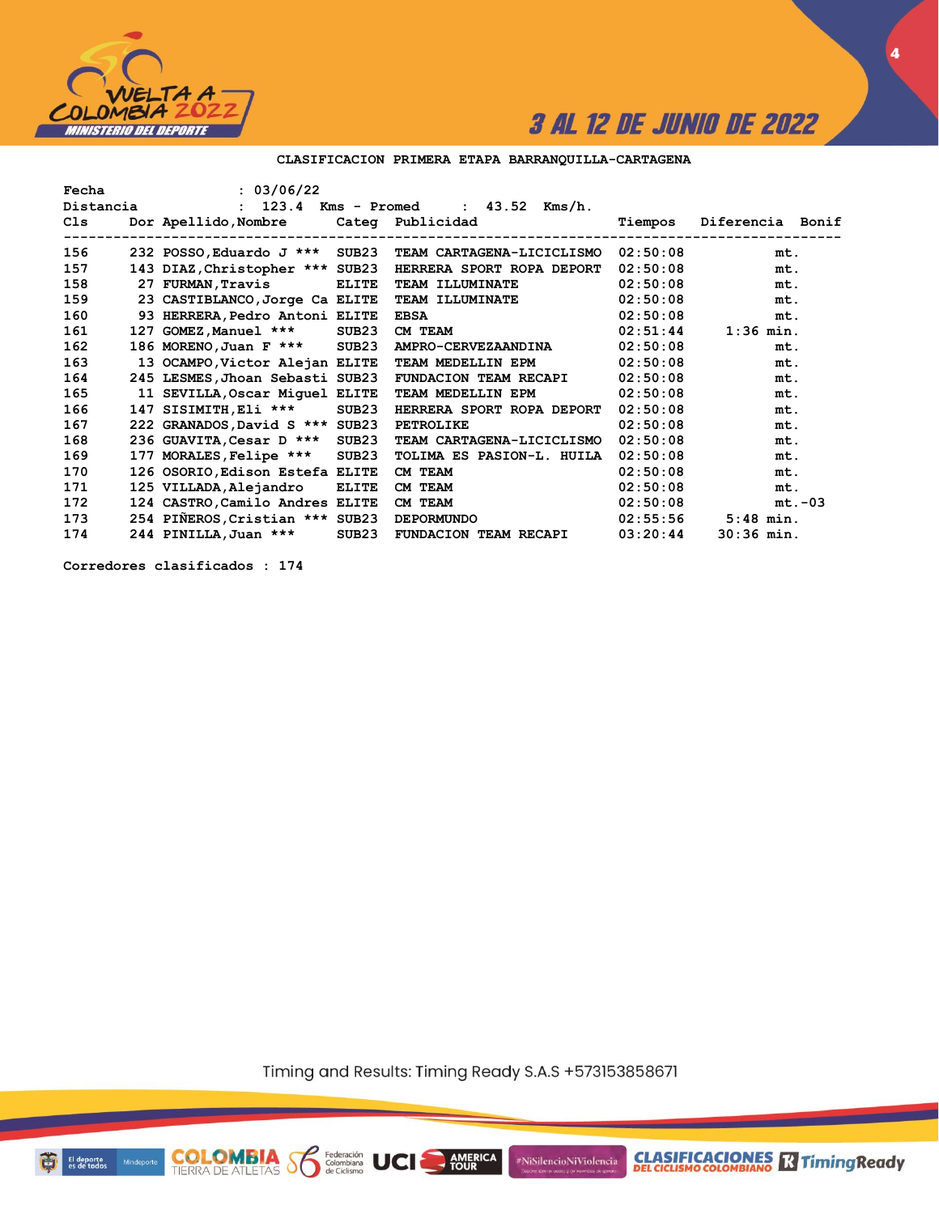

**4**

### **CLASIFICACION PRIMERA ETAPA BARRANQUILLA-CARTAGENA**

| Fecha     | : 03/06/22                            |              |                                  |          |                  |
|-----------|---------------------------------------|--------------|----------------------------------|----------|------------------|
| Distancia | 123.4<br>$\mathbf{r}$                 |              | $: 43.52$ Kms/h.<br>Kms - Promed |          |                  |
| Cls       | Dor Apellido, Nombre Cateq Publicidad |              |                                  | Tiempos  | Diferencia Bonif |
| 156       | 232 POSSO, Eduardo J *** SUB23        |              | TEAM CARTAGENA-LICICLISMO        | 02:50:08 | mt.              |
| 157       | 143 DIAZ, Christopher *** SUB23       |              | HERRERA SPORT ROPA DEPORT        | 02:50:08 | mt.              |
| 158       | 27 FURMAN, Travis                     | <b>ELITE</b> | <b>TEAM ILLUMINATE</b>           | 02:50:08 | mt.              |
| 159       | 23 CASTIBLANCO, Jorge Ca ELITE        |              | <b>TEAM ILLUMINATE</b>           | 02:50:08 | mt.              |
| 160       | 93 HERRERA, Pedro Antoni ELITE        |              | <b>EBSA</b>                      | 02:50:08 | mt.              |
| 161       | 127 GOMEZ, Manuel ***                 | SUB23        | CM TEAM                          | 02:51:44 | $1:36$ min.      |
| 162       | 186 MORENO, Juan F *** SUB23          |              | AMPRO-CERVEZAANDINA              | 02:50:08 | mt.              |
| 163       | 13 OCAMPO, Victor Alejan ELITE        |              | TEAM MEDELLIN EPM                | 02:50:08 | mt.              |
| 164       | 245 LESMES, Jhoan Sebasti SUB23       |              | <b>FUNDACION TEAM RECAPI</b>     | 02:50:08 | mt.              |
| 165       | 11 SEVILLA, Oscar Miquel ELITE        |              | TEAM MEDELLIN EPM                | 02:50:08 | mt.              |
| 166       | 147 SISIMITH, Eli ***                 | SUB23        | HERRERA SPORT ROPA DEPORT        | 02:50:08 | mt.              |
| 167       | 222 GRANADOS, David S *** SUB23       |              | <b>PETROLIKE</b>                 | 02:50:08 | mt.              |
| 168       | 236 GUAVITA, Cesar D *** SUB23        |              | TEAM CARTAGENA-LICICLISMO        | 02:50:08 | mt.              |
| 169       | 177 MORALES, Felipe ***               | SUB23        | TOLIMA ES PASION-L. HUILA        | 02:50:08 | mt.              |
| 170       | 126 OSORIO, Edison Estefa ELITE       |              | CM TEAM                          | 02:50:08 | mt.              |
| 171       | 125 VILLADA, Alejandro                | <b>ELITE</b> | CM TEAM                          | 02:50:08 | mt.              |
| 172       | 124 CASTRO, Camilo Andres ELITE       |              | CM TEAM                          | 02:50:08 | $mt.-03$         |
| 173       | 254 PIÑEROS, Cristian *** SUB23       |              | <b>DEPORMUNDO</b>                | 02:55:56 | $5:48$ min.      |
| 174       | 244 PINILLA, Juan ***                 | SUB23        | <b>FUNDACION TEAM RECAPI</b>     | 03:20:44 | $30:36$ min.     |

**Corredores clasificados : 174**

Timing and Results: Timing Ready S.A.S +573153858671

AMERICA

#NiSilencioNiViolencia

Federación<br>Colombiana<br>de Ciclismo

UCI

**COLOMBIA** S

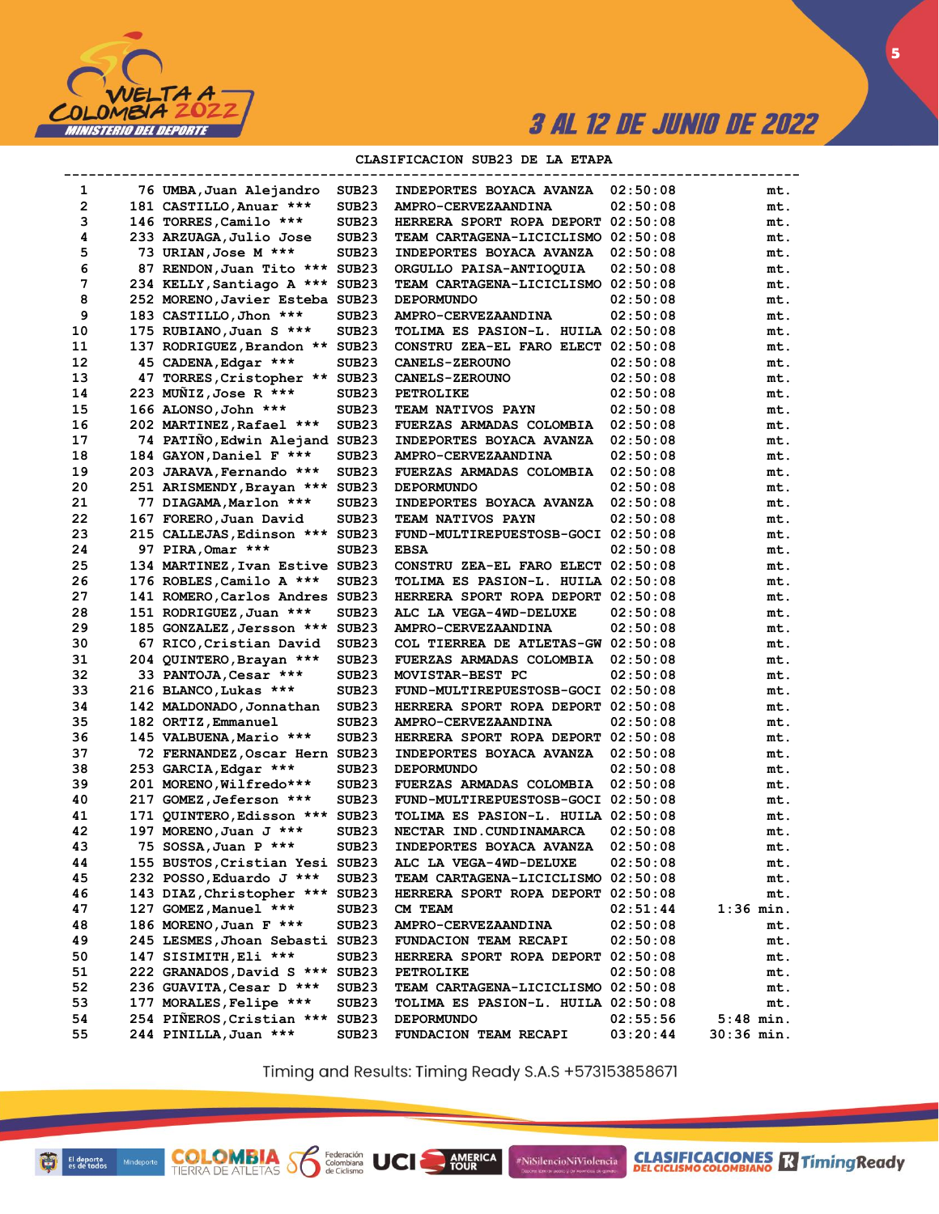

5

#### CLASIFICACION SUB23 DE LA ETAPA

| 1  | 76 UMBA, Juan Alejandro         | SUB <sub>23</sub> | INDEPORTES BOYACA AVANZA           | 02:50:08 | mt.          |
|----|---------------------------------|-------------------|------------------------------------|----------|--------------|
| 2  | 181 CASTILLO, Anuar ***         | SUB <sub>23</sub> | AMPRO-CERVEZAANDINA                | 02:50:08 | mt.          |
| з  | 146 TORRES, Camilo ***          | SUB <sub>23</sub> | HERRERA SPORT ROPA DEPORT 02:50:08 |          | mt.          |
| 4  | 233 ARZUAGA,Julio Jose          | SUB <sub>23</sub> | TEAM CARTAGENA-LICICLISMO 02:50:08 |          | mt.          |
| 5  | 73 URIAN, Jose M ***            | SUB <sub>23</sub> | <b>INDEPORTES BOYACA AVANZA</b>    | 02:50:08 | mt.          |
| 6  | 87 RENDON, Juan Tito ***        | SUB <sub>23</sub> | ORGULLO PAISA-ANTIOQUIA            | 02:50:08 | mt.          |
| 7  | 234 KELLY, Santiago A *** SUB23 |                   | TEAM CARTAGENA-LICICLISMO 02:50:08 |          | mt.          |
| 8  | 252 MORENO, Javier Esteba SUB23 |                   | <b>DEPORMUNDO</b>                  | 02:50:08 | mt.          |
| 9  | 183 CASTILLO, Jhon ***          | SUB <sub>23</sub> | AMPRO-CERVEZAANDINA                | 02:50:08 | mt.          |
| 10 | 175 RUBIANO, Juan S ***         | SUB <sub>23</sub> | TOLIMA ES PASION-L. HUILA 02:50:08 |          | mt.          |
| 11 | 137 RODRIGUEZ, Brandon ** SUB23 |                   | CONSTRU ZEA-EL FARO ELECT 02:50:08 |          | mt.          |
| 12 | 45 CADENA, Edgar ***            | SUB <sub>23</sub> | <b>CANELS-ZEROUNO</b>              | 02:50:08 | mt.          |
| 13 | 47 TORRES, Cristopher **        | SUB <sub>23</sub> | <b>CANELS-ZEROUNO</b>              | 02:50:08 | mt.          |
| 14 | 223 MUNIZ, Jose R ***           | SUB <sub>23</sub> | <b>PETROLIKE</b>                   | 02:50:08 | mt.          |
| 15 | 166 ALONSO, John ***            | SUB <sub>23</sub> | TEAM NATIVOS PAYN                  | 02:50:08 | mt.          |
| 16 | 202 MARTINEZ, Rafael ***        | SUB <sub>23</sub> | <b>FUERZAS ARMADAS COLOMBIA</b>    | 02:50:08 | mt.          |
| 17 | 74 PATIÑO, Edwin Alejand SUB23  |                   | INDEPORTES BOYACA AVANZA           | 02:50:08 | mt.          |
| 18 | 184 GAYON, Daniel F ***         | SUB <sub>23</sub> | AMPRO-CERVEZAANDINA                | 02:50:08 | mt.          |
| 19 | 203 JARAVA, Fernando ***        | SUB <sub>23</sub> | FUERZAS ARMADAS COLOMBIA           | 02:50:08 | mt.          |
| 20 | 251 ARISMENDY, Brayan ***       | SUB <sub>23</sub> | <b>DEPORMUNDO</b>                  | 02:50:08 | mt.          |
| 21 | 77 DIAGAMA, Marlon ***          | SUB <sub>23</sub> | INDEPORTES BOYACA AVANZA           | 02:50:08 | mt.          |
| 22 | 167 FORERO, Juan David          | SUB <sub>23</sub> | TEAM NATIVOS PAYN                  | 02:50:08 | mt.          |
| 23 | 215 CALLEJAS, Edinson ***       | SUB <sub>23</sub> | FUND-MULTIREPUESTOSB-GOCI 02:50:08 |          | mt.          |
| 24 | 97 PIRA, Omar ***               | SUB <sub>23</sub> | <b>EBSA</b>                        | 02:50:08 | mt.          |
| 25 | 134 MARTINEZ, Ivan Estive SUB23 |                   | CONSTRU ZEA-EL FARO ELECT 02:50:08 |          | mt.          |
| 26 | 176 ROBLES, Camilo A ***        | SUB <sub>23</sub> | TOLIMA ES PASION-L. HUILA 02:50:08 |          | mt.          |
| 27 | 141 ROMERO, Carlos Andres       | SUB23             | HERRERA SPORT ROPA DEPORT 02:50:08 |          | mt.          |
| 28 | 151 RODRIGUEZ, Juan ***         | SUB <sub>23</sub> | ALC LA VEGA-4WD-DELUXE             | 02:50:08 | mt.          |
| 29 | 185 GONZALEZ, Jersson ***       | SUB <sub>23</sub> | AMPRO-CERVEZAANDINA                | 02:50:08 | mt.          |
| 30 | 67 RICO, Cristian David         | SUB <sub>23</sub> | COL TIERREA DE ATLETAS-GW 02:50:08 |          | mt.          |
| 31 | 204 QUINTERO, Brayan ***        | SUB <sub>23</sub> | FUERZAS ARMADAS COLOMBIA           | 02:50:08 | mt.          |
| 32 | 33 PANTOJA, Cesar ***           | SUB <sub>23</sub> | MOVISTAR-BEST PC                   | 02:50:08 | mt.          |
| 33 | 216 BLANCO, Lukas ***           | SUB <sub>23</sub> | FUND-MULTIREPUESTOSB-GOCI 02:50:08 |          | mt.          |
| 34 | 142 MALDONADO, Jonnathan        | SUB <sub>23</sub> | HERRERA SPORT ROPA DEPORT 02:50:08 |          | mt.          |
| 35 | 182 ORTIZ, Emmanuel             | SUB <sub>23</sub> | AMPRO-CERVEZAANDINA                | 02:50:08 | mt.          |
| 36 | 145 VALBUENA, Mario ***         | SUB23             | HERRERA SPORT ROPA DEPORT 02:50:08 |          | mt.          |
| 37 | 72 FERNANDEZ, Oscar Hern SUB23  |                   | INDEPORTES BOYACA AVANZA           | 02:50:08 | mt.          |
| 38 | 253 GARCIA, Edgar ***           | SUB <sub>23</sub> | <b>DEPORMUNDO</b>                  | 02:50:08 | mt.          |
| 39 | 201 MORENO, Wilfredo***         | SUB <sub>23</sub> | FUERZAS ARMADAS COLOMBIA           | 02:50:08 | mt.          |
| 40 | 217 GOMEZ, Jeferson ***         | SUB <sub>23</sub> | FUND-MULTIREPUESTOSB-GOCI 02:50:08 |          | mt.          |
| 41 | 171 QUINTERO,Edisson ***        | SUB <sub>23</sub> | TOLIMA ES PASION-L. HUILA 02:50:08 |          | mt.          |
| 42 | 197 MORENO, Juan J ***          | SUB <sub>23</sub> | NECTAR IND. CUNDINAMARCA           | 02:50:08 | mt.          |
| 43 | 75 SOSSA, Juan P ***            | SUB <sub>23</sub> | <b>INDEPORTES BOYACA AVANZA</b>    | 02:50:08 | mt.          |
| 44 | 155 BUSTOS,Cristian Yesi SUB23  |                   | ALC LA VEGA-4WD-DELUXE             | 02:50:08 | mt.          |
| 45 | 232 POSSO, Eduardo J ***        | SUB23             | TEAM CARTAGENA-LICICLISMO 02:50:08 |          | mt.          |
| 46 | 143 DIAZ, Christopher ***       | SUB <sub>23</sub> | HERRERA SPORT ROPA DEPORT 02:50:08 |          | mt.          |
| 47 | 127 GOMEZ, Manuel ***           | SUB23             | CM TEAM                            | 02:51:44 | 1:36 min.    |
| 48 | 186 MORENO, Juan F ***          | SUB <sub>23</sub> | AMPRO-CERVEZAANDINA                | 02:50:08 | mt.          |
| 49 | 245 LESMES, Jhoan Sebasti SUB23 |                   | FUNDACION TEAM RECAPI              | 02:50:08 | mt.          |
| 50 | 147 SISIMITH, Eli ***           | SUB23             | HERRERA SPORT ROPA DEPORT 02:50:08 |          | mt.          |
| 51 | 222 GRANADOS, David S *** SUB23 |                   | <b>PETROLIKE</b>                   | 02:50:08 | mt.          |
| 52 | 236 GUAVITA, Cesar D ***        | SUB23             | TEAM CARTAGENA-LICICLISMO 02:50:08 |          | mt.          |
| 53 | 177 MORALES, Felipe ***         | SUB23             | TOLIMA ES PASION-L. HUILA 02:50:08 |          | mt.          |
| 54 | 254 PIÑEROS, Cristian ***       | SUB23             | <b>DEPORMUNDO</b>                  | 02:55:56 | $5:48$ min.  |
| 55 | 244 PINILLA, Juan ***           | SUB23             | FUNDACION TEAM RECAPI              | 03:20:44 | $30:36$ min. |
|    |                                 |                   |                                    |          |              |

Timing and Results: Timing Ready S.A.S +573153858671

AMERICA

#NiSilencioNiViolencia

Federación<br>Colombiana<br>de Ciclismo

UCI

**COLOMBIA SP**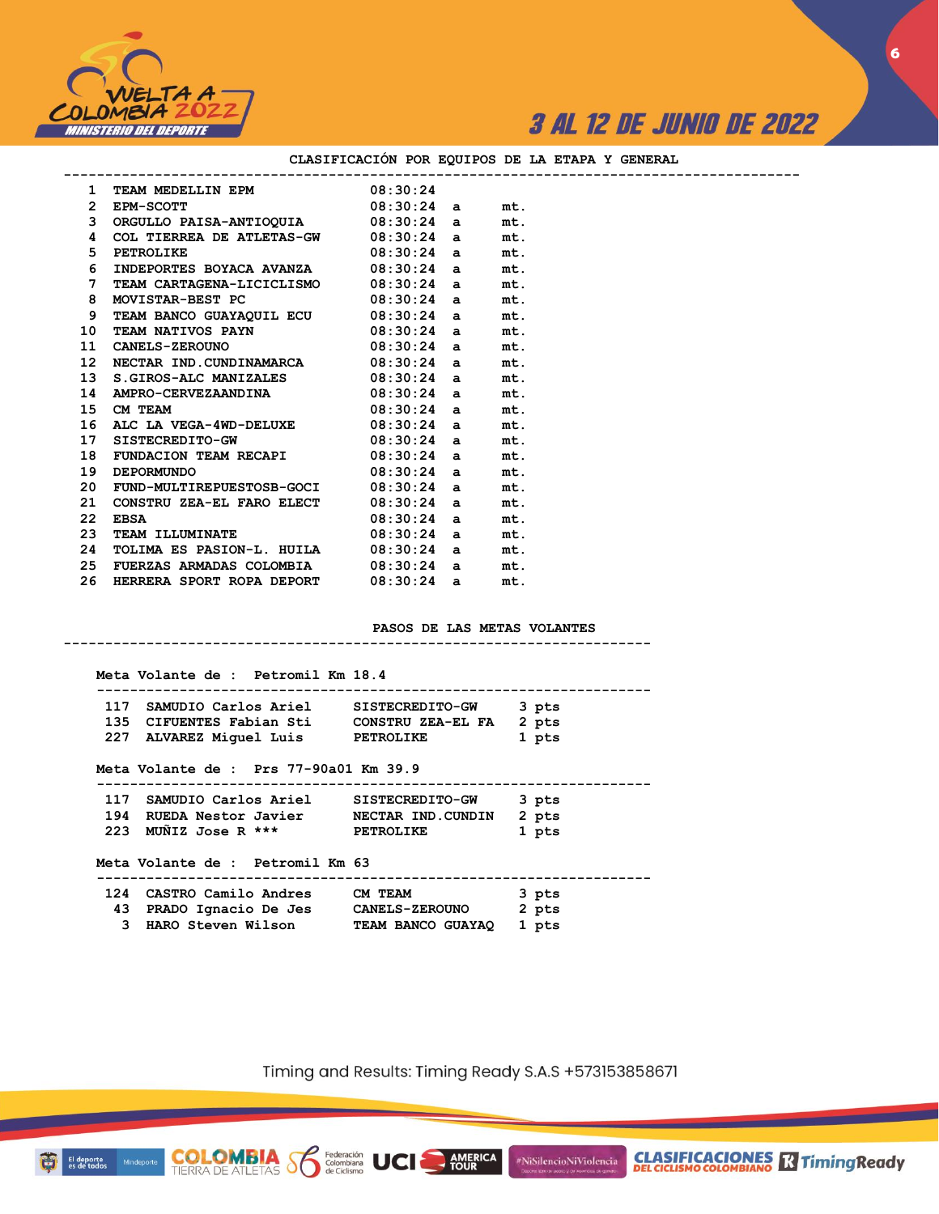



**CLASIFICACIONES** R Timing Ready

| 1 TEAM MEDELLIN EPM 08:30:24                           |  |     |
|--------------------------------------------------------|--|-----|
| 2 EPM-SCOTT 08:30:24 a                                 |  | mt. |
| 3 ORGULLO PAISA-ANTIOQUIA 08:30:24 a                   |  | mt. |
| COL TIERREA DE ATLETAS-GW $08:30:24$ a<br>4            |  | mt. |
| $08:30:24$ a<br>5<br>PETROLIKE                         |  | mt. |
| INDEPORTES BOYACA AVANZA 08:30:24 a<br>6               |  | mt. |
| $7^{\circ}$<br>TEAM CARTAGENA-LICICLISMO 08:30:24 a    |  | mt. |
| 8 MOVISTAR-BEST PC 08:30:24 a                          |  | mt. |
| TEAM BANCO GUAYAQUIL ECU 08:30:24 a<br>9               |  | mt. |
| TEAM NATIVOS PAYN 08:30:24 a<br>10                     |  | mt. |
| 11 CANELS-ZEROUNO $08:30:24$ a                         |  | mt. |
| NECTAR IND.CUNDINAMARCA 08:30:24 a<br>12 <sup>12</sup> |  | mt. |
| S.GIROS-ALC MANIZALES 08:30:24 a<br>13                 |  | mt. |
| AMPRO-CERVEZAANDINA 08:30:24 a<br>14                   |  | mt. |
| 15 CM TEAM $08:30:24$ a                                |  | mt. |
| 16 ALC LA VEGA-4WD-DELUXE $08:30:24$ a                 |  | mt. |
| SISTECREDITO-GW 08:30:24 a<br>17                       |  | mt. |
| FUNDACION TEAM RECAPI 08:30:24 a<br>18                 |  | mt. |
| DEPORMUNDO 08:30:24 a<br>19                            |  | mt. |
| 20 FUND-MULTIREPUESTOSB-GOCI 08:30:24 a                |  | mt. |
| CONSTRU ZEA-EL FARO ELECT $08:30:24$ a<br>21           |  | mt. |
| $08:30:24$ a<br>22 <sub>2</sub><br><b>EBSA</b>         |  | mt. |
| TEAM ILLUMINATE 08:30:24 a<br>23                       |  | mt. |
| TOLIMA ES PASION-L. HUILA 08:30:24 a<br>24             |  | mt. |
| FUERZAS ARMADAS COLOMBIA 08:30:24 a<br>25              |  | mt. |
| HERRERA SPORT ROPA DEPORT 08:30:24 a<br>26             |  | mt. |

#### **CLASIFICACIÓN POR EQUIPOS DE LA ETAPA Y GENERAL**

#### **PASOS DE LAS METAS VOLANTES**

**-----------------------------------------------------------------------**

| Meta Volante de : Petromil Km 18.4         | ------------------------------ |       |
|--------------------------------------------|--------------------------------|-------|
| 117 SAMUDIO Carlos Ariel SISTECREDITO-GW   |                                | 3 pts |
| 135 CIFUENTES Fabian Sti CONSTRU ZEA-EL FA |                                | 2 pts |
| 227 ALVAREZ Miquel Luis PETROLIKE          |                                | 1 pts |
| Meta Volante de : Prs 77-90a01 Km 39.9     |                                |       |
| 117 SAMUDIO Carlos Ariel SISTECREDITO-GW   |                                | 3 pts |
| 194 RUEDA Nestor Javier MECTAR IND.CUNDIN  |                                | 2 pts |
| 223 MUÑIZ Jose R *** PETROLIKE             |                                | 1 pts |
| Meta Volante de : Petromil Km 63           |                                |       |
| 124 CASTRO Camilo Andres CM TEAM           |                                | 3 pts |
| 43 PRADO Ignacio De Jes CANELS-ZEROUNO     |                                | 2 pts |
| 3 HARO Steven Wilson                       | TEAM BANCO GUAYAO              | 1 pts |

**COLOMBIA Se Rederación** UCI

Timing and Results: Timing Ready S.A.S +573153858671

AMERICA

#NiSilencioNiViolencia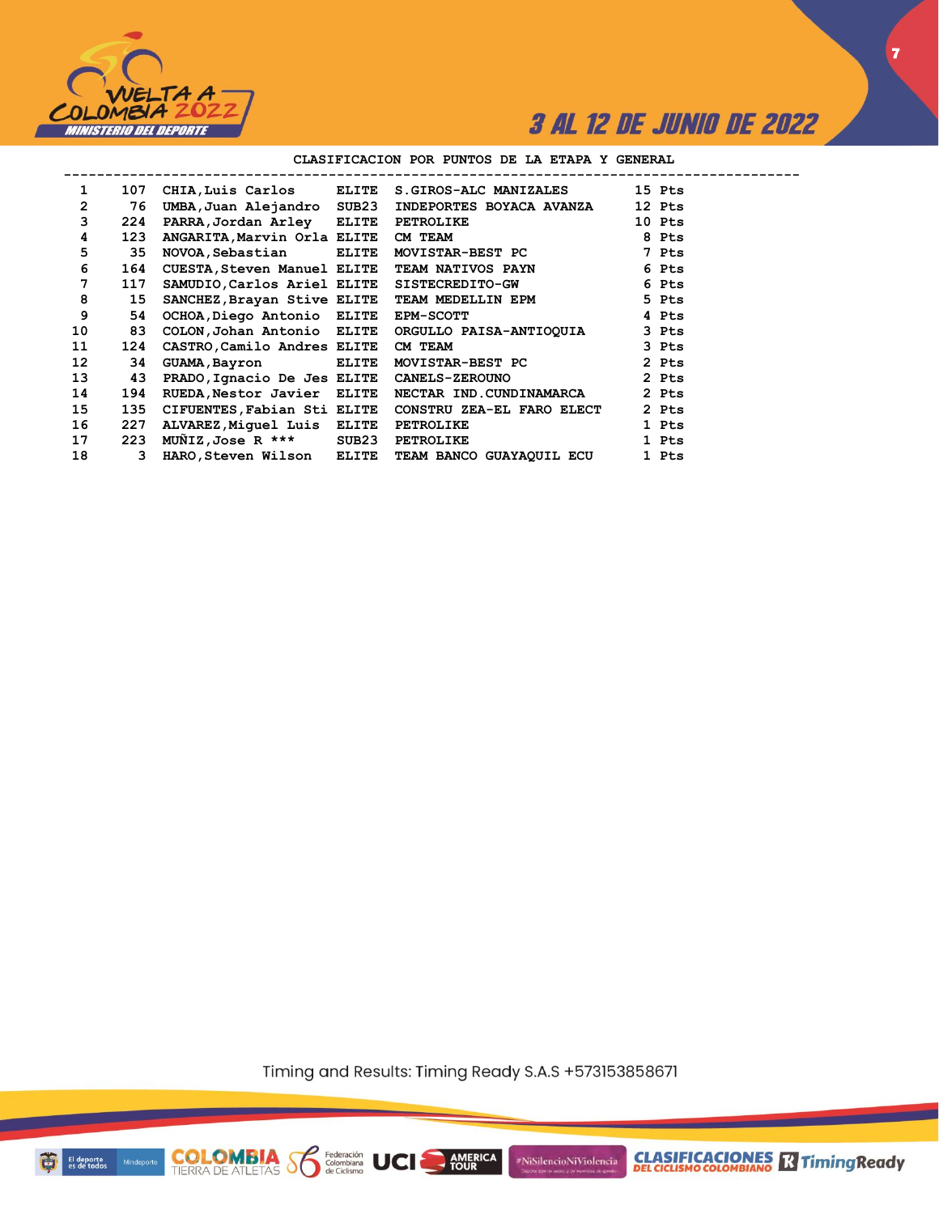

#### CLASIFICACION POR PUNTOS DE LA ETAPA Y GENERAL

| $\mathbf{1}$      | 107 | CHIA, Luis Carlos                  | ELITE        | <b>S.GIROS-ALC MANIZALES</b> | 15 Pts |
|-------------------|-----|------------------------------------|--------------|------------------------------|--------|
| $\overline{2}$    | 76  | UMBA, Juan Alejandro               | SUB23        | INDEPORTES BOYACA AVANZA     | 12 Pts |
| 3                 | 224 | PARRA,Jordan Arley                 | ELITE        | <b>PETROLIKE</b>             | 10 Pts |
| 4                 | 123 | ANGARITA, Marvin Orla ELITE        |              | CM TEAM                      | 8 Pts  |
| 5                 | 35  | NOVOA, Sebastian                   | <b>ELITE</b> | MOVISTAR-BEST PC             | 7 Pts  |
| 6                 | 164 | <b>CUESTA, Steven Manuel ELITE</b> |              | <b>TEAM NATIVOS PAYN</b>     | 6 Pts  |
| 7                 | 117 | SAMUDIO, Carlos Ariel ELITE        |              | SISTECREDITO-GW              | 6 Pts  |
| 8                 | 15  | SANCHEZ, Brayan Stive ELITE        |              | TEAM MEDELLIN EPM            | 5 Pts  |
| 9                 | 54  | OCHOA, Diego Antonio ELITE         |              | <b>EPM-SCOTT</b>             | 4 Pts  |
| 10                | 83  | COLON, Johan Antonio ELITE         |              | ORGULLO PAISA-ANTIOQUIA      | 3 Pts  |
| 11                | 124 | CASTRO, Camilo Andres ELITE        |              | CM TEAM                      | 3 Pts  |
| $12 \overline{ }$ | 34  | GUAMA, Bayron                      | <b>ELITE</b> | MOVISTAR-BEST PC             | 2 Pts  |
| 13                | 43  | PRADO, Ignacio De Jes ELITE        |              | <b>CANELS-ZEROUNO</b>        | 2 Pts  |
| 14                | 194 | RUEDA, Nestor Javier ELITE         |              | NECTAR IND.CUNDINAMARCA      | 2 Pts  |
| 15                | 135 | CIFUENTES, Fabian Sti ELITE        |              | CONSTRU ZEA-EL FARO ELECT    | 2 Pts  |
| 16                | 227 | ALVAREZ, Miquel Luis               | <b>ELITE</b> | PETROLIKE                    | 1 Pts  |
| 17                | 223 | MUÑIZ,Jose R ***                   | SUB23        | <b>PETROLIKE</b>             | 1 Pts  |
| 18                | 3   | HARO,Steven Wilson                 | <b>ELITE</b> | TEAM BANCO GUAYAQUIL ECU     | 1 Pts  |

Timing and Results: Timing Ready S.A.S +573153858671

AMERICA

UCI

#NiSilencioNiViolencia



-------

**COLOMBIA**<br>TIERRA DE ATLETAS **S** Rederación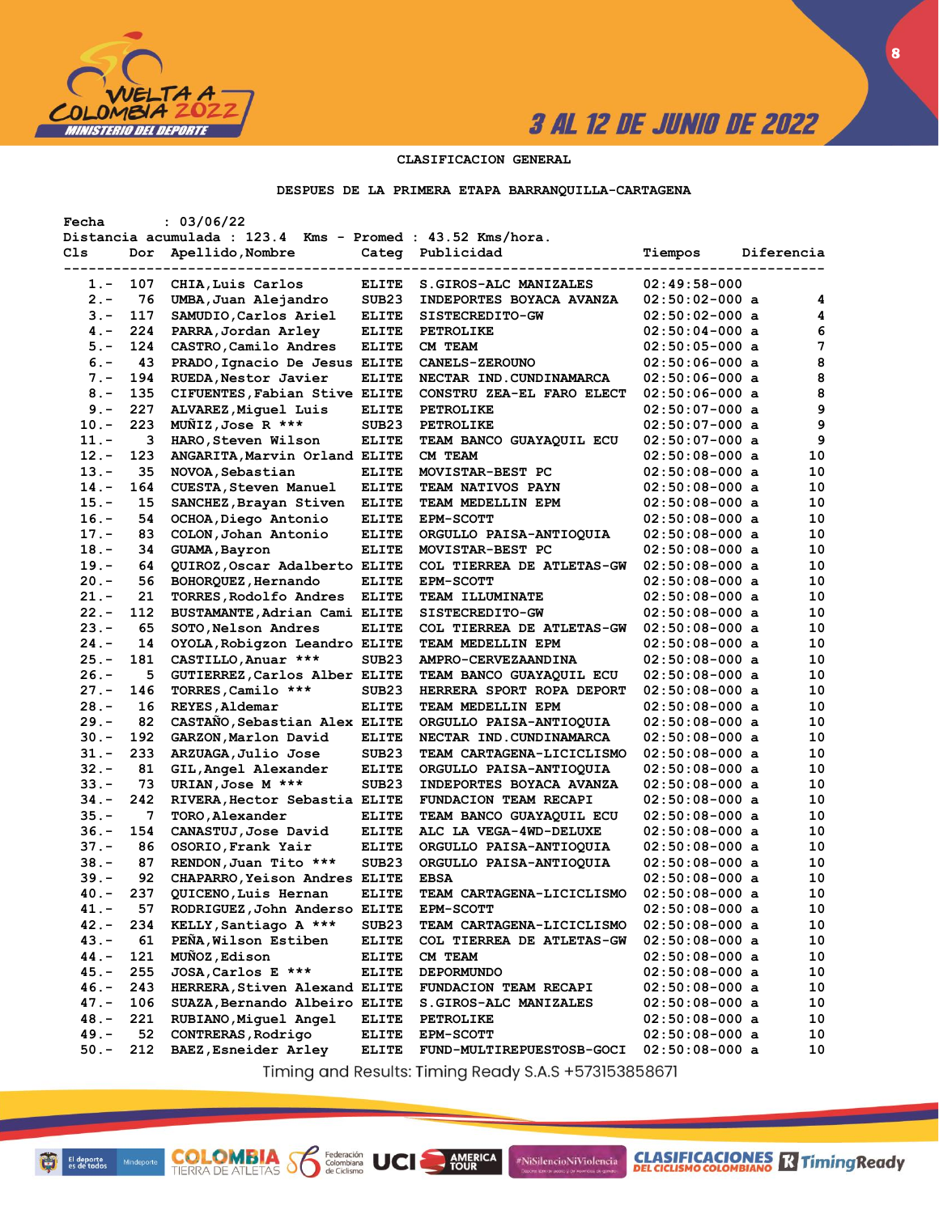

**8**

### **CLASIFICACION GENERAL**

#### **DESPUES DE LA PRIMERA ETAPA BARRANQUILLA-CARTAGENA**

| Fecha   |     | : 03/06/22                                                 |                   |                                                       |                  |            |    |
|---------|-----|------------------------------------------------------------|-------------------|-------------------------------------------------------|------------------|------------|----|
|         |     | Distancia acumulada : 123.4 Kms - Promed : 43.52 Kms/hora. |                   |                                                       |                  |            |    |
| Cls     | Dor | Apellido, Nombre                                           |                   | Categ Publicidad                                      | Tiempos          | Diferencia |    |
|         |     |                                                            |                   |                                                       |                  |            |    |
| 1.-     | 107 | CHIA, Luis Carlos                                          | <b>ELITE</b>      | S.GIROS-ALC MANIZALES                                 | $02:49:58-000$   |            |    |
| $2 -$   | 76  | UMBA, Juan Alejandro                                       | SUB23             | INDEPORTES BOYACA AVANZA                              | $02:50:02-000$ a |            | 4  |
| $3 -$   | 117 | SAMUDIO, Carlos Ariel                                      | <b>ELITE</b>      | SISTECREDITO-GW                                       | $02:50:02-000$ a |            | 4  |
| $4 -$   | 224 | PARRA, Jordan Arley                                        | <b>ELITE</b>      | <b>PETROLIKE</b>                                      | $02:50:04-000$ a |            | 6  |
| $5. -$  | 124 | CASTRO, Camilo Andres                                      | <b>ELITE</b>      | CM TEAM                                               | $02:50:05-000$ a |            | 7  |
| $6. -$  | 43  | PRADO, Ignacio De Jesus ELITE                              |                   | <b>CANELS-ZEROUNO</b>                                 | $02:50:06-000$ a |            | 8  |
| $7 -$   | 194 | RUEDA, Nestor Javier                                       | <b>ELITE</b>      | NECTAR IND. CUNDINAMARCA                              | $02:50:06-000$ a |            | 8  |
| $8 -$   | 135 | CIFUENTES, Fabian Stive ELITE                              |                   | CONSTRU ZEA-EL FARO ELECT                             | $02:50:06-000$ a |            | 8  |
| $9 -$   | 227 | ALVAREZ, Miguel Luis                                       | <b>ELITE</b>      | PETROLIKE                                             | $02:50:07-000$ a |            | 9  |
| $10. -$ | 223 | MUNIZ, Jose R ***                                          | SUB <sub>23</sub> | <b>PETROLIKE</b>                                      | $02:50:07-000$ a |            | 9  |
| $11. -$ | з   | HARO, Steven Wilson                                        | <b>ELITE</b>      | <b>TEAM BANCO GUAYAQUIL ECU</b>                       | $02:50:07-000$ a |            | 9  |
| $12 -$  | 123 | ANGARITA, Marvin Orland ELITE                              |                   | CM TEAM                                               | $02:50:08-000$ a |            | 10 |
| $13 -$  | 35  | NOVOA, Sebastian                                           | <b>ELITE</b>      | MOVISTAR-BEST PC                                      | $02:50:08-000$ a |            | 10 |
| $14. -$ | 164 | <b>CUESTA, Steven Manuel</b>                               | <b>ELITE</b>      | TEAM NATIVOS PAYN                                     | $02:50:08-000$ a |            | 10 |
| $15. -$ | 15  | SANCHEZ, Brayan Stiven                                     | <b>ELITE</b>      | TEAM MEDELLIN EPM                                     | $02:50:08-000$ a |            | 10 |
| $16. -$ | 54  | OCHOA, Diego Antonio                                       | <b>ELITE</b>      | <b>EPM-SCOTT</b>                                      | $02:50:08-000$ a |            | 10 |
| $17. -$ | 83  | COLON, Johan Antonio                                       | <b>ELITE</b>      | ORGULLO PAISA-ANTIOQUIA                               | $02:50:08-000$ a |            | 10 |
| $18. -$ | 34  | GUAMA, Bayron                                              | <b>ELITE</b>      | MOVISTAR-BEST PC                                      | $02:50:08-000$ a |            | 10 |
| $19. -$ | 64  | QUIROZ, Oscar Adalberto ELITE                              |                   | COL TIERREA DE ATLETAS-GW                             | $02:50:08-000$ a |            | 10 |
| $20 -$  | 56  | BOHORQUEZ, Hernando                                        | <b>ELITE</b>      | <b>EPM-SCOTT</b>                                      | $02:50:08-000$ a |            | 10 |
| $21 -$  | 21  | TORRES, Rodolfo Andres                                     | <b>ELITE</b>      | <b>TEAM ILLUMINATE</b>                                | $02:50:08-000$ a |            | 10 |
| $22 -$  | 112 | BUSTAMANTE, Adrian Cami ELITE                              |                   | SISTECREDITO-GW                                       | $02:50:08-000$ a |            | 10 |
| $23 -$  | 65  | SOTO, Nelson Andres                                        | <b>ELITE</b>      | COL TIERREA DE ATLETAS-GW                             | $02:50:08-000$ a |            | 10 |
| $24. -$ | 14  | OYOLA, Robigzon Leandro ELITE                              |                   | TEAM MEDELLIN EPM                                     | $02:50:08-000$ a |            | 10 |
| $25. -$ | 181 | CASTILLO, Anuar ***                                        | SUB <sub>23</sub> | AMPRO-CERVEZAANDINA                                   | $02:50:08-000$ a |            | 10 |
| $26. -$ | 5   |                                                            |                   |                                                       | $02:50:08-000$ a |            | 10 |
|         | 146 | GUTIERREZ, Carlos Alber ELITE                              | SUB <sub>23</sub> | TEAM BANCO GUAYAQUIL ECU<br>HERRERA SPORT ROPA DEPORT |                  |            | 10 |
| $27. -$ |     | TORRES, Camilo ***                                         |                   |                                                       | $02:50:08-000$ a |            | 10 |
| $28. -$ | 16  | REYES, Aldemar                                             | <b>ELITE</b>      | <b>TEAM MEDELLIN EPM</b>                              | $02:50:08-000$ a |            |    |
| $29. -$ | 82  | CASTAÑO, Sebastian Alex ELITE                              |                   | ORGULLO PAISA-ANTIOQUIA                               | $02:50:08-000$ a |            | 10 |
| $30 -$  | 192 | GARZON, Marlon David                                       | <b>ELITE</b>      | NECTAR IND.CUNDINAMARCA                               | $02:50:08-000$ a |            | 10 |
| 31.-    | 233 | ARZUAGA, Julio Jose                                        | SUB <sub>23</sub> | <b>TEAM CARTAGENA-LICICLISMO</b>                      | $02:50:08-000$ a |            | 10 |
| $32 -$  | 81  | GIL, Angel Alexander                                       | <b>ELITE</b>      | ORGULLO PAISA-ANTIOQUIA                               | $02:50:08-000$ a |            | 10 |
| $33 -$  | 73  | URIAN, Jose M ***                                          | SUB <sub>23</sub> | <b>INDEPORTES BOYACA AVANZA</b>                       | $02:50:08-000$ a |            | 10 |
| 34.-    | 242 | RIVERA, Hector Sebastia ELITE                              |                   | FUNDACION TEAM RECAPI                                 | $02:50:08-000$ a |            | 10 |
| $35. -$ | 7   | TORO, Alexander                                            | <b>ELITE</b>      | <b>TEAM BANCO GUAYAQUIL ECU</b>                       | $02:50:08-000$ a |            | 10 |
| 36.-    | 154 | CANASTUJ, Jose David                                       | <b>ELITE</b>      | ALC LA VEGA-4WD-DELUXE                                | $02:50:08-000$ a |            | 10 |
| $37 -$  | 86  | OSORIO, Frank Yair                                         | <b>ELITE</b>      | ORGULLO PAISA-ANTIOQUIA                               | $02:50:08-000$ a |            | 10 |
| $38 -$  | 87  | RENDON, Juan Tito ***                                      | SUB <sub>23</sub> | ORGULLO PAISA-ANTIOQUIA                               | $02:50:08-000$ a |            | 10 |
| 39.-    | 92  | CHAPARRO, Yeison Andres ELITE                              |                   | <b>EBSA</b>                                           | $02:50:08-000$ a |            | 10 |
| 40.-    | 237 | QUICENO, Luis Hernan                                       | <b>ELITE</b>      | TEAM CARTAGENA-LICICLISMO                             | $02:50:08-000$ a |            | 10 |
| $41. -$ | 57  | RODRIGUEZ, John Anderso ELITE                              |                   | <b>EPM-SCOTT</b>                                      | $02:50:08-000$ a |            | 10 |
| $42 -$  | 234 | KELLY, Santiago A ***                                      | SUB <sub>23</sub> | TEAM CARTAGENA-LICICLISMO                             | $02:50:08-000$ a |            | 10 |
| $43. -$ | 61  | PEÑA, Wilson Estiben                                       | <b>ELITE</b>      | COL TIERREA DE ATLETAS-GW                             | $02:50:08-000$ a |            | 10 |
| 44.-    | 121 | MUNOZ, Edison                                              | <b>ELITE</b>      | CM TEAM                                               | $02:50:08-000$ a |            | 10 |
| $45. -$ | 255 | JOSA, Carlos E ***                                         | <b>ELITE</b>      | <b>DEPORMUNDO</b>                                     | $02:50:08-000$ a |            | 10 |
| $46. -$ | 243 | HERRERA, Stiven Alexand ELITE                              |                   | FUNDACION TEAM RECAPI                                 | $02:50:08-000$ a |            | 10 |
| $47. -$ | 106 | SUAZA, Bernando Albeiro ELITE                              |                   | S.GIROS-ALC MANIZALES                                 | $02:50:08-000$ a |            | 10 |
| $48. -$ | 221 | RUBIANO, Miguel Angel                                      | <b>ELITE</b>      | <b>PETROLIKE</b>                                      | $02:50:08-000$ a |            | 10 |
| $49. -$ | 52  | CONTRERAS, Rodrigo                                         | <b>ELITE</b>      | <b>EPM-SCOTT</b>                                      | $02:50:08-000$ a |            | 10 |
| $50. -$ | 212 | BAEZ, Esneider Arley                                       | <b>ELITE</b>      | FUND-MULTIREPUESTOSB-GOCI                             | $02:50:08-000$ a |            | 10 |
|         |     |                                                            |                   |                                                       |                  |            |    |

Timing and Results: Timing Ready S.A.S +573153858671

**AMERICA** 

#NiSilencioNiViolencia

**COLOMBIA S6** 

Federación<br>Colombiana<br>de Ciclismo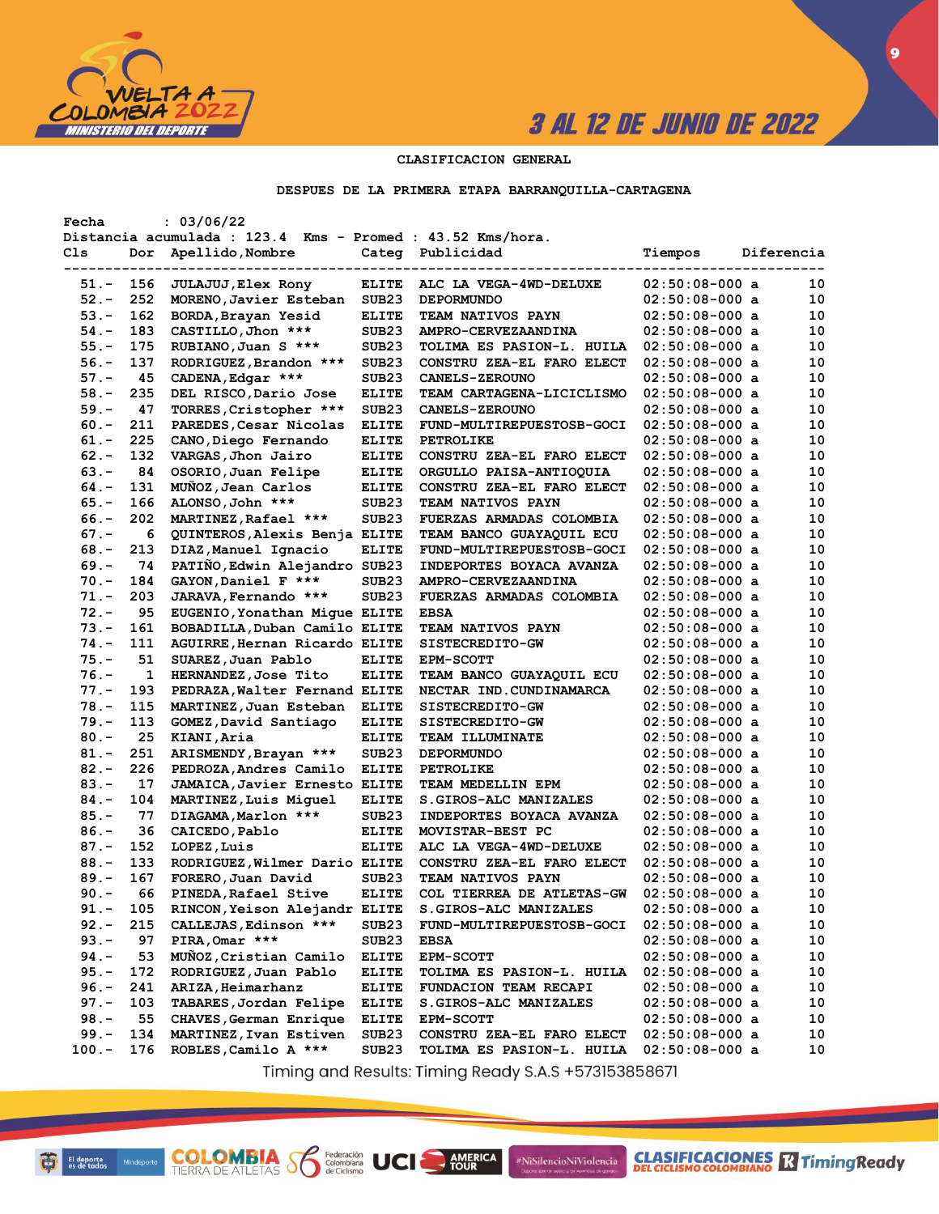

**CLASIFICACIONES** TimingReady

**9**

## **CLASIFICACION GENERAL**

#### **DESPUES DE LA PRIMERA ETAPA BARRANQUILLA-CARTAGENA**

| Fecha    |     | : 03/06/22                                                 |                   |                                  |                  |            |    |
|----------|-----|------------------------------------------------------------|-------------------|----------------------------------|------------------|------------|----|
|          |     | Distancia acumulada : 123.4 Kms - Promed : 43.52 Kms/hora. |                   |                                  |                  |            |    |
| Cls      | Dor | Apellido, Nombre                                           |                   | Categ Publicidad                 | Tiempos          | Diferencia |    |
|          |     |                                                            |                   |                                  |                  |            |    |
| 51.-     | 156 | <b>JULAJUJ, Elex Rony</b>                                  | ELITE             | ALC LA VEGA-4WD-DELUXE           | $02:50:08-000$ a |            | 10 |
| $52 -$   | 252 | MORENO, Javier Esteban                                     | SUB <sub>23</sub> | <b>DEPORMUNDO</b>                | $02:50:08-000$ a |            | 10 |
| $53. -$  | 162 | BORDA, Brayan Yesid                                        | <b>ELITE</b>      | <b>TEAM NATIVOS PAYN</b>         | $02:50:08-000$ a |            | 10 |
| $54. -$  | 183 | CASTILLO, Jhon ***                                         | SUB <sub>23</sub> | AMPRO-CERVEZAANDINA              | $02:50:08-000$ a |            | 10 |
| $55. -$  | 175 | RUBIANO, Juan S ***                                        | SUB <sub>23</sub> | TOLIMA ES PASION-L. HUILA        | $02:50:08-000$ a |            | 10 |
| $56. -$  | 137 | RODRIGUEZ, Brandon ***                                     | SUB <sub>23</sub> | CONSTRU ZEA-EL FARO ELECT        | $02:50:08-000$ a |            | 10 |
| $57. -$  | 45  | CADENA, Edgar ***                                          | SUB <sub>23</sub> | <b>CANELS-ZEROUNO</b>            | $02:50:08-000$ a |            | 10 |
| $58. -$  | 235 | DEL RISCO, Dario Jose                                      | <b>ELITE</b>      | <b>TEAM CARTAGENA-LICICLISMO</b> | $02:50:08-000$ a |            | 10 |
| $59. -$  | 47  | TORRES, Cristopher ***                                     | SUB <sub>23</sub> | <b>CANELS-ZEROUNO</b>            | $02:50:08-000$ a |            | 10 |
| $60 -$   | 211 | PAREDES, Cesar Nicolas                                     | <b>ELITE</b>      | FUND-MULTIREPUESTOSB-GOCI        | $02:50:08-000$ a |            | 10 |
| $61. -$  | 225 | CANO, Diego Fernando                                       | <b>ELITE</b>      | <b>PETROLIKE</b>                 | $02:50:08-000$ a |            | 10 |
| $62 -$   | 132 | VARGAS, Jhon Jairo                                         | <b>ELITE</b>      | CONSTRU ZEA-EL FARO ELECT        | $02:50:08-000$ a |            | 10 |
| $63 -$   | 84  | OSORIO, Juan Felipe                                        | <b>ELITE</b>      | ORGULLO PAISA-ANTIOQUIA          | $02:50:08-000$ a |            | 10 |
| $64. -$  | 131 | MUNOZ, Jean Carlos                                         | <b>ELITE</b>      | CONSTRU ZEA-EL FARO ELECT        | $02:50:08-000$ a |            | 10 |
|          | 166 |                                                            |                   |                                  |                  |            | 10 |
| $65. -$  |     | ALONSO, John ***                                           | SUB <sub>23</sub> | <b>TEAM NATIVOS PAYN</b>         | $02:50:08-000$ a |            |    |
| $66. -$  | 202 | MARTINEZ, Rafael ***                                       | SUB <sub>23</sub> | FUERZAS ARMADAS COLOMBIA         | $02:50:08-000$ a |            | 10 |
| $67. -$  | 6   | QUINTEROS, Alexis Benja ELITE                              |                   | TEAM BANCO GUAYAQUIL ECU         | $02:50:08-000$ a |            | 10 |
| $68. -$  | 213 | DIAZ, Manuel Ignacio                                       | <b>ELITE</b>      | FUND-MULTIREPUESTOSB-GOCI        | $02:50:08-000$ a |            | 10 |
| $69. -$  | 74  | PATIÑO, Edwin Alejandro SUB23                              |                   | INDEPORTES BOYACA AVANZA         | $02:50:08-000$ a |            | 10 |
| $70. -$  | 184 | GAYON, Daniel F ***                                        | SUB <sub>23</sub> | AMPRO-CERVEZAANDINA              | $02:50:08-000$ a |            | 10 |
| $71. -$  | 203 | JARAVA, Fernando ***                                       | SUB <sub>23</sub> | FUERZAS ARMADAS COLOMBIA         | $02:50:08-000$ a |            | 10 |
| $72 -$   | 95  | EUGENIO, Yonathan Migue ELITE                              |                   | <b>EBSA</b>                      | $02:50:08-000$ a |            | 10 |
| $73. -$  | 161 | BOBADILLA, Duban Camilo ELITE                              |                   | TEAM NATIVOS PAYN                | $02:50:08-000$ a |            | 10 |
| $74. -$  | 111 | AGUIRRE, Hernan Ricardo ELITE                              |                   | SISTECREDITO-GW                  | $02:50:08-000$ a |            | 10 |
| $75. -$  | 51  | SUAREZ, Juan Pablo                                         | <b>ELITE</b>      | <b>EPM-SCOTT</b>                 | $02:50:08-000$ a |            | 10 |
| $76. -$  | 1   | HERNANDEZ, Jose Tito                                       | <b>ELITE</b>      | TEAM BANCO GUAYAQUIL ECU         | $02:50:08-000$ a |            | 10 |
| $77. -$  | 193 | PEDRAZA, Walter Fernand ELITE                              |                   | NECTAR IND. CUNDINAMARCA         | $02:50:08-000$ a |            | 10 |
| $78. -$  | 115 | MARTINEZ, Juan Esteban                                     | <b>ELITE</b>      | <b>SISTECREDITO-GW</b>           | $02:50:08-000$ a |            | 10 |
| $79. -$  | 113 | GOMEZ, David Santiago                                      | <b>ELITE</b>      | SISTECREDITO-GW                  | $02:50:08-000$ a |            | 10 |
| $80 -$   | 25  | KIANI, Aria                                                | <b>ELITE</b>      | <b>TEAM ILLUMINATE</b>           | $02:50:08-000$ a |            | 10 |
| $81. -$  | 251 | ARISMENDY, Brayan ***                                      | SUB <sub>23</sub> | <b>DEPORMUNDO</b>                | $02:50:08-000$ a |            | 10 |
| $82 -$   | 226 | PEDROZA, Andres Camilo                                     | <b>ELITE</b>      | <b>PETROLIKE</b>                 | $02:50:08-000$ a |            | 10 |
| $83.-$   | 17  | JAMAICA, Javier Ernesto ELITE                              |                   | TEAM MEDELLIN EPM                | $02:50:08-000$ a |            | 10 |
| $84. -$  | 104 | MARTINEZ, Luis Miguel                                      | <b>ELITE</b>      | <b>S.GIROS-ALC MANIZALES</b>     | $02:50:08-000$ a |            | 10 |
| $85. -$  | 77  | DIAGAMA, Marlon ***                                        | SUB <sub>23</sub> | <b>INDEPORTES BOYACA AVANZA</b>  | $02:50:08-000$ a |            | 10 |
| $86. -$  | 36  | CAICEDO, Pablo                                             | <b>ELITE</b>      | MOVISTAR-BEST PC                 | $02:50:08-000$ a |            | 10 |
| $87. -$  | 152 | LOPEZ, Luis                                                | <b>ELITE</b>      | ALC LA VEGA-4WD-DELUXE           | $02:50:08-000$ a |            | 10 |
| $88. -$  | 133 | RODRIGUEZ, Wilmer Dario ELITE                              |                   | CONSTRU ZEA-EL FARO ELECT        | $02:50:08-000$ a |            | 10 |
| $89. -$  | 167 | FORERO, Juan David                                         | SUB <sub>23</sub> | <b>TEAM NATIVOS PAYN</b>         | $02:50:08-000$ a |            | 10 |
| $90 -$   | 66  | PINEDA, Rafael Stive                                       | <b>ELITE</b>      | COL TIERREA DE ATLETAS-GW        | $02:50:08-000$ a |            | 10 |
|          |     | RINCON, Yeison Alejandr ELITE                              |                   |                                  |                  |            |    |
| $91. -$  | 105 |                                                            |                   | S.GIROS-ALC MANIZALES            | $02:50:08-000$ a |            | 10 |
| $92 -$   | 215 | CALLEJAS, Edinson ***                                      | SUB <sub>23</sub> | FUND-MULTIREPUESTOSB-GOCI        | $02:50:08-000$ a |            | 10 |
| $93 -$   | 97  | PIRA, Omar ***                                             | SUB <sub>23</sub> | <b>EBSA</b>                      | $02:50:08-000$ a |            | 10 |
| $94. -$  | 53  | MUNOZ, Cristian Camilo                                     | <b>ELITE</b>      | <b>EPM-SCOTT</b>                 | $02:50:08-000$ a |            | 10 |
| $95. -$  | 172 | RODRIGUEZ, Juan Pablo                                      | <b>ELITE</b>      | <b>TOLIMA ES PASION-L. HUILA</b> | $02:50:08-000$ a |            | 10 |
| $96. -$  | 241 | ARIZA, Heimarhanz                                          | <b>ELITE</b>      | FUNDACION TEAM RECAPI            | $02:50:08-000$ a |            | 10 |
| $97. -$  | 103 | TABARES, Jordan Felipe                                     | <b>ELITE</b>      | <b>S.GIROS-ALC MANIZALES</b>     | $02:50:08-000$ a |            | 10 |
| $98. -$  | 55  | CHAVES, German Enrique                                     | <b>ELITE</b>      | EPM-SCOTT                        | $02:50:08-000$ a |            | 10 |
| $99. -$  | 134 | MARTINEZ, Ivan Estiven                                     | SUB <sub>23</sub> | CONSTRU ZEA-EL FARO ELECT        | $02:50:08-000$ a |            | 10 |
| $100. -$ | 176 | ROBLES, Camilo A ***                                       | SUB <sub>23</sub> | TOLIMA ES PASION-L. HUILA        | $02:50:08-000$ a |            | 10 |
|          |     |                                                            |                   |                                  |                  |            |    |

Timing and Results: Timing Ready S.A.S +573153858671

**AMERICA** 

#NiSilencioNiViolencia

**COLOMBIA S6** 

Federación<br>Colombiana<br>de Ciclismo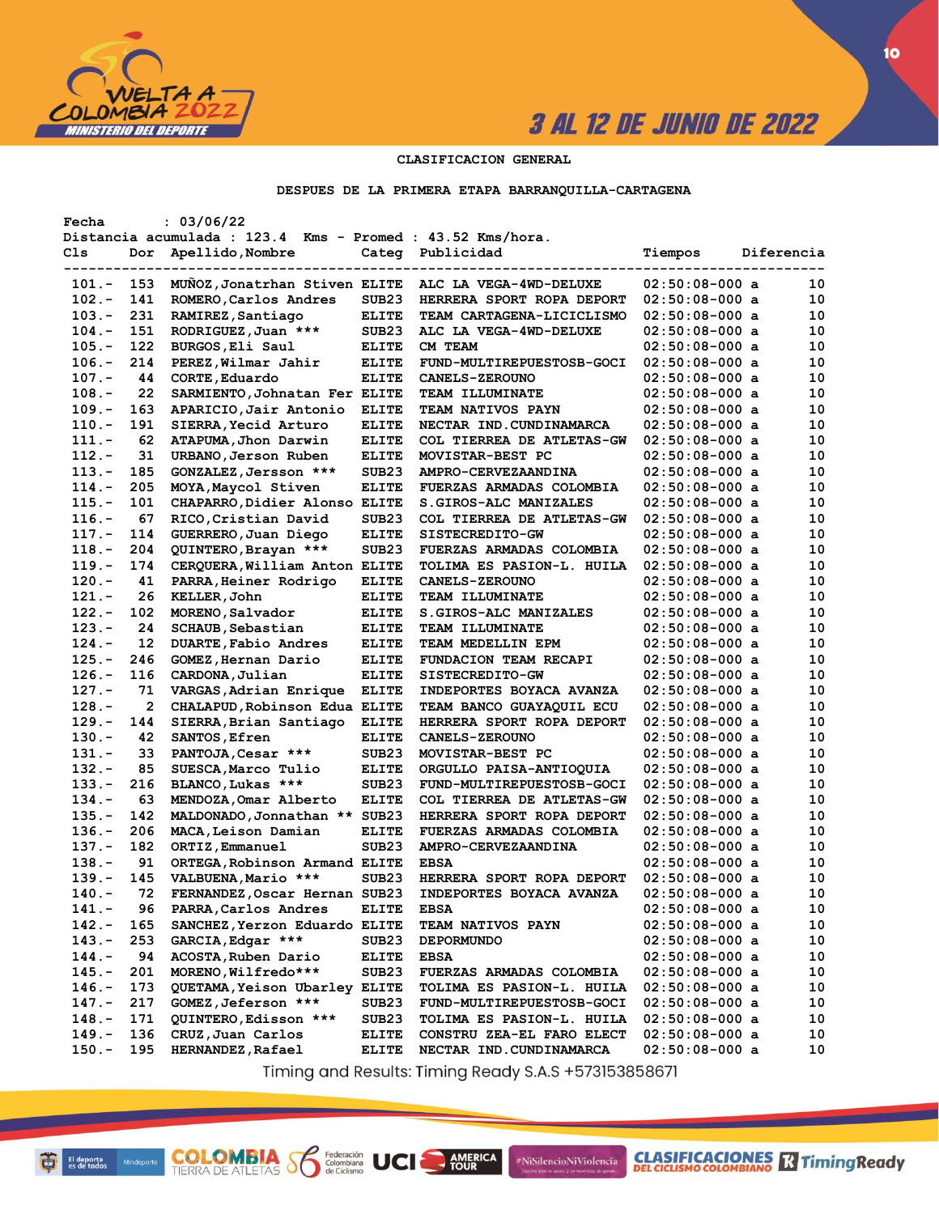

**10**

### **CLASIFICACION GENERAL**

#### **DESPUES DE LA PRIMERA ETAPA BARRANQUILLA-CARTAGENA**

| Fecha    |     | : 03/06/22                                                 |                   |                                  |                  |            |
|----------|-----|------------------------------------------------------------|-------------------|----------------------------------|------------------|------------|
|          |     | Distancia acumulada : 123.4 Kms - Promed : 43.52 Kms/hora. |                   |                                  |                  |            |
| Cls      | Dor | Apellido, Nombre                                           | Categ             | Publicidad                       | Tiempos          | Diferencia |
|          |     |                                                            |                   |                                  |                  |            |
| 101.-    | 153 | MUNOZ, Jonatrhan Stiven ELITE                              |                   | ALC LA VEGA-4WD-DELUXE           | $02:50:08-000$ a | 10         |
| $102 -$  | 141 | ROMERO, Carlos Andres                                      | SUB <sub>23</sub> | HERRERA SPORT ROPA DEPORT        | $02:50:08-000$ a | 10         |
| $103. -$ | 231 | RAMIREZ, Santiago                                          | <b>ELITE</b>      | TEAM CARTAGENA-LICICLISMO        | $02:50:08-000$ a | 10         |
| $104. -$ | 151 | RODRIGUEZ, Juan ***                                        | SUB <sub>23</sub> | ALC LA VEGA-4WD-DELUXE           | $02:50:08-000$ a | 10         |
| $105.-$  | 122 | BURGOS, Eli Saul                                           | <b>ELITE</b>      | CM TEAM                          | $02:50:08-000$ a | 10         |
| $106. -$ | 214 | PEREZ, Wilmar Jahir                                        | <b>ELITE</b>      | FUND-MULTIREPUESTOSB-GOCI        | $02:50:08-000$ a | 10         |
| $107. -$ | 44  | CORTE, Eduardo                                             | <b>ELITE</b>      | <b>CANELS-ZEROUNO</b>            | $02:50:08-000$ a | 10         |
| $108. -$ | 22  | SARMIENTO, Johnatan Fer ELITE                              |                   | <b>TEAM ILLUMINATE</b>           | $02:50:08-000$ a | 10         |
| 109.-    | 163 | APARICIO, Jair Antonio                                     | <b>ELITE</b>      | TEAM NATIVOS PAYN                | $02:50:08-000$ a | 10         |
| $110.-$  | 191 | SIERRA, Yecid Arturo                                       | <b>ELITE</b>      | NECTAR IND. CUNDINAMARCA         | $02:50:08-000$ a | 10         |
| 111.-    | 62  | ATAPUMA, Jhon Darwin                                       | <b>ELITE</b>      | <b>COL TIERREA DE ATLETAS-GW</b> | $02:50:08-000$ a | 10         |
| $112. -$ | 31  | URBANO, Jerson Ruben                                       | <b>ELITE</b>      | MOVISTAR-BEST PC                 | $02:50:08-000$ a | 10         |
| $113 -$  | 185 | GONZALEZ, Jersson ***                                      | SUB <sub>23</sub> | AMPRO-CERVEZAANDINA              | $02:50:08-000$ a | 10         |
| 114.-    | 205 | MOYA, Maycol Stiven                                        | <b>ELITE</b>      | <b>FUERZAS ARMADAS COLOMBIA</b>  | $02:50:08-000$ a | 10         |
| $115. -$ | 101 | CHAPARRO, Didier Alonso ELITE                              |                   | S.GIROS-ALC MANIZALES            | $02:50:08-000$ a | 10         |
| $116. -$ | 67  | RICO, Cristian David                                       | SUB <sub>23</sub> | <b>COL TIERREA DE ATLETAS-GW</b> | $02:50:08-000$ a | 10         |
| $117. -$ | 114 | GUERRERO, Juan Diego                                       | <b>ELITE</b>      | <b>SISTECREDITO-GW</b>           | $02:50:08-000$ a | 10         |
| $118. -$ | 204 | QUINTERO, Brayan ***                                       | SUB <sub>23</sub> | FUERZAS ARMADAS COLOMBIA         | $02:50:08-000$ a | 10         |
| $119. -$ | 174 | CERQUERA, William Anton ELITE                              |                   | TOLIMA ES PASION-L. HUILA        | $02:50:08-000$ a | 10         |
| $120 -$  | 41  | PARRA, Heiner Rodrigo                                      | <b>ELITE</b>      | <b>CANELS-ZEROUNO</b>            | $02:50:08-000$ a | 10         |
| $121. -$ | 26  | KELLER, John                                               | <b>ELITE</b>      | <b>TEAM ILLUMINATE</b>           | $02:50:08-000$ a | 10         |
| $122 -$  | 102 | MORENO, Salvador                                           | <b>ELITE</b>      | <b>S.GIROS-ALC MANIZALES</b>     | $02:50:08-000$ a | 10         |
| $123 -$  | 24  | <b>SCHAUB, Sebastian</b>                                   | <b>ELITE</b>      | <b>TEAM ILLUMINATE</b>           | $02:50:08-000$ a | 10         |
| $124. -$ | 12  | DUARTE, Fabio Andres                                       | <b>ELITE</b>      | TEAM MEDELLIN EPM                | $02:50:08-000$ a | 10         |
| $125. -$ | 246 | GOMEZ, Hernan Dario                                        | <b>ELITE</b>      | FUNDACION TEAM RECAPI            | $02:50:08-000$ a | 10         |
| $126. -$ | 116 | CARDONA, Julian                                            | <b>ELITE</b>      | SISTECREDITO-GW                  | $02:50:08-000$ a | 10         |
| $127. -$ | 71  | VARGAS, Adrian Enrique                                     | <b>ELITE</b>      | <b>INDEPORTES BOYACA AVANZA</b>  | $02:50:08-000$ a | 10         |
| $128 -$  | 2   | CHALAPUD, Robinson Edua ELITE                              |                   | <b>TEAM BANCO GUAYAQUIL ECU</b>  | $02:50:08-000$ a | 10         |
| $129. -$ | 144 | SIERRA, Brian Santiago                                     | <b>ELITE</b>      | HERRERA SPORT ROPA DEPORT        | $02:50:08-000$ a | 10         |
| $130 -$  | 42  | SANTOS, Efren                                              | <b>ELITE</b>      | <b>CANELS-ZEROUNO</b>            | $02:50:08-000$ a | 10         |
| $131 -$  | 33  |                                                            | SUB <sub>23</sub> |                                  |                  | 10         |
|          | 85  | PANTOJA, Cesar ***                                         |                   | MOVISTAR-BEST PC                 | $02:50:08-000$ a | 10         |
| $132 -$  |     | SUESCA, Marco Tulio                                        | <b>ELITE</b>      | ORGULLO PAISA-ANTIOQUIA          | $02:50:08-000$ a |            |
| $133 -$  | 216 | BLANCO, Lukas ***                                          | SUB <sub>23</sub> | FUND-MULTIREPUESTOSB-GOCI        | $02:50:08-000$ a | 10         |
| $134. -$ | 63  | MENDOZA, Omar Alberto                                      | <b>ELITE</b>      | <b>COL TIERREA DE ATLETAS-GW</b> | $02:50:08-000$ a | 10         |
| $135.-$  | 142 | MALDONADO, Jonnathan **                                    | SUB <sub>23</sub> | HERRERA SPORT ROPA DEPORT        | $02:50:08-000$ a | 10         |
| $136. -$ | 206 | MACA, Leison Damian                                        | ELITE             | FUERZAS ARMADAS COLOMBIA         | $02:50:08-000$ a | 10         |
| $137. -$ | 182 | ORTIZ, Emmanuel                                            | SUB <sub>23</sub> | AMPRO-CERVEZAANDINA              | $02:50:08-000$ a | 10         |
| $138 -$  | 91  | ORTEGA, Robinson Armand ELITE                              |                   | <b>EBSA</b>                      | $02:50:08-000$ a | 10         |
| $139. -$ | 145 | VALBUENA, Mario ***                                        | SUB <sub>23</sub> | HERRERA SPORT ROPA DEPORT        | $02:50:08-000$ a | 10         |
| $140 -$  | 72  | FERNANDEZ, Oscar Hernan SUB23                              |                   | <b>INDEPORTES BOYACA AVANZA</b>  | $02:50:08-000$ a | 10         |
| $141. -$ | 96  | PARRA, Carlos Andres                                       | <b>ELITE</b>      | <b>EBSA</b>                      | $02:50:08-000$ a | 10         |
| $142. -$ | 165 | SANCHEZ, Yerzon Eduardo ELITE                              |                   | <b>TEAM NATIVOS PAYN</b>         | $02:50:08-000$ a | 10         |
| $143. -$ | 253 | GARCIA, Edgar ***                                          | SUB23             | <b>DEPORMUNDO</b>                | $02:50:08-000$ a | 10         |
| $144. -$ | 94  | ACOSTA, Ruben Dario                                        | <b>ELITE</b>      | <b>EBSA</b>                      | $02:50:08-000$ a | 10         |
| $145. -$ | 201 | MORENO, Wilfredo***                                        | SUB <sub>23</sub> | FUERZAS ARMADAS COLOMBIA         | $02:50:08-000$ a | 10         |
| $146. -$ | 173 | QUETAMA, Yeison Ubarley ELITE                              |                   | TOLIMA ES PASION-L. HUILA        | $02:50:08-000$ a | 10         |
| $147. -$ | 217 | GOMEZ, Jeferson ***                                        | SUB23             | FUND-MULTIREPUESTOSB-GOCI        | $02:50:08-000$ a | 10         |
| $148. -$ | 171 | QUINTERO, Edisson ***                                      | SUB <sub>23</sub> | TOLIMA ES PASION-L. HUILA        | $02:50:08-000$ a | 10         |
| $149. -$ | 136 | CRUZ, Juan Carlos                                          | ELITE             | CONSTRU ZEA-EL FARO ELECT        | $02:50:08-000$ a | 10         |
| $150. -$ | 195 | HERNANDEZ, Rafael                                          | <b>ELITE</b>      | NECTAR IND. CUNDINAMARCA         | $02:50:08-000$ a | 10         |

Timing and Results: Timing Ready S.A.S +573153858671

**AMERICA** 

#NiSilencioNiViolencia

Federación<br>Colombiana<br>de Ciclismo

UCI

**COLOMBIA S**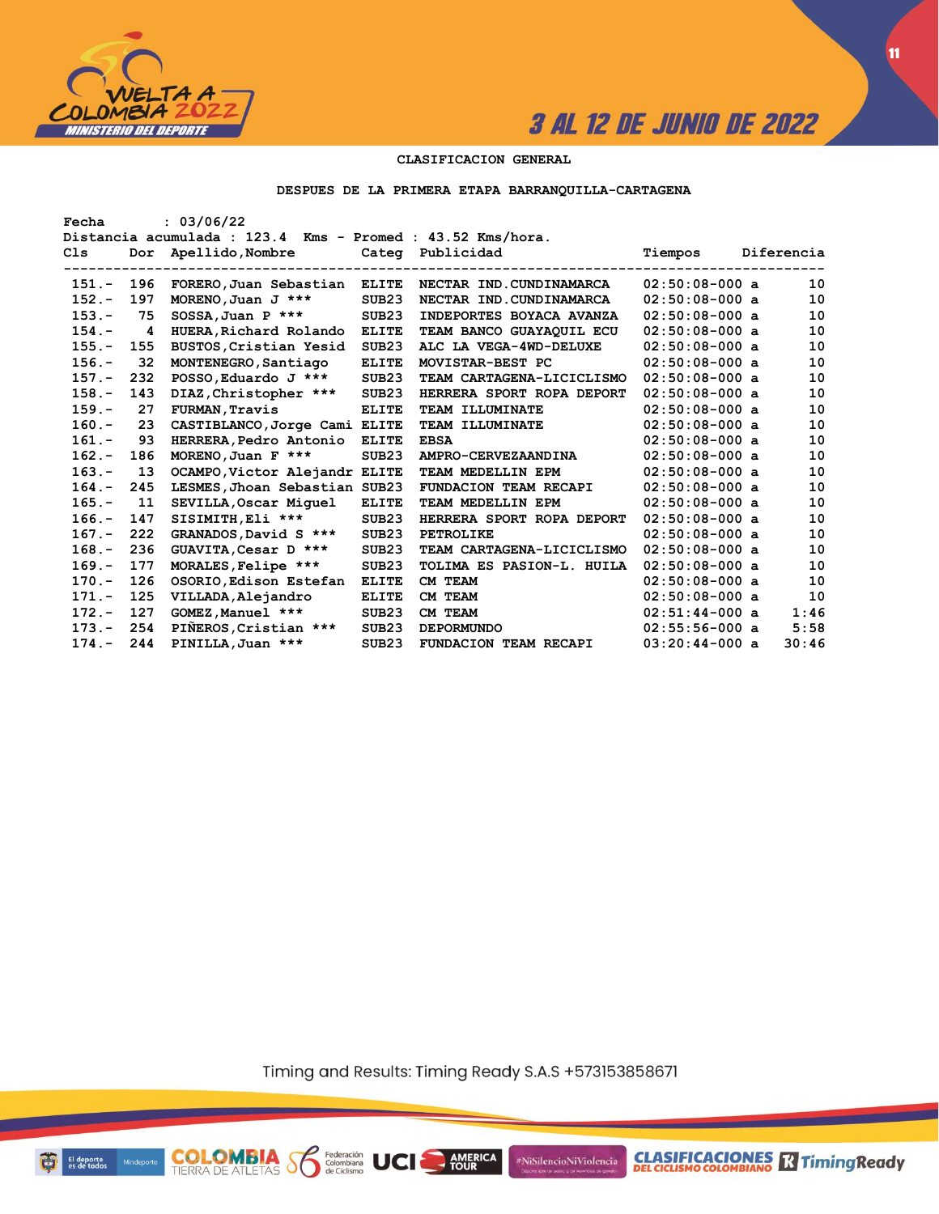

**CLASIFICACIONES** TimingReady

**11**

#### **CLASIFICACION GENERAL**

#### **DESPUES DE LA PRIMERA ETAPA BARRANQUILLA-CARTAGENA**

| Fecha    |                         | : 03/06/22                                                 |                   |                              |                  |            |
|----------|-------------------------|------------------------------------------------------------|-------------------|------------------------------|------------------|------------|
|          |                         | Distancia acumulada : 123.4 Kms - Promed : 43.52 Kms/hora. |                   |                              |                  |            |
| Cls      |                         | Dor Apellido, Nombre Cateq Publicidad                      |                   |                              | Tiempos          | Diferencia |
|          |                         | --------------------                                       |                   |                              |                  |            |
| $151 -$  | 196                     | FORERO, Juan Sebastian                                     | <b>ELITE</b>      | NECTAR IND.CUNDINAMARCA      | $02:50:08-000$ a | 10         |
| $152 -$  | 197                     | MORENO, Juan J ***                                         | SUB23             | NECTAR IND.CUNDINAMARCA      | $02:50:08-000$ a | 10         |
| $153 -$  | 75                      | $SOSSA$ , Juan P ***                                       | SUB <sub>23</sub> | INDEPORTES BOYACA AVANZA     | $02:50:08-000$ a | 10         |
| $154. -$ | $\overline{\mathbf{4}}$ | HUERA, Richard Rolando                                     | <b>ELITE</b>      | TEAM BANCO GUAYAQUIL ECU     | $02:50:08-000$ a | 10         |
| $155. -$ | 155                     | BUSTOS, Cristian Yesid                                     | SUB <sub>23</sub> | ALC LA VEGA-4WD-DELUXE       | $02:50:08-000$ a | 10         |
| $156. -$ | 32                      | MONTENEGRO, Santiago                                       | <b>ELITE</b>      | MOVISTAR-BEST PC             | $02:50:08-000$ a | 10         |
| $157. -$ | 232                     | POSSO, Eduardo J ***                                       | SUB <sub>23</sub> | TEAM CARTAGENA-LICICLISMO    | $02:50:08-000$ a | 10         |
| $158 -$  | 143                     | DIAZ, Christopher ***                                      | SUB <sub>23</sub> | HERRERA SPORT ROPA DEPORT    | $02:50:08-000$ a | 10         |
| $159. -$ | 27                      | <b>FURMAN, Travis</b>                                      | <b>ELITE</b>      | TEAM ILLUMINATE              | $02:50:08-000$ a | 10         |
| $160 -$  | 23                      | CASTIBLANCO, Jorge Cami ELITE                              |                   | <b>TEAM ILLUMINATE</b>       | $02:50:08-000$ a | 10         |
| $161. -$ | 93                      | HERRERA, Pedro Antonio                                     | <b>ELITE</b>      | <b>EBSA</b>                  | $02:50:08-000$ a | 10         |
| $162 -$  | 186                     | MORENO, Juan F $***$                                       | SUB <sub>23</sub> | AMPRO-CERVEZAANDINA          | $02:50:08-000$ a | 10         |
| $163 -$  | 13                      | OCAMPO, Victor Alejandr ELITE                              |                   | TEAM MEDELLIN EPM            | $02:50:08-000$ a | 10         |
| $164. -$ | 245                     | LESMES, Jhoan Sebastian SUB23                              |                   | <b>FUNDACION TEAM RECAPI</b> | $02:50:08-000$ a | 10         |
| $165. -$ | 11                      | SEVILLA, Oscar Miquel                                      | <b>ELITE</b>      | TEAM MEDELLIN EPM            | $02:50:08-000$ a | 10         |
| $166. -$ | 147                     | SISIMITH, Eli ***                                          | SUB <sub>23</sub> | HERRERA SPORT ROPA DEPORT    | $02:50:08-000$ a | 10         |
| $167. -$ | 222                     | GRANADOS, David S ***                                      | SUB23             | <b>PETROLIKE</b>             | $02:50:08-000$ a | 10         |
| $168. -$ | 236                     | GUAVITA, Cesar D ***                                       | SUB <sub>23</sub> | TEAM CARTAGENA-LICICLISMO    | $02:50:08-000$ a | 10         |
| $169. -$ | 177                     | MORALES, Felipe ***                                        | SUB <sub>23</sub> | TOLIMA ES PASION-L. HUILA    | $02:50:08-000$ a | 10         |
| $170 -$  | 126                     | OSORIO, Edison Estefan                                     | <b>ELITE</b>      | CM TEAM                      | $02:50:08-000$ a | 10         |
| $171 -$  | 125                     | VILLADA, Alejandro                                         | <b>ELITE</b>      | CM TEAM                      | $02:50:08-000$ a | 10         |
| $172 -$  | 127                     | GOMEZ, Manuel ***                                          | SUB <sub>23</sub> | CM TEAM                      | $02:51:44-000$ a | 1:46       |
| $173 -$  | 254                     | PIÑEROS, Cristian ***                                      | SUB <sub>23</sub> | <b>DEPORMUNDO</b>            | $02:55:56-000$ a | 5:58       |
| $174. -$ | 244                     | PINILLA, Juan ***                                          | SUB <sub>23</sub> | <b>FUNDACION TEAM RECAPI</b> | $03:20:44-000$ a | 30:46      |

Timing and Results: Timing Ready S.A.S +573153858671

**AMERICA** 

UCI

#NiSilencioNiViolencia



ū

**COLOMBIA** Solenbiana<br>TIERRA DE ATLETAS Solenbiana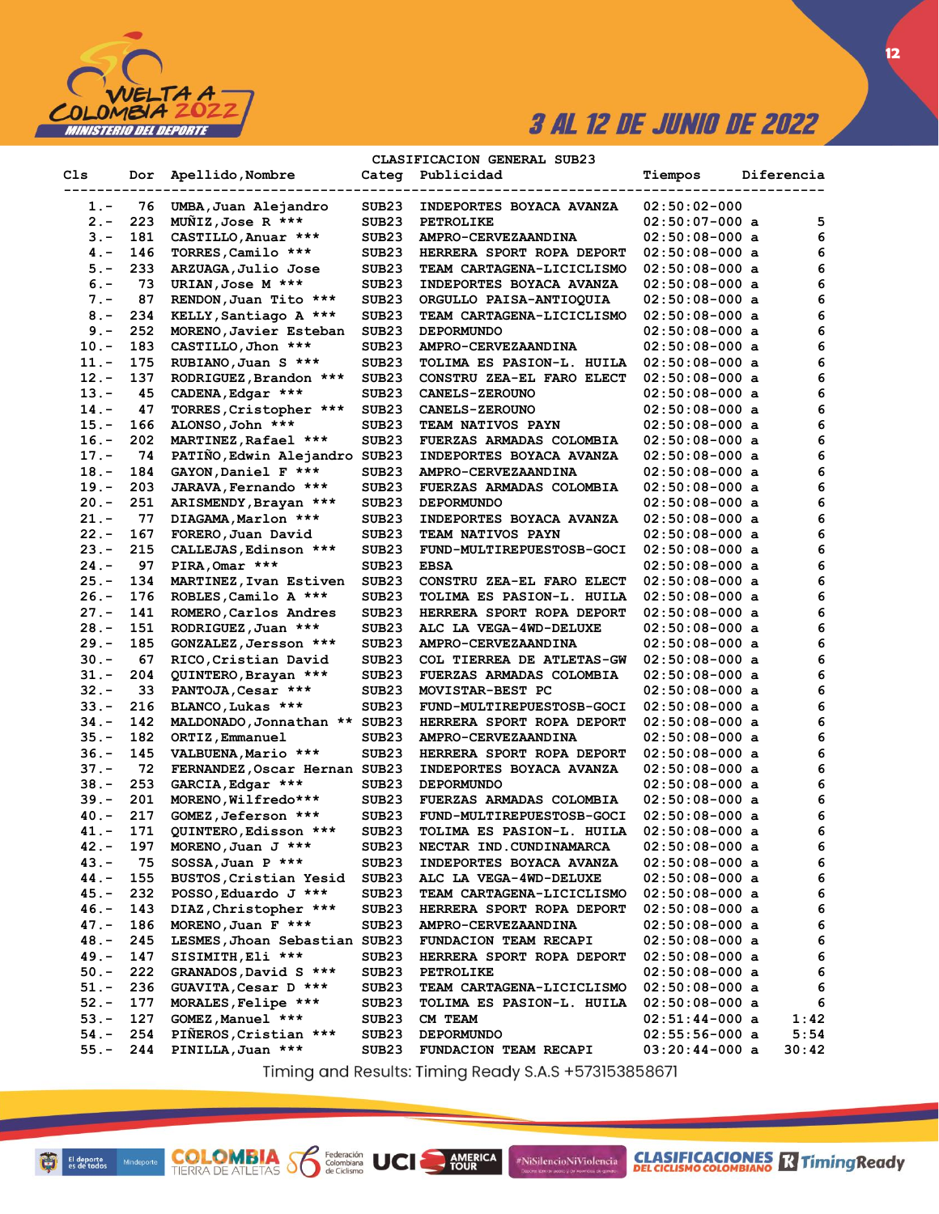

**CLASIFICACION GENERAL SUB23**

| Cls     | Dor | Apellido, Nombre              | Categ             | Publicidad                 | Tiempos          | Diferencia |
|---------|-----|-------------------------------|-------------------|----------------------------|------------------|------------|
| 1.-     | 76  | UMBA, Juan Alejandro          | SUB23             | INDEPORTES BOYACA AVANZA   | $02:50:02-000$   |            |
| 2.-     | 223 | MUNIZ, Jose R ***             | SUB23             | <b>PETROLIKE</b>           | $02:50:07-000$ a | 5          |
| $3 -$   | 181 | CASTILLO, Anuar ***           | SUB23             | AMPRO-CERVEZAANDINA        | $02:50:08-000$ a | 6          |
| 4. –    | 146 | TORRES, Camilo ***            | SUB23             | HERRERA SPORT ROPA DEPORT  | $02:50:08-000$ a | 6          |
| $5. -$  | 233 | ARZUAGA, Julio Jose           | SUB23             | TEAM CARTAGENA-LICICLISMO  | $02:50:08-000$ a | 6          |
| $6 -$   | 73  | URIAN, Jose M ***             | SUB23             | INDEPORTES BOYACA AVANZA   | $02:50:08-000$ a | 6          |
| $7. -$  | 87  | RENDON, Juan Tito ***         | SUB23             | ORGULLO PAISA-ANTIOQUIA    | $02:50:08-000$ a | 6          |
| $8 -$   | 234 | KELLY, Santiago A ***         | SUB23             | TEAM CARTAGENA-LICICLISMO  | $02:50:08-000$ a | 6          |
| $9. -$  | 252 | MORENO, Javier Esteban        | SUB23             | <b>DEPORMUNDO</b>          | $02:50:08-000$ a | 6          |
| $10. -$ | 183 | CASTILLO, Jhon ***            | SUB <sub>23</sub> | AMPRO-CERVEZAANDINA        | $02:50:08-000$ a | 6          |
| $11. -$ | 175 | RUBIANO, Juan S ***           | SUB <sub>23</sub> | TOLIMA ES PASION-L. HUILA  | $02:50:08-000$ a | 6          |
| $12. -$ | 137 | RODRIGUEZ, Brandon ***        | SUB23             | CONSTRU ZEA-EL FARO ELECT  | $02:50:08-000$ a | 6          |
| $13 -$  | 45  | CADENA, Edgar ***             | SUB23             | <b>CANELS-ZEROUNO</b>      | $02:50:08-000$ a | 6          |
| $14. -$ | 47  | TORRES, Cristopher ***        | SUB23             | <b>CANELS-ZEROUNO</b>      | $02:50:08-000$ a | 6          |
| $15. -$ | 166 | ALONSO, John ***              | SUB23             | TEAM NATIVOS PAYN          | $02:50:08-000$ a | 6          |
| $16. -$ | 202 | MARTINEZ, Rafael ***          | SUB23             | FUERZAS ARMADAS COLOMBIA   | $02:50:08-000$ a | 6          |
| $17. -$ | 74  | PATIÑO, Edwin Alejandro SUB23 |                   | INDEPORTES BOYACA AVANZA   | $02:50:08-000$ a | 6          |
| $18. -$ | 184 | GAYON, Daniel F ***           | SUB23             | <b>AMPRO-CERVEZAANDINA</b> | $02:50:08-000$ a | 6          |
| $19. -$ | 203 | JARAVA, Fernando ***          | SUB23             | FUERZAS ARMADAS COLOMBIA   | $02:50:08-000$ a | 6          |
| $20 -$  | 251 | ARISMENDY, Brayan ***         | SUB23             | <b>DEPORMUNDO</b>          | $02:50:08-000$ a | 6          |
| $21 -$  | 77  | DIAGAMA, Marlon ***           | SUB23             | INDEPORTES BOYACA AVANZA   | $02:50:08-000$ a | 6          |
| $22 -$  | 167 | FORERO, Juan David            | SUB23             | <b>TEAM NATIVOS PAYN</b>   | $02:50:08-000$ a | 6          |
| $23 -$  | 215 | CALLEJAS, Edinson ***         | SUB23             | FUND-MULTIREPUESTOSB-GOCI  | $02:50:08-000$ a | 6          |
| $24. -$ | 97  | PIRA, Omar ***                | SUB23             | <b>EBSA</b>                | $02:50:08-000$ a | 6          |
| $25. -$ | 134 | MARTINEZ, Ivan Estiven        | SUB <sub>23</sub> | CONSTRU ZEA-EL FARO ELECT  | $02:50:08-000$ a | 6          |
| $26. -$ | 176 | ROBLES, Camilo A ***          | SUB23             | TOLIMA ES PASION-L. HUILA  | $02:50:08-000$ a | 6          |
| $27. -$ | 141 | ROMERO, Carlos Andres         | SUB23             | HERRERA SPORT ROPA DEPORT  | $02:50:08-000$ a | 6          |
| $28. -$ | 151 | RODRIGUEZ, Juan ***           | SUB23             | ALC LA VEGA-4WD-DELUXE     | $02:50:08-000$ a | 6          |
| $29. -$ | 185 | GONZALEZ, Jersson ***         | SUB23             | <b>AMPRO-CERVEZAANDINA</b> | $02:50:08-000$ a | 6          |
| $30 -$  | 67  | RICO, Cristian David          | SUB23             | COL TIERREA DE ATLETAS-GW  | $02:50:08-000$ a | 6          |
| $31 -$  | 204 | QUINTERO, Brayan ***          | SUB23             | FUERZAS ARMADAS COLOMBIA   | $02:50:08-000$ a | 6          |
| $32 -$  | 33  | PANTOJA, Cesar ***            | SUB23             | MOVISTAR-BEST PC           | $02:50:08-000$ a | 6          |
| $33 -$  | 216 | BLANCO, Lukas ***             | SUB23             | FUND-MULTIREPUESTOSB-GOCI  | $02:50:08-000$ a | 6          |
| 34.-    | 142 | MALDONADO, Jonnathan ** SUB23 |                   | HERRERA SPORT ROPA DEPORT  | $02:50:08-000$ a | 6          |
| $35. -$ | 182 | ORTIZ, Emmanuel               | SUB23             | <b>AMPRO-CERVEZAANDINA</b> | $02:50:08-000$ a | 6          |
| $36. -$ | 145 | VALBUENA, Mario ***           | SUB23             | HERRERA SPORT ROPA DEPORT  | $02:50:08-000$ a | 6          |
| $37 -$  | 72  | FERNANDEZ, Oscar Hernan SUB23 |                   | INDEPORTES BOYACA AVANZA   | $02:50:08-000$ a | 6          |
| $38. -$ | 253 | GARCIA, Edgar ***             | SUB23             | <b>DEPORMUNDO</b>          | $02:50:08-000$ a | 6          |
| $39. -$ | 201 | MORENO, Wilfredo***           | SUB23             | FUERZAS ARMADAS COLOMBIA   | $02:50:08-000$ a | 6          |
| $40 -$  | 217 | GOMEZ, Jeferson ***           | SUB23             | FUND-MULTIREPUESTOSB-GOCI  | $02:50:08-000$ a | 6          |
| 41.-    | 171 | QUINTERO, Edisson ***         | SUB23             | TOLIMA ES PASION-L. HUILA  | $02:50:08-000$ a | 6          |
| 42.-    | 197 | MORENO, Juan J ***            | SUB <sub>23</sub> | NECTAR IND. CUNDINAMARCA   | 02:50:08-000 a   | 6          |
| 43.-    | 75  | $SOSSA$ , Juan P ***          | SUB23             | INDEPORTES BOYACA AVANZA   | $02:50:08-000$ a | 6          |
| 44.-    | 155 | BUSTOS, Cristian Yesid        | SUB <sub>23</sub> | ALC LA VEGA-4WD-DELUXE     | $02:50:08-000$ a | 6          |
| 45.-    | 232 | POSSO, Eduardo J ***          | SUB23             | TEAM CARTAGENA-LICICLISMO  | $02:50:08-000$ a | 6          |
| 46.-    | 143 | DIAZ, Christopher ***         | SUB23             | HERRERA SPORT ROPA DEPORT  | $02:50:08-000$ a | 6          |
| $47. -$ | 186 | MORENO, Juan F ***            | SUB23             | AMPRO-CERVEZAANDINA        | $02:50:08-000$ a | 6          |
| $48. -$ | 245 | LESMES, Jhoan Sebastian SUB23 |                   | FUNDACION TEAM RECAPI      | $02:50:08-000$ a | 6          |
| 49.-    | 147 | SISIMITH, Eli ***             | SUB23             | HERRERA SPORT ROPA DEPORT  | $02:50:08-000$ a | 6          |
| $50. -$ | 222 | GRANADOS, David S ***         | SUB23             | <b>PETROLIKE</b>           | $02:50:08-000$ a | 6          |
| $51. -$ | 236 | GUAVITA, Cesar D ***          | SUB23             | TEAM CARTAGENA-LICICLISMO  | $02:50:08-000$ a | 6          |
| $52 -$  | 177 | MORALES, Felipe ***           | SUB23             | TOLIMA ES PASION-L. HUILA  | $02:50:08-000$ a | 6          |
| $53 -$  | 127 | GOMEZ, Manuel ***             | SUB <sub>23</sub> | CM TEAM                    | $02:51:44-000$ a | 1:42       |
| $54. -$ | 254 | PIÑEROS, Cristian ***         | SUB23             | <b>DEPORMUNDO</b>          | $02:55:56-000$ a | 5:54       |
| $55. -$ | 244 | PINILLA, Juan ***             | SUB23             | FUNDACION TEAM RECAPI      | $03:20:44-000$ a | 30:42      |

Timing and Results: Timing Ready S.A.S +573153858671

AMERICA

#NiSilencioNiViolencia

**COLOMBIA Se Ederación** UCI

**12**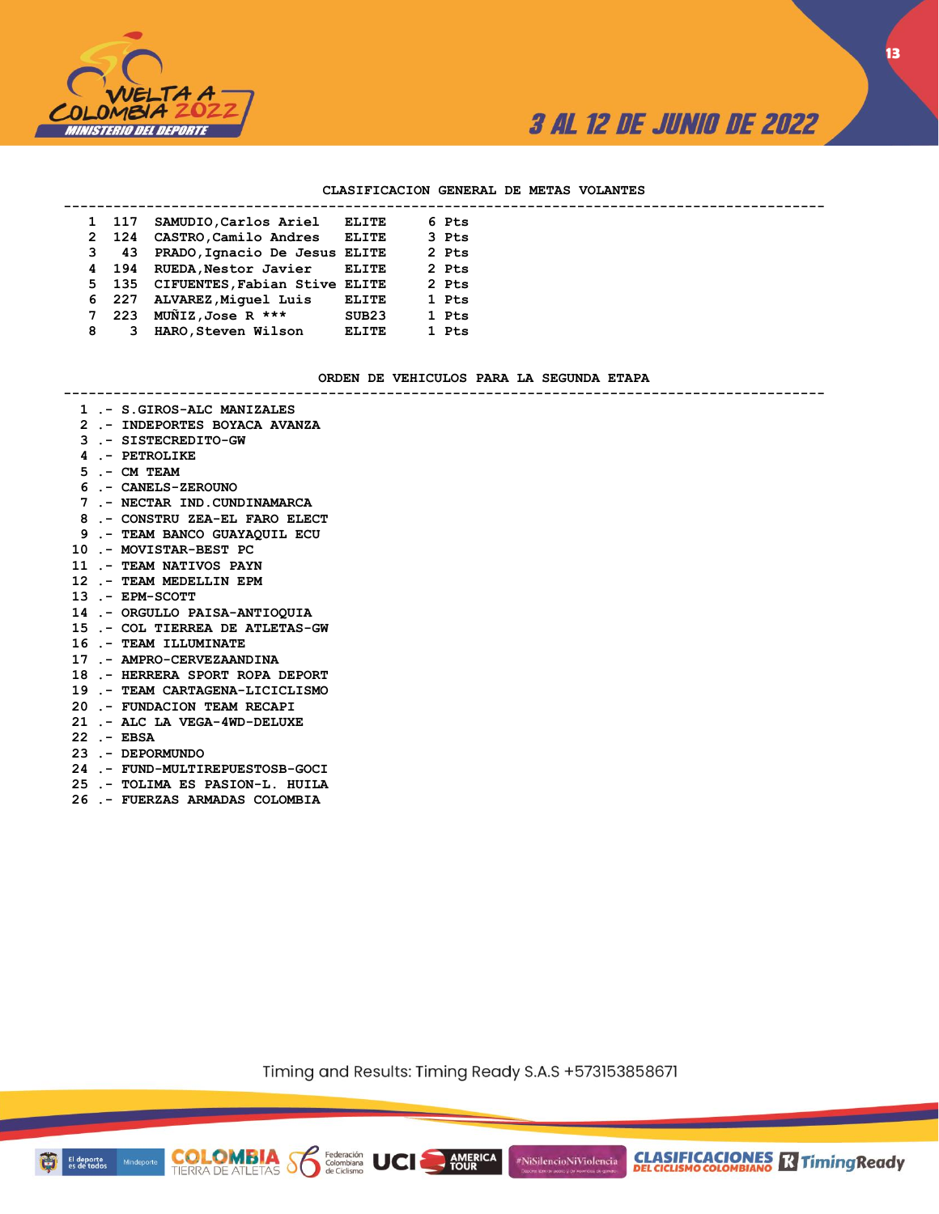

**13**

#### **CLASIFICACION GENERAL DE METAS VOLANTES**

|   | 1 117       | SAMUDIO, Carlos Ariel               | ELITE             |  | 6 Pts |  |
|---|-------------|-------------------------------------|-------------------|--|-------|--|
|   | 2 124       | CASTRO, Camilo Andres               | <b>ELITE</b>      |  | 3 Pts |  |
|   | $3\quad 43$ | PRADO, Ignacio De Jesus ELITE       |                   |  | 2 Pts |  |
|   |             | 4 194 RUEDA, Nestor Javier          | <b>ELITE</b>      |  | 2 Pts |  |
|   |             | 5 135 CIFUENTES, Fabian Stive ELITE |                   |  | 2 Pts |  |
|   |             | 6 227 ALVAREZ, Miquel Luis          | <b>ELITE</b>      |  | 1 Pts |  |
|   | 7 223       | MUNIZ, Jose R $***$                 | SUB <sub>23</sub> |  | 1 Pts |  |
| 8 |             | HARO, Steven Wilson                 | <b>ELITE</b>      |  | 1 Pts |  |
|   |             |                                     |                   |  |       |  |

#### **ORDEN DE VEHICULOS PARA LA SEGUNDA ETAPA**

**--------------------------------------------------------------------------------------------**

- **1 .- S.GIROS-ALC MANIZALES**
- **2 .- INDEPORTES BOYACA AVANZA**
- **3 .- SISTECREDITO-GW**
- **4 .- PETROLIKE**
- **5 .- CM TEAM**
- **6 .- CANELS-ZEROUNO**
- **7 .- NECTAR IND.CUNDINAMARCA**
- **8 .- CONSTRU ZEA-EL FARO ELECT**
- **9 .- TEAM BANCO GUAYAQUIL ECU**
- **10 .- MOVISTAR-BEST PC**
- **11 .- TEAM NATIVOS PAYN**
- **12 .- TEAM MEDELLIN EPM**
- **13 .- EPM-SCOTT**
- **14 .- ORGULLO PAISA-ANTIOQUIA**
- **15 .- COL TIERREA DE ATLETAS-GW**
- **16 .- TEAM ILLUMINATE**
- **17 .- AMPRO-CERVEZAANDINA**
- **18 .- HERRERA SPORT ROPA DEPORT**
- **19 .- TEAM CARTAGENA-LICICLISMO**
- **20 .- FUNDACION TEAM RECAPI**
- **21 .- ALC LA VEGA-4WD-DELUXE**
- **22 .- EBSA**
- **23 .- DEPORMUNDO**
- **24 .- FUND-MULTIREPUESTOSB-GOCI**
- **25 .- TOLIMA ES PASION-L. HUILA**
- **26 .- FUERZAS ARMADAS COLOMBIA**

**COLOMBIA Se Exerción UCI** 

Timing and Results: Timing Ready S.A.S +573153858671

**AMERICA**<br>TOUR

#NiSilencioNiViolencia

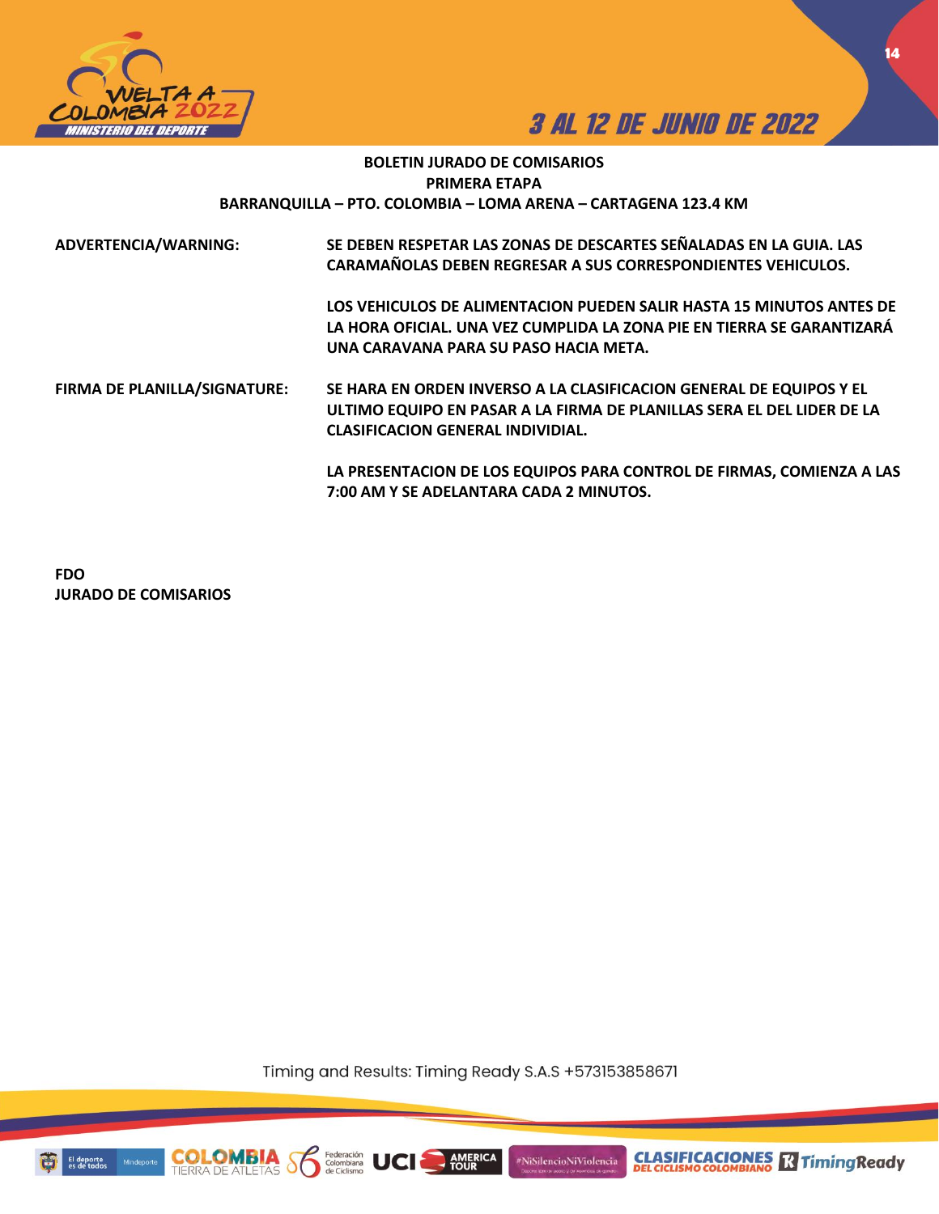



**14**

## **BOLETIN JURADO DE COMISARIOS PRIMERA ETAPA BARRANQUILLA – PTO. COLOMBIA – LOMA ARENA – CARTAGENA 123.4 KM**

| ADVERTENCIA/WARNING:         | SE DEBEN RESPETAR LAS ZONAS DE DESCARTES SEÑALADAS EN LA GUIA. LAS<br>CARAMAÑOLAS DEBEN REGRESAR A SUS CORRESPONDIENTES VEHICULOS. |
|------------------------------|------------------------------------------------------------------------------------------------------------------------------------|
|                              | LOS VEHICULOS DE ALIMENTACION PUEDEN SALIR HASTA 15 MINUTOS ANTES DE                                                               |
|                              | LA HORA OFICIAL. UNA VEZ CUMPLIDA LA ZONA PIE EN TIERRA SE GARANTIZARÁ                                                             |
|                              | UNA CARAVANA PARA SU PASO HACIA META.                                                                                              |
| FIRMA DE PLANILLA/SIGNATURE: | SE HARA EN ORDEN INVERSO A LA CLASIFICACION GENERAL DE EQUIPOS Y EL                                                                |
|                              | ULTIMO EQUIPO EN PASAR A LA FIRMA DE PLANILLAS SERA EL DEL LIDER DE LA                                                             |
|                              | <b>CLASIFICACION GENERAL INDIVIDIAL.</b>                                                                                           |
|                              | LA PRESENTACION DE LOS EQUIPOS PARA CONTROL DE FIRMAS, COMIENZA A LAS                                                              |
|                              | 7:00 AM Y SE ADELANTARA CADA 2 MINUTOS.                                                                                            |

**FDO JURADO DE COMISARIOS**

Timing and Results: Timing Ready S.A.S +573153858671

**AMERICA** 

#NiSilencioNiViolencia



Mind

**COLO**<br>TIERRA DE

Federación<br>Colombiana<br>de Ciclismo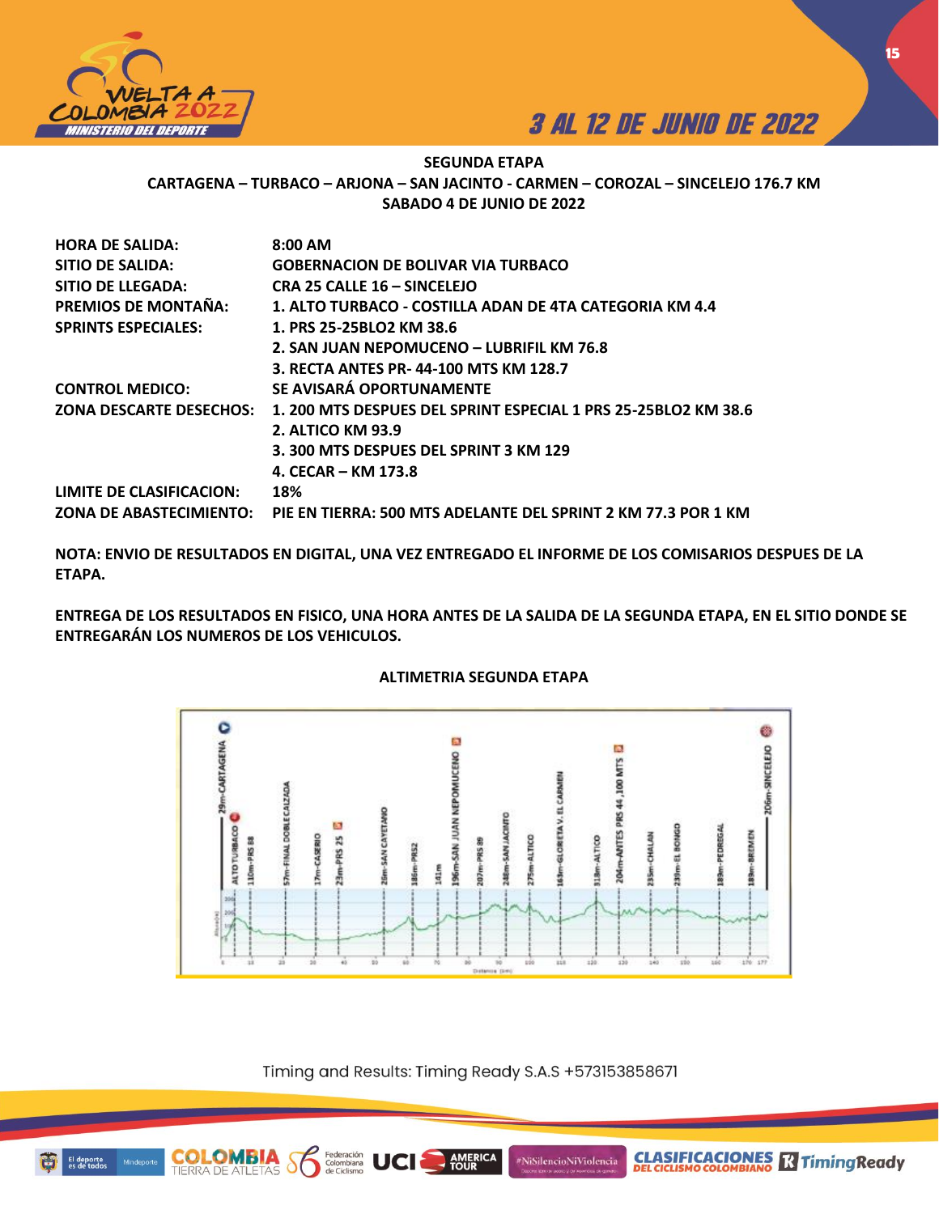



**CLASIFICACIONES M**Timing Ready

## **SEGUNDA ETAPA CARTAGENA – TURBACO – ARJONA – SAN JACINTO - CARMEN – COROZAL – SINCELEJO 176.7 KM SABADO 4 DE JUNIO DE 2022**

| 1.200 MTS DESPUES DEL SPRINT ESPECIAL 1 PRS 25-25BLO2 KM 38.6 |
|---------------------------------------------------------------|
|                                                               |
|                                                               |
|                                                               |
|                                                               |
| PIE EN TIERRA: 500 MTS ADELANTE DEL SPRINT 2 KM 77.3 POR 1 KM |
|                                                               |

**NOTA: ENVIO DE RESULTADOS EN DIGITAL, UNA VEZ ENTREGADO EL INFORME DE LOS COMISARIOS DESPUES DE LA ETAPA.** 

**ENTREGA DE LOS RESULTADOS EN FISICO, UNA HORA ANTES DE LA SALIDA DE LA SEGUNDA ETAPA, EN EL SITIO DONDE SE ENTREGARÁN LOS NUMEROS DE LOS VEHICULOS.** 



## **ALTIMETRIA SEGUNDA ETAPA**

Timing and Results: Timing Ready S.A.S +573153858671

**AMERICA** 

#NiSilencioNiViolencia



**COLOMBIA**<br>TIERRA DE ATLETAS

Federación<br>Colombiana<br>de Ciclismo

ð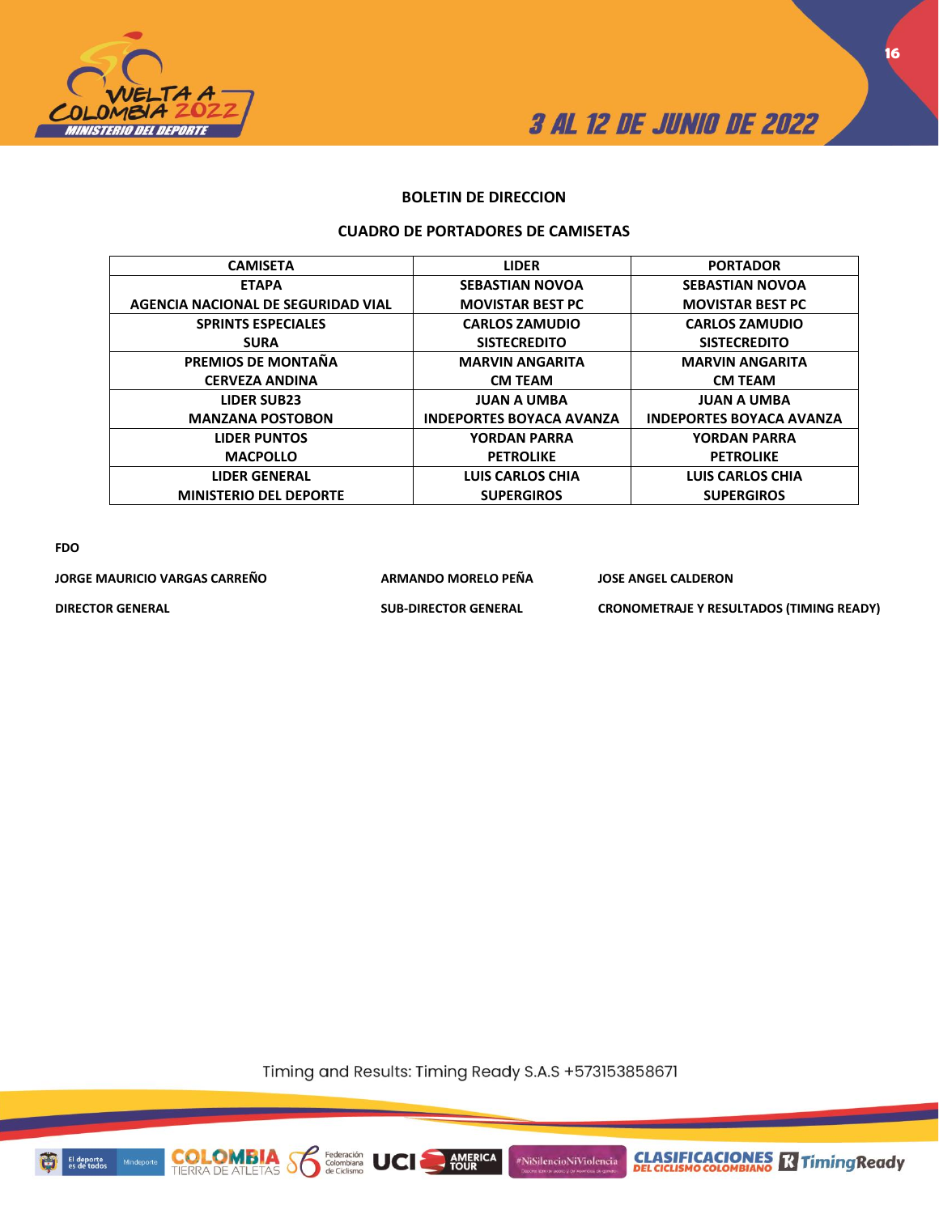



**16**

## **BOLETIN DE DIRECCION**

### **CUADRO DE PORTADORES DE CAMISETAS**

| <b>CAMISETA</b>                    | <b>LIDER</b>                    | <b>PORTADOR</b>                 |
|------------------------------------|---------------------------------|---------------------------------|
|                                    |                                 |                                 |
| <b>ETAPA</b>                       | <b>SEBASTIAN NOVOA</b>          | <b>SEBASTIAN NOVOA</b>          |
| AGENCIA NACIONAL DE SEGURIDAD VIAL | <b>MOVISTAR BEST PC</b>         | <b>MOVISTAR BEST PC</b>         |
| <b>SPRINTS ESPECIALES</b>          | <b>CARLOS ZAMUDIO</b>           | <b>CARLOS ZAMUDIO</b>           |
| <b>SURA</b>                        | <b>SISTECREDITO</b>             | <b>SISTECREDITO</b>             |
| PREMIOS DE MONTAÑA                 | <b>MARVIN ANGARITA</b>          | <b>MARVIN ANGARITA</b>          |
| <b>CERVEZA ANDINA</b>              | <b>CM TEAM</b>                  | <b>CM TEAM</b>                  |
| <b>LIDER SUB23</b>                 | <b>JUAN A UMBA</b>              | <b>JUAN A UMBA</b>              |
| <b>MANZANA POSTOBON</b>            | <b>INDEPORTES BOYACA AVANZA</b> | <b>INDEPORTES BOYACA AVANZA</b> |
| <b>LIDER PUNTOS</b>                | <b>YORDAN PARRA</b>             | <b>YORDAN PARRA</b>             |
| <b>MACPOLLO</b>                    | <b>PETROLIKE</b>                | <b>PETROLIKE</b>                |
| <b>LIDER GENERAL</b>               | LUIS CARLOS CHIA                | LUIS CARLOS CHIA                |
| <b>MINISTERIO DEL DEPORTE</b>      | <b>SUPERGIROS</b>               | <b>SUPERGIROS</b>               |
|                                    |                                 |                                 |

**FDO**

**JORGE MAURICIO VARGAS CARREÑO ARMANDO MORELO PEÑA JOSE ANGEL CALDERON DIRECTOR GENERAL SUB-DIRECTOR GENERAL CRONOMETRAJE Y RESULTADOS (TIMING READY)**

Timing and Results: Timing Ready S.A.S +573153858671

**AMERICA** 

#NiSilencioNiViolencia



**COLON** 

Federación<br>Colombiana<br>de Ciclismo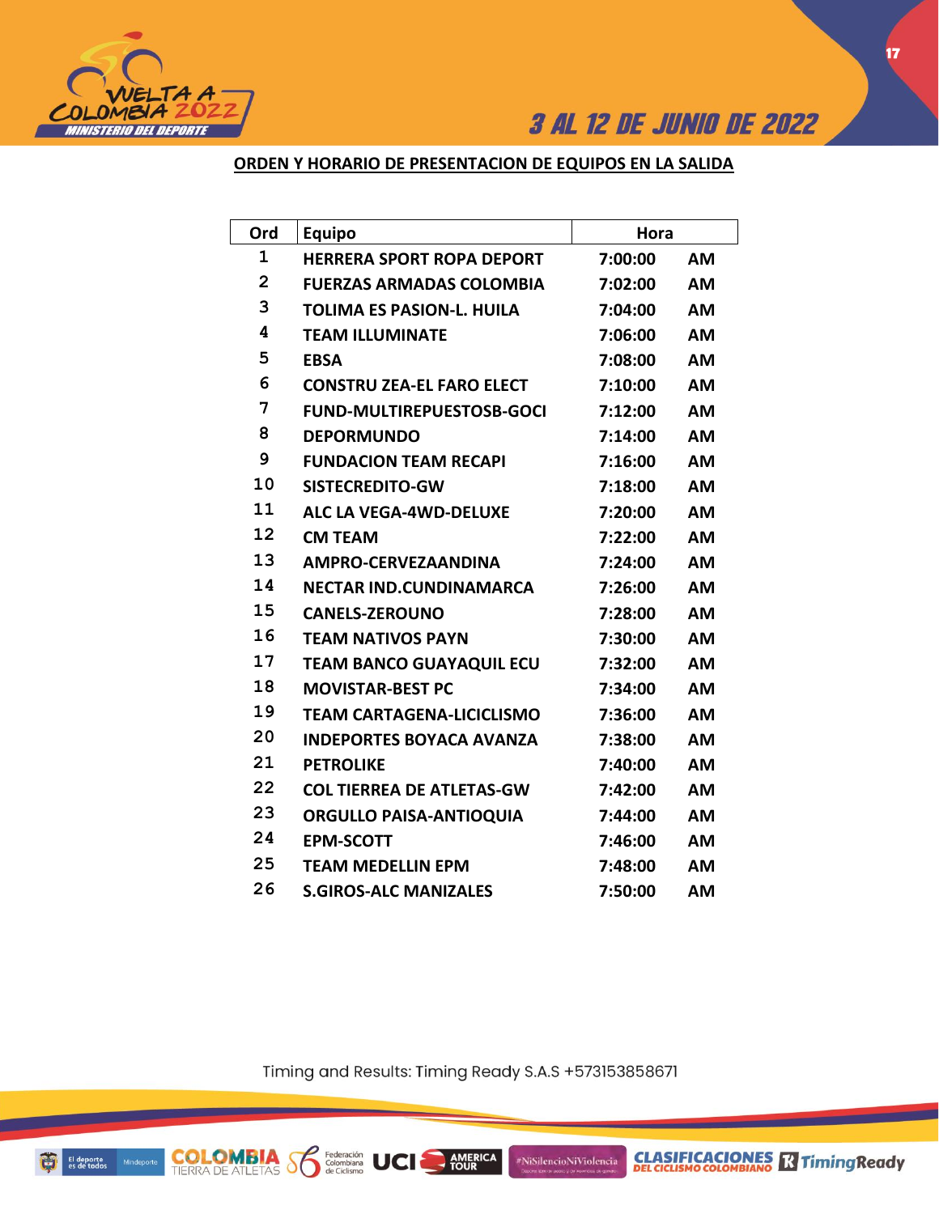

## **ORDEN Y HORARIO DE PRESENTACION DE EQUIPOS EN LA SALIDA**

| Ord            | <b>Equipo</b>                    | Hora    |           |
|----------------|----------------------------------|---------|-----------|
| $\mathbf{1}$   | <b>HERRERA SPORT ROPA DEPORT</b> | 7:00:00 | <b>AM</b> |
| $\overline{2}$ | <b>FUERZAS ARMADAS COLOMBIA</b>  | 7:02:00 | <b>AM</b> |
| 3              | <b>TOLIMA ES PASION-L. HUILA</b> | 7:04:00 | <b>AM</b> |
| 4              | <b>TEAM ILLUMINATE</b>           | 7:06:00 | <b>AM</b> |
| 5              | <b>EBSA</b>                      | 7:08:00 | <b>AM</b> |
| 6              | <b>CONSTRU ZEA-EL FARO ELECT</b> | 7:10:00 | <b>AM</b> |
| 7              | <b>FUND-MULTIREPUESTOSB-GOCI</b> | 7:12:00 | <b>AM</b> |
| 8              | <b>DEPORMUNDO</b>                | 7:14:00 | <b>AM</b> |
| 9              | <b>FUNDACION TEAM RECAPI</b>     | 7:16:00 | <b>AM</b> |
| 10             | SISTECREDITO-GW                  | 7:18:00 | <b>AM</b> |
| 11             | <b>ALC LA VEGA-4WD-DELUXE</b>    | 7:20:00 | <b>AM</b> |
| 12             | <b>CM TEAM</b>                   | 7:22:00 | <b>AM</b> |
| 13             | <b>AMPRO-CERVEZAANDINA</b>       | 7:24:00 | <b>AM</b> |
| 14             | <b>NECTAR IND.CUNDINAMARCA</b>   | 7:26:00 | <b>AM</b> |
| 15             | <b>CANELS-ZEROUNO</b>            | 7:28:00 | AM        |
| 16             | <b>TEAM NATIVOS PAYN</b>         | 7:30:00 | <b>AM</b> |
| 17             | <b>TEAM BANCO GUAYAQUIL ECU</b>  | 7:32:00 | <b>AM</b> |
| 18             | <b>MOVISTAR-BEST PC</b>          | 7:34:00 | <b>AM</b> |
| 19             | <b>TEAM CARTAGENA-LICICLISMO</b> | 7:36:00 | <b>AM</b> |
| 20             | <b>INDEPORTES BOYACA AVANZA</b>  | 7:38:00 | <b>AM</b> |
| 21             | <b>PETROLIKE</b>                 | 7:40:00 | AM        |
| 22             | <b>COL TIERREA DE ATLETAS-GW</b> | 7:42:00 | <b>AM</b> |
| 23             | <b>ORGULLO PAISA-ANTIOQUIA</b>   | 7:44:00 | <b>AM</b> |
| 24             | <b>EPM-SCOTT</b>                 | 7:46:00 | <b>AM</b> |
| 25             | <b>TEAM MEDELLIN EPM</b>         | 7:48:00 | <b>AM</b> |
| 26             | <b>S.GIROS-ALC MANIZALES</b>     | 7:50:00 | AM        |

Timing and Results: Timing Ready S.A.S +573153858671

AMERICA

#NiSilencioNiViolencia

**COLOMBIA Se Ederación** UCI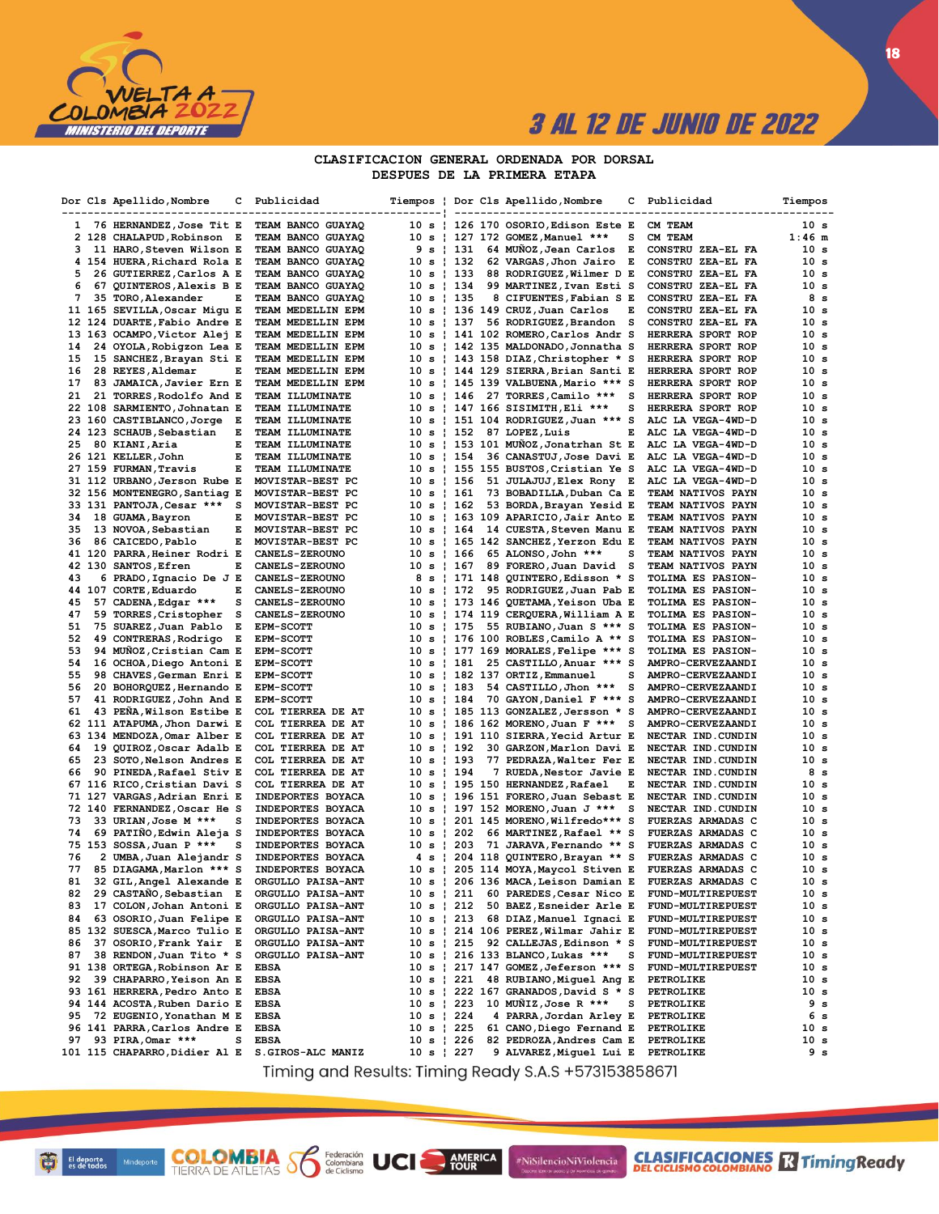

#### CLASIFICACION GENERAL ORDENADA POR DORSAL DESPUES DE LA PRIMERA ETAPA

|          | Dor Cls Apellido, Nombre                                | с   | Publicidad                                     |                          |              | Tiempos   Dor Cls Apellido, Nombre                                | с      | Publicidad                                    | Tiempos                 |
|----------|---------------------------------------------------------|-----|------------------------------------------------|--------------------------|--------------|-------------------------------------------------------------------|--------|-----------------------------------------------|-------------------------|
| 1        | 76 HERNANDEZ, Jose Tit E                                |     | TEAM BANCO GUAYAQ                              |                          |              | 10 s   126 170 OSORIO,Edison Este E                               |        | CM TEAM                                       | 10 s                    |
|          | 2 128 CHALAPUD, Robinson E                              |     | TEAM BANCO GUAYAQ                              |                          |              | 10 s   127 172 GOMEZ,Manuel ***                                   | s      | CM TEAM                                       | $1:46$ m                |
| з        | 11 HARO, Steven Wilson E                                |     | TEAM BANCO GUAYAQ                              | 9 s   131                |              | 64 MUÑOZ, Jean Carlos                                             | Е      | CONSTRU ZEA-EL FA                             | 10 s                    |
|          | 4 154 HUERA, Richard Rola E                             |     | TEAM BANCO GUAYAQ                              | 10 s   132               |              | 62 VARGAS, Jhon Jairo                                             | Е      | CONSTRU ZEA-EL FA                             | 10 s                    |
| 5        | 26 GUTIERREZ, Carlos A E                                |     | TEAM BANCO GUAYAQ                              | $10 s + 133$             |              | 88 RODRIGUEZ, Wilmer D E                                          |        | CONSTRU ZEA-EL FA                             | 10 s                    |
| 6<br>7   | 67 QUINTEROS, Alexis B E                                | Е   | TEAM BANCO GUAYAQ                              | 10 s   134<br>10 s   135 |              | 99 MARTINEZ, Ivan Esti S                                          |        | CONSTRU ZEA-EL FA<br>CONSTRU ZEA-EL FA        | 10 s<br>8 s             |
|          | 35 TORO, Alexander<br>11 165 SEVILLA, Oscar Migu E      |     | TEAM BANCO GUAYAQ<br>TEAM MEDELLIN EPM         |                          |              | 8 CIFUENTES, Fabian S E<br>10 s   136 149 CRUZ,Juan Carlos        | E      | CONSTRU ZEA-EL FA                             | 10 s                    |
|          | 12 124 DUARTE, Fabio Andre E                            |     | TEAM MEDELLIN EPM                              | 10 s ¦ 137               |              | 56 RODRIGUEZ, Brandon                                             | s      | CONSTRU ZEA-EL FA                             | 10 s                    |
|          | 13 163 OCAMPO, Victor Alej E                            |     | TEAM MEDELLIN EPM                              |                          |              | 10 s   141 102 ROMERO,Carlos Andr S                               |        | HERRERA SPORT ROP                             | 10 s                    |
| 14       | 24 OYOLA, Robigzon Lea E                                |     | TEAM MEDELLIN EPM                              | 10 s                     |              | 142 135 MALDONADO, Jonnatha S                                     |        | HERRERA SPORT ROP                             | 10 s                    |
| 15       | 15 SANCHEZ, Brayan Sti E                                |     | TEAM MEDELLIN EPM                              |                          |              | 10 s   143 158 DIAZ, Christopher * S                              |        | HERRERA SPORT ROP                             | 10 s                    |
| 16       | 28 REYES, Aldemar                                       | E   | TEAM MEDELLIN EPM                              |                          |              | 10 s ¦ 144 129 SIERRA,Brian Santi E                               |        | HERRERA SPORT ROP                             | 10 <sub>s</sub>         |
| 17       | 83 JAMAICA, Javier Ern E                                |     | TEAM MEDELLIN EPM                              | 10 s                     |              | 145 139 VALBUENA, Mario *** S                                     |        | HERRERA SPORT ROP                             | 10 s                    |
| 21       | 21 TORRES, Rodolfo And E                                |     | TEAM ILLUMINATE                                | 10 s                     | <b>t</b> 146 | 27 TORRES, Camilo ***                                             | s      | HERRERA SPORT ROP                             | 10 s                    |
|          | 22 108 SARMIENTO, Johnatan E                            |     | TEAM ILLUMINATE                                |                          |              | 10 s ¦ 147 166 SISIMITH,Eli ***                                   | s      | HERRERA SPORT ROP                             | 10 s                    |
|          | 23 160 CASTIBLANCO, Jorge E<br>24 123 SCHAUB, Sebastian | Е   | TEAM ILLUMINATE<br>TEAM ILLUMINATE             | 10 s<br>10 s ¦ 152       |              | 151 104 RODRIGUEZ, Juan *** S<br>87 LOPEZ, Luis                   | Е      | ALC LA VEGA-4WD-D<br>ALC LA VEGA-4WD-D        | 10 s<br>10 s            |
| 25       | 80 KIANI, Aria                                          | Е   | TEAM ILLUMINATE                                |                          |              | 10 s ¦ 153 101 MUÑOZ,Jonatrhan St E                               |        | ALC LA VEGA-4WD-D                             | 10 s                    |
|          | 26 121 KELLER, John                                     | Е   | TEAM ILLUMINATE                                | 10 s   154               |              | 36 CANASTUJ, Jose Davi E                                          |        | ALC LA VEGA-4WD-D                             | 10 s                    |
|          | 27 159 FURMAN, Travis                                   | Е   | TEAM ILLUMINATE                                |                          |              | 10 s ¦ 155 155 BUSTOS,Cristian Ye S                               |        | ALC LA VEGA-4WD-D                             | 10 s                    |
|          | 31 112 URBANO, Jerson Rube E                            |     | MOVISTAR-BEST PC                               | 10 s ¦ 156               |              | 51 JULAJUJ, Elex Rony E                                           |        | ALC LA VEGA-4WD-D                             | 10 s                    |
|          | 32 156 MONTENEGRO, Santiag E                            |     | MOVISTAR-BEST PC                               | 10 s   161               |              | 73 BOBADILLA, Duban Ca E                                          |        | TEAM NATIVOS PAYN                             | 10 s                    |
|          | 33 131 PANTOJA, Cesar ***                               | s   | MOVISTAR-BEST PC                               | 10 s ¦ 162               |              | 53 BORDA, Brayan Yesid E                                          |        | TEAM NATIVOS PAYN                             | 10 s                    |
| 34       | 18 GUAMA, Bayron                                        | E   | MOVISTAR-BEST PC                               |                          |              | 10 s ¦ 163 109 APARICIO,Jair Anto E                               |        | TEAM NATIVOS PAYN                             | 10 s                    |
| 35       | 13 NOVOA, Sebastian                                     | Е   | MOVISTAR-BEST PC                               | 10 s ¦ 164               |              | 14 CUESTA, Steven Manu E                                          |        | TEAM NATIVOS PAYN                             | 10 s                    |
| 36       | 86 CAICEDO, Pablo                                       | Е   | MOVISTAR-BEST PC                               |                          |              | 10 s ¦ 165 142 SANCHEZ,Yerzon Edu E                               |        | TEAM NATIVOS PAYN                             | 10 <sub>s</sub>         |
|          | 41 120 PARRA, Heiner Rodri E                            | Е   | <b>CANELS-ZEROUNO</b>                          | 10 s   166<br>10 s ¦ 167 |              | 65 ALONSO, John ***                                               | s<br>s | TEAM NATIVOS PAYN                             | 10 <sub>s</sub><br>10 s |
| 43       | 42 130 SANTOS, Efren<br>6 PRADO, Ignacio De J E         |     | <b>CANELS-ZEROUNO</b><br><b>CANELS-ZEROUNO</b> |                          |              | 89 FORERO, Juan David<br>8 s   171 148 QUINTERO, Edisson * S      |        | TEAM NATIVOS PAYN<br>TOLIMA ES PASION-        | 10 s                    |
|          | 44 107 CORTE, Eduardo                                   | Е   | <b>CANELS-ZEROUNO</b>                          | 10 s   172               |              | 95 RODRIGUEZ, Juan Pab E                                          |        | TOLIMA ES PASION-                             | 10 s                    |
| 45       | 57 CADENA, Edgar ***                                    | s   | CANELS-ZEROUNO                                 |                          |              | 10 s ¦ 173 146 QUETAMA,Yeison Uba E                               |        | TOLIMA ES PASION-                             | 10 s                    |
| 47       | 59 TORRES, Cristopher                                   | - S | CANELS-ZEROUNO                                 |                          |              | 10 s   174 119 CERQUERA, William A E                              |        | TOLIMA ES PASION-                             | 10 s                    |
| 51       | 75 SUAREZ, Juan Pablo                                   | Е   | <b>EPM-SCOTT</b>                               | 10 s   175               |              | 55 RUBIANO, Juan S *** S                                          |        | TOLIMA ES PASION-                             | 10 s                    |
| 52       | 49 CONTRERAS, Rodrigo                                   | Е   | <b>EPM-SCOTT</b>                               |                          |              | 10 s   176 100 ROBLES,Camilo A ** S                               |        | <b>TOLIMA ES PASION-</b>                      | 10 s                    |
| 53       | 94 MUNOZ, Cristian Cam E                                |     | <b>EPM-SCOTT</b>                               | 10 s                     |              | 177 169 MORALES, Felipe *** S                                     |        | TOLIMA ES PASION-                             | 10 s                    |
| 54       | 16 OCHOA, Diego Antoni E                                |     | <b>EPM-SCOTT</b>                               | 10 s   181               |              | 25 CASTILLO, Anuar *** S                                          |        | AMPRO-CERVEZAANDI                             | 10 <sub>s</sub>         |
| 55       | 98 CHAVES, German Enri E                                |     | <b>EPM-SCOTT</b>                               | 10 s                     |              | 182 137 ORTIZ, Emmanuel                                           | s      | AMPRO-CERVEZAANDI                             | 10 <sub>s</sub>         |
| 56<br>57 | 20 BOHORQUEZ, Hernando E                                |     | <b>EPM-SCOTT</b><br><b>EPM-SCOTT</b>           | 10 s ¦ 183<br>10 s   184 |              | 54 CASTILLO, Jhon ***<br>70 GAYON, Daniel F *** S                 | s      | AMPRO-CERVEZAANDI<br>AMPRO-CERVEZAANDI        | 10 s<br>10 s            |
| 61       | 41 RODRIGUEZ, John And E<br>43 PENA, Wilson Estibe E    |     | COL TIERREA DE AT                              |                          |              | 10 s   185 113 GONZALEZ, Jersson * S                              |        | AMPRO-CERVEZAANDI                             | 10 <sub>s</sub>         |
|          | 62 111 ATAPUMA, Jhon Darwi E                            |     | COL TIERREA DE AT                              | 10 s                     |              | 186 162 MORENO, Juan F ***                                        | s      | AMPRO-CERVEZAANDI                             | 10 s                    |
| 63       | 134 MENDOZA, Omar Alber E                               |     | COL TIERREA DE AT                              |                          |              | 10 s   191 110 SIERRA, Yecid Artur E                              |        | NECTAR IND.CUNDIN                             | 10 s                    |
| 64       | 19 QUIROZ, Oscar Adalb E                                |     | COL TIERREA DE AT                              | 10 s   192               |              | 30 GARZON, Marlon Davi E                                          |        | NECTAR IND.CUNDIN                             | 10 <sub>s</sub>         |
| 65       | 23 SOTO, Nelson Andres E                                |     | COL TIERREA DE AT                              | 10 s   193               |              | 77 PEDRAZA, Walter Fer E                                          |        | NECTAR IND.CUNDIN                             | 10 <sub>s</sub>         |
| 66       | 90 PINEDA, Rafael Stiv E                                |     | COL TIERREA DE AT                              | 10 s ¦ 194               |              | 7 RUEDA, Nestor Javie E                                           |        | NECTAR IND.CUNDIN                             | 8 s                     |
|          | 67 116 RICO, Cristian Davi S                            |     | COL TIERREA DE AT                              |                          |              | 10 s ¦ 195 150 HERNANDEZ,Rafael                                   | Е      | NECTAR IND.CUNDIN                             | 10 <sub>s</sub>         |
|          | 71 127 VARGAS, Adrian Enri E                            |     | INDEPORTES BOYACA                              |                          |              | 10 s   196 151 FORERO, Juan Sebast E                              |        | NECTAR IND.CUNDIN                             | 10 s                    |
| 73       | 72 140 FERNANDEZ, Oscar He S<br>33 URIAN, Jose M ***    | s   | INDEPORTES BOYACA<br>INDEPORTES BOYACA         | 10 s                     |              | 197 152 MORENO, Juan J ***<br>10 s   201 145 MORENO,Wilfredo*** S | s      | NECTAR IND.CUNDIN<br><b>FUERZAS ARMADAS C</b> | 10 s<br>10 s            |
| 74       | 69 PATIÑO, Edwin Aleja S                                |     | INDEPORTES BOYACA                              | $10 s$   202             |              | 66 MARTINEZ, Rafael ** S                                          |        | FUERZAS ARMADAS C                             | 10 s                    |
|          | 75 153 SOSSA, Juan P ***                                | s   | INDEPORTES BOYACA                              | 10 s                     | <b>203</b>   | 71 JARAVA, Fernando ** S                                          |        | FUERZAS ARMADAS C                             | 10 s                    |
| 76       | 2 UMBA,Juan Alejandr S                                  |     | INDEPORTES BOYACA                              |                          |              | 4 s   204 118 QUINTERO, Brayan ** S                               |        | <b>FUERZAS ARMADAS C</b>                      | 10 s                    |
| 77       | 85 DIAGAMA, Marlon *** S                                |     | INDEPORTES BOYACA                              |                          |              | 10 s   205 114 MOYA,Maycol Stiven E                               |        | FUERZAS ARMADAS C                             | 10 s                    |
| 81       | 32 GIL, Angel Alexande E                                |     | ORGULLO PAISA-ANT                              |                          |              | 10 s   206 136 MACA, Leison Damian E                              |        | FUERZAS ARMADAS C                             | 10 s                    |
|          | 82 29 CASTANO, Sebastian E                              |     | ORGULLO PAISA-ANT                              |                          |              | 10 s   211 60 PAREDES, Cesar Nico E                               |        | FUND-MULTIREPUEST                             | 10 s                    |
| 83       | 17 COLON, Johan Antoni E                                |     | ORGULLO PAISA-ANT                              | 10 s   212               |              | 50 BAEZ, Esneider Arle E                                          |        | FUND-MULTIREPUEST                             | 10 s                    |
| 84       | 63 OSORIO, Juan Felipe E                                |     | ORGULLO PAISA-ANT                              | 10 s   213               |              | 68 DIAZ, Manuel Ignaci E                                          |        | FUND-MULTIREPUEST                             | 10 s                    |
|          | 85 132 SUESCA, Marco Tulio E                            |     | ORGULLO PAISA-ANT                              |                          |              | 10 s ¦ 214 106 PEREZ,Wilmar Jahir E<br>92 CALLEJAS, Edinson * S   |        | <b>FUND-MULTIREPUEST</b>                      | 10 s                    |
| 86<br>87 | 37 OSORIO, Frank Yair E<br>38 RENDON, Juan Tito * S     |     | ORGULLO PAISA-ANT<br>ORGULLO PAISA-ANT         | 10 s   215               |              | 10 s   216 133 BLANCO, Lukas ***                                  | s      | FUND-MULTIREPUEST<br>FUND-MULTIREPUEST        | 10 s<br>10 s            |
|          | 91 138 ORTEGA, Robinson Ar E                            |     | <b>EBSA</b>                                    |                          |              | 10 s   217 147 GOMEZ,Jeferson *** S                               |        | FUND-MULTIREPUEST                             | 10 s                    |
| 92       | 39 CHAPARRO, Yeison An E                                |     | <b>EBSA</b>                                    | 10 s   221               |              | 48 RUBIANO, Miguel Ang E                                          |        | PETROLIKE                                     | 10 s                    |
|          | 93 161 HERRERA, Pedro Anto E                            |     | <b>EBSA</b>                                    |                          |              | 10 s   222 167 GRANADOS, David S * S                              |        | PETROLIKE                                     | 10 s                    |
|          | 94 144 ACOSTA, Ruben Dario E                            |     | <b>EBSA</b>                                    | 10 s   223               |              | 10 MUÑIZ, Jose R ***                                              | s      | PETROLIKE                                     | 9 <sub>s</sub>          |
| 95       | 72 EUGENIO, Yonathan M E                                |     | <b>EBSA</b>                                    | 10 s   224               |              | 4 PARRA, Jordan Arley E                                           |        | <b>PETROLIKE</b>                              | 6 s                     |
|          | 96 141 PARRA, Carlos Andre E                            |     | <b>EBSA</b>                                    | 10 s   225               |              | 61 CANO, Diego Fernand E                                          |        | PETROLIKE                                     | 10 s                    |
| 97       | 93 PIRA, Omar ***                                       | s   | <b>EBSA</b>                                    | 10 s   226               |              | 82 PEDROZA, Andres Cam E                                          |        | PETROLIKE                                     | 10 s                    |
|          | 101 115 CHAPARRO, Didier Al E                           |     | S.GIROS-ALC MANIZ                              | 10 s   227               |              | 9 ALVAREZ, Miguel Lui E                                           |        | PETROLIKE                                     | 9 s                     |

Timing and Results: Timing Ready S.A.S +573153858671

AMERICA

UCI

#NiSilencioNiViolencia

**COLOMBIA**<br>TIERRA DE ATLETAS **S** Rederación

18